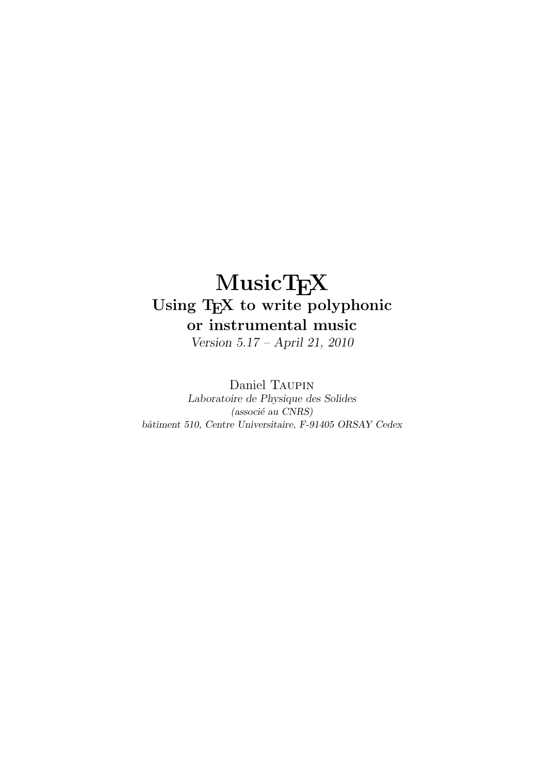# MusicTEX Using TEX to write polyphonic or instrumental music

Version 5.17 – April 21, 2010

Daniel Taupin Laboratoire de Physique des Solides (associé au CNRS) bâtiment 510, Centre Universitaire, F-91405 ORSAY Cedex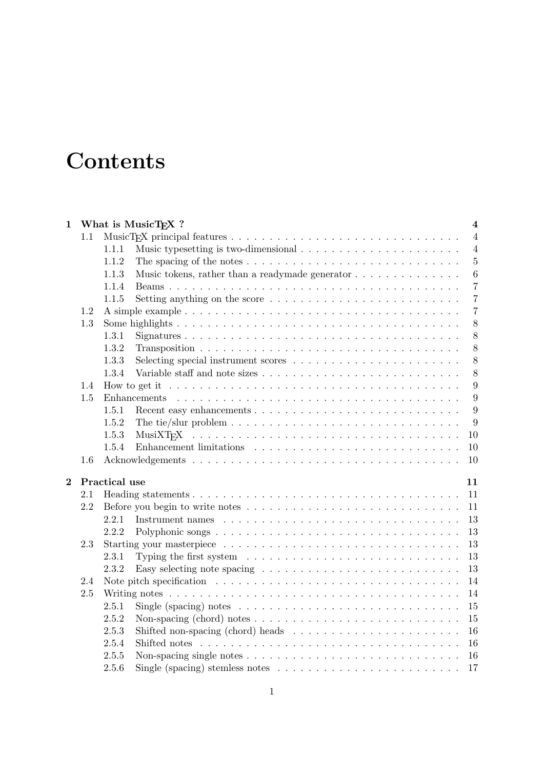# **Contents**

| 1              |     | What is MusicT <sub>F</sub> X ?<br>$\overline{\mathbf{4}}$                                                                     |
|----------------|-----|--------------------------------------------------------------------------------------------------------------------------------|
|                | 1.1 | $\overline{4}$                                                                                                                 |
|                |     | $\overline{4}$<br>1.1.1                                                                                                        |
|                |     | $\overline{5}$<br>1.1.2                                                                                                        |
|                |     | Music tokens, rather than a readymade generator $\dots \dots \dots \dots \dots$<br>6<br>1.1.3                                  |
|                |     | 1.1.4<br>$\overline{7}$                                                                                                        |
|                |     | $\overline{7}$<br>Setting anything on the score $\dots \dots \dots \dots \dots \dots \dots \dots \dots$<br>1.1.5               |
|                | 1.2 | $\overline{7}$                                                                                                                 |
|                | 1.3 | 8                                                                                                                              |
|                |     | 8<br>1.3.1                                                                                                                     |
|                |     | 1.3.2<br>8                                                                                                                     |
|                |     | 8<br>1.3.3                                                                                                                     |
|                |     | 8<br>1.3.4                                                                                                                     |
|                | 1.4 | $\boldsymbol{9}$<br>How to get it $\ldots \ldots \ldots \ldots \ldots \ldots \ldots \ldots \ldots \ldots \ldots \ldots \ldots$ |
|                | 1.5 | 9                                                                                                                              |
|                |     | 9<br>1.5.1                                                                                                                     |
|                |     | 9<br>1.5.2<br>The tie/slur problem $\dots \dots \dots \dots \dots \dots \dots \dots \dots \dots \dots \dots$                   |
|                |     | 10<br>1.5.3                                                                                                                    |
|                |     | 1.5.4<br>10                                                                                                                    |
|                | 1.6 | 10                                                                                                                             |
|                |     |                                                                                                                                |
| $\overline{2}$ |     | Practical use<br>11                                                                                                            |
|                | 2.1 | 11                                                                                                                             |
|                | 2.2 | 11                                                                                                                             |
|                |     | 13<br>2.2.1                                                                                                                    |
|                |     | 13<br>2.2.2                                                                                                                    |
|                | 2.3 | 13                                                                                                                             |
|                |     | 13<br>Typing the first system $\ldots \ldots \ldots \ldots \ldots \ldots \ldots \ldots \ldots$<br>2.3.1                        |
|                |     | 13<br>2.3.2<br>Easy selecting note spacing $\ldots \ldots \ldots \ldots \ldots \ldots \ldots \ldots$                           |
|                | 2.4 | 14                                                                                                                             |
|                | 2.5 | 14                                                                                                                             |
|                |     | 15<br>2.5.1<br>Single (spacing) notes $\dots \dots \dots \dots \dots \dots \dots \dots \dots \dots \dots$                      |
|                |     | 15<br>2.5.2<br>Non-spacing (chord) notes $\dots \dots \dots \dots \dots \dots \dots \dots \dots \dots \dots$                   |
|                |     | Shifted non-spacing (chord) heads $\ldots \ldots \ldots \ldots \ldots \ldots \ldots$<br>2.5.3<br>16                            |
|                |     | 16<br>2.5.4                                                                                                                    |
|                |     | 2.5.5<br>Non-spacing single notes $\ldots \ldots \ldots \ldots \ldots \ldots \ldots \ldots \ldots$<br>16                       |
|                |     | 2.5.6<br>Single (spacing) stemless notes $\ldots \ldots \ldots \ldots \ldots \ldots \ldots \ldots$<br>17                       |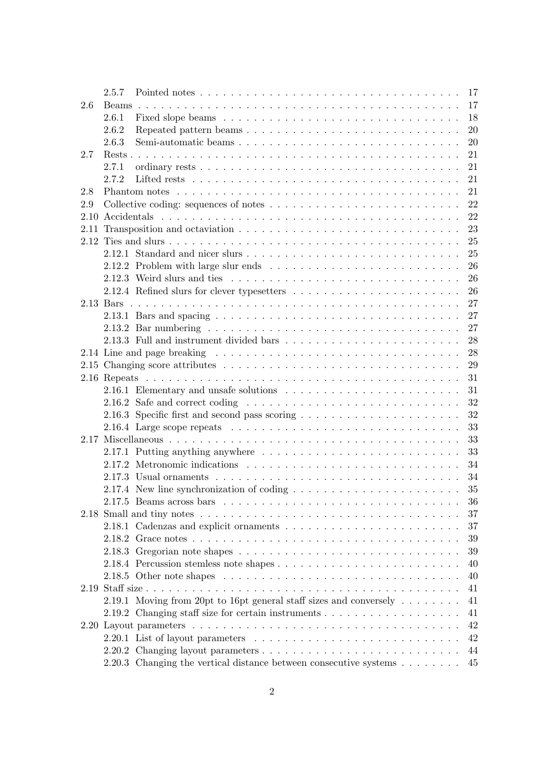|     | 2.5.7                                                                                                   |  |  | 17 |
|-----|---------------------------------------------------------------------------------------------------------|--|--|----|
| 2.6 |                                                                                                         |  |  | 17 |
|     | 2.6.1                                                                                                   |  |  | 18 |
|     | 2.6.2<br>Repeated pattern beams                                                                         |  |  | 20 |
|     | Semi-automatic beams<br>2.6.3                                                                           |  |  | 20 |
| 2.7 |                                                                                                         |  |  | 21 |
|     | 2.7.1                                                                                                   |  |  | 21 |
|     | 2.7.2                                                                                                   |  |  | 21 |
| 2.8 |                                                                                                         |  |  | 21 |
| 2.9 |                                                                                                         |  |  | 22 |
|     |                                                                                                         |  |  | 22 |
|     |                                                                                                         |  |  | 23 |
|     |                                                                                                         |  |  | 25 |
|     |                                                                                                         |  |  | 25 |
|     | 2.12.2 Problem with large slur ends $\ldots \ldots \ldots \ldots \ldots \ldots \ldots \ldots$           |  |  | 26 |
|     |                                                                                                         |  |  | 26 |
|     |                                                                                                         |  |  | 26 |
|     |                                                                                                         |  |  | 27 |
|     |                                                                                                         |  |  | 27 |
|     |                                                                                                         |  |  | 27 |
|     |                                                                                                         |  |  | 28 |
|     |                                                                                                         |  |  | 28 |
|     |                                                                                                         |  |  | 29 |
|     |                                                                                                         |  |  | 31 |
|     |                                                                                                         |  |  |    |
|     |                                                                                                         |  |  | 31 |
|     | 2.16.2 Safe and correct coding $\ldots \ldots \ldots \ldots \ldots \ldots \ldots \ldots \ldots$         |  |  | 32 |
|     |                                                                                                         |  |  | 32 |
|     | 2.16.4 Large scope repeats $\dots \dots \dots \dots \dots \dots \dots \dots \dots \dots \dots \dots$    |  |  | 33 |
|     |                                                                                                         |  |  | 33 |
|     |                                                                                                         |  |  | 33 |
|     |                                                                                                         |  |  | 34 |
|     |                                                                                                         |  |  | 34 |
|     | 2.17.4 New line synchronization of coding $\ldots \ldots \ldots \ldots \ldots \ldots \ldots$            |  |  | 35 |
|     |                                                                                                         |  |  | 36 |
|     |                                                                                                         |  |  | 37 |
|     |                                                                                                         |  |  | 37 |
|     |                                                                                                         |  |  | 39 |
|     |                                                                                                         |  |  | 39 |
|     |                                                                                                         |  |  | 40 |
|     | 2.18.5 Other note shapes $\ldots \ldots \ldots \ldots \ldots \ldots \ldots \ldots \ldots \ldots \ldots$ |  |  | 40 |
|     |                                                                                                         |  |  | 41 |
|     | 2.19.1 Moving from 20pt to 16pt general staff sizes and conversely $\dots \dots$                        |  |  | 41 |
|     | 2.19.2 Changing staff size for certain instruments $\dots \dots \dots \dots \dots \dots$                |  |  | 41 |
|     |                                                                                                         |  |  | 42 |
|     |                                                                                                         |  |  | 42 |
|     |                                                                                                         |  |  | 44 |
|     | 2.20.3 Changing the vertical distance between consecutive systems                                       |  |  | 45 |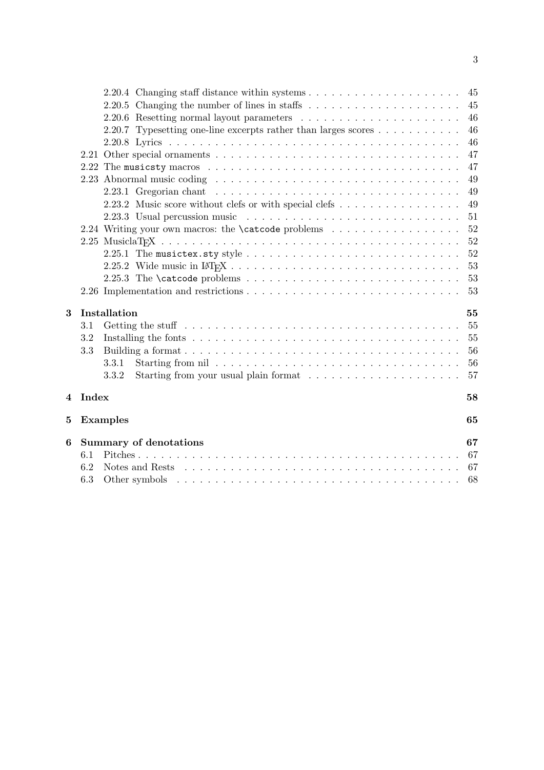|   |                               |                                                                                                                                                                                                                                | 45 |  |  |  |  |  |
|---|-------------------------------|--------------------------------------------------------------------------------------------------------------------------------------------------------------------------------------------------------------------------------|----|--|--|--|--|--|
|   |                               | 2.20.5 Changing the number of lines in staffs $\dots \dots \dots \dots \dots \dots \dots$                                                                                                                                      | 45 |  |  |  |  |  |
|   |                               |                                                                                                                                                                                                                                | 46 |  |  |  |  |  |
|   |                               | 2.20.7 Typesetting one-line excerpts rather than larges scores $\dots \dots \dots$                                                                                                                                             | 46 |  |  |  |  |  |
|   |                               |                                                                                                                                                                                                                                | 46 |  |  |  |  |  |
|   |                               |                                                                                                                                                                                                                                | 47 |  |  |  |  |  |
|   |                               | 2.22 The musicsty macros $\dots \dots \dots \dots \dots \dots \dots \dots \dots \dots \dots \dots \dots \dots$                                                                                                                 | 47 |  |  |  |  |  |
|   |                               |                                                                                                                                                                                                                                | 49 |  |  |  |  |  |
|   |                               |                                                                                                                                                                                                                                | 49 |  |  |  |  |  |
|   |                               | 2.23.2 Music score without clefs or with special clefs                                                                                                                                                                         | 49 |  |  |  |  |  |
|   |                               |                                                                                                                                                                                                                                | 51 |  |  |  |  |  |
|   |                               | 2.24 Writing your own macros: the <b>\catcode</b> problems                                                                                                                                                                     | 52 |  |  |  |  |  |
|   |                               |                                                                                                                                                                                                                                | 52 |  |  |  |  |  |
|   |                               |                                                                                                                                                                                                                                | 52 |  |  |  |  |  |
|   |                               |                                                                                                                                                                                                                                | 53 |  |  |  |  |  |
|   |                               | 2.25.3 The \catcode problems $\ldots \ldots \ldots \ldots \ldots \ldots \ldots$                                                                                                                                                | 53 |  |  |  |  |  |
|   |                               |                                                                                                                                                                                                                                | 53 |  |  |  |  |  |
| 3 |                               | Installation                                                                                                                                                                                                                   | 55 |  |  |  |  |  |
|   | 3.1                           |                                                                                                                                                                                                                                | 55 |  |  |  |  |  |
|   | 3.2                           |                                                                                                                                                                                                                                |    |  |  |  |  |  |
|   | 3.3                           |                                                                                                                                                                                                                                | 56 |  |  |  |  |  |
|   |                               | 3.3.1                                                                                                                                                                                                                          | 56 |  |  |  |  |  |
|   |                               | 3.3.2                                                                                                                                                                                                                          | 57 |  |  |  |  |  |
| 4 | Index                         |                                                                                                                                                                                                                                | 58 |  |  |  |  |  |
| 5 |                               | <b>Examples</b>                                                                                                                                                                                                                | 65 |  |  |  |  |  |
| 6 | <b>Summary of denotations</b> |                                                                                                                                                                                                                                |    |  |  |  |  |  |
|   | 6.1                           |                                                                                                                                                                                                                                | 67 |  |  |  |  |  |
|   | 6.2                           | Notes and Rests responses in the set of the set of the set of the set of the set of the set of the set of the set of the set of the set of the set of the set of the set of the set of the set of the set of the set of the se | 67 |  |  |  |  |  |
|   | 6.3                           |                                                                                                                                                                                                                                | 68 |  |  |  |  |  |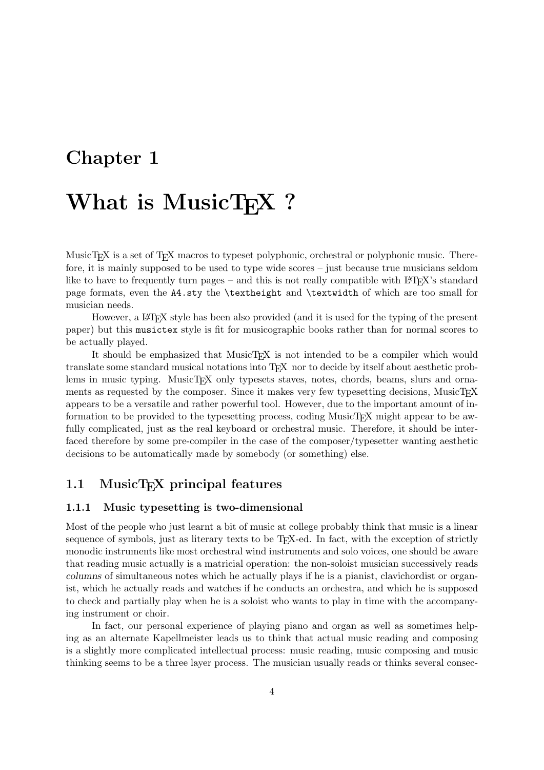# Chapter 1

# What is MusicT<sub>F</sub>X ?

MusicT<sub>EX</sub> is a set of T<sub>EX</sub> macros to typeset polyphonic, orchestral or polyphonic music. Therefore, it is mainly supposed to be used to type wide scores – just because true musicians seldom like to have to frequently turn pages – and this is not really compatible with  $\mathbb{F}T\mathbb{F}X$ 's standard page formats, even the A4.sty the \textheight and \textwidth of which are too small for musician needs.

However, a LAT<sub>EX</sub> style has been also provided (and it is used for the typing of the present paper) but this musictex style is fit for musicographic books rather than for normal scores to be actually played.

It should be emphasized that MusicTEX is not intended to be a compiler which would translate some standard musical notations into TEX nor to decide by itself about aesthetic problems in music typing. MusicT<sub>EX</sub> only typesets staves, notes, chords, beams, slurs and ornaments as requested by the composer. Since it makes very few typesetting decisions, MusicTEX appears to be a versatile and rather powerful tool. However, due to the important amount of information to be provided to the typesetting process, coding MusicT<sub>EX</sub> might appear to be awfully complicated, just as the real keyboard or orchestral music. Therefore, it should be interfaced therefore by some pre-compiler in the case of the composer/typesetter wanting aesthetic decisions to be automatically made by somebody (or something) else.

# 1.1 MusicT<sub>F</sub>X principal features

#### 1.1.1 Music typesetting is two-dimensional

Most of the people who just learnt a bit of music at college probably think that music is a linear sequence of symbols, just as literary texts to be T<sub>EX</sub>-ed. In fact, with the exception of strictly monodic instruments like most orchestral wind instruments and solo voices, one should be aware that reading music actually is a matricial operation: the non-soloist musician successively reads columns of simultaneous notes which he actually plays if he is a pianist, clavichordist or organist, which he actually reads and watches if he conducts an orchestra, and which he is supposed to check and partially play when he is a soloist who wants to play in time with the accompanying instrument or choir.

In fact, our personal experience of playing piano and organ as well as sometimes helping as an alternate Kapellmeister leads us to think that actual music reading and composing is a slightly more complicated intellectual process: music reading, music composing and music thinking seems to be a three layer process. The musician usually reads or thinks several consec-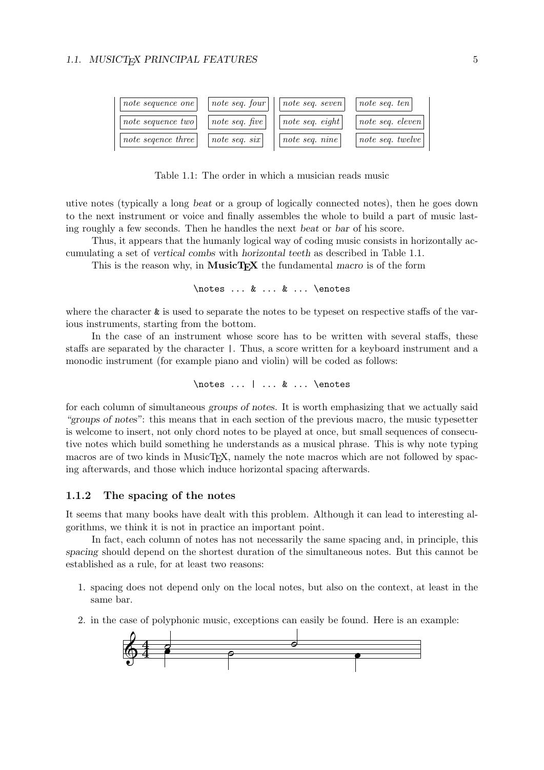| note sequence one  | note seq. four  | $note\;seq.\;seven$ | note seq. ten    |
|--------------------|-----------------|---------------------|------------------|
| note sequence two  | note seq. five  | note seq. eight     | note seq. eleven |
| note segence three | note seq. $six$ | note seq. $nine$    | note seq. twelve |

Table 1.1: The order in which a musician reads music

utive notes (typically a long beat or a group of logically connected notes), then he goes down to the next instrument or voice and finally assembles the whole to build a part of music lasting roughly a few seconds. Then he handles the next beat or bar of his score.

Thus, it appears that the humanly logical way of coding music consists in horizontally accumulating a set of vertical combs with horizontal teeth as described in Table 1.1.

This is the reason why, in  $MusicT_FX$  the fundamental macro is of the form

\notes ... & ... & ... \enotes

where the character  $\&$  is used to separate the notes to be typeset on respective staffs of the various instruments, starting from the bottom.

In the case of an instrument whose score has to be written with several staffs, these staffs are separated by the character |. Thus, a score written for a keyboard instrument and a monodic instrument (for example piano and violin) will be coded as follows:

\notes ... | ... & ... \enotes

for each column of simultaneous groups of notes. It is worth emphasizing that we actually said "groups of notes": this means that in each section of the previous macro, the music typesetter is welcome to insert, not only chord notes to be played at once, but small sequences of consecutive notes which build something he understands as a musical phrase. This is why note typing macros are of two kinds in MusicT<sub>EX</sub>, namely the note macros which are not followed by spacing afterwards, and those which induce horizontal spacing afterwards.

#### 1.1.2 The spacing of the notes

It seems that many books have dealt with this problem. Although it can lead to interesting algorithms, we think it is not in practice an important point.

In fact, each column of notes has not necessarily the same spacing and, in principle, this spacing should depend on the shortest duration of the simultaneous notes. But this cannot be established as a rule, for at least two reasons:

- 1. spacing does not depend only on the local notes, but also on the context, at least in the same bar.
- 2. in the case of polyphonic music, exceptions can easily be found. Here is an example:

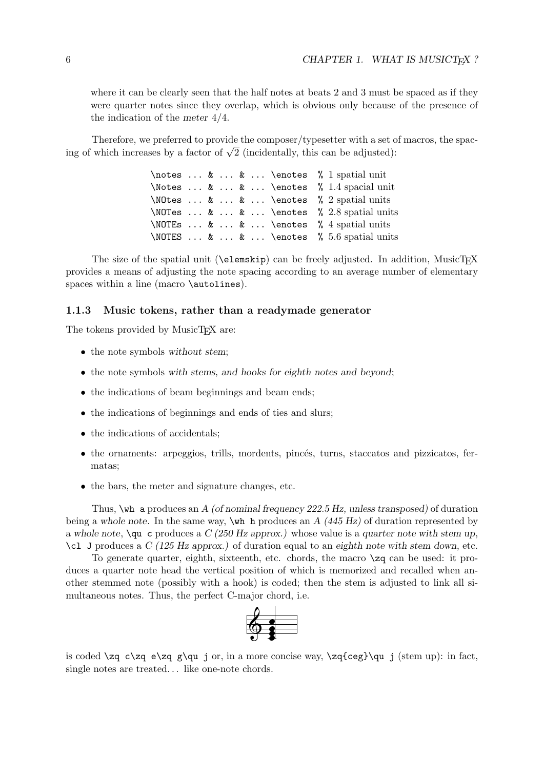where it can be clearly seen that the half notes at beats 2 and 3 must be spaced as if they were quarter notes since they overlap, which is obvious only because of the presence of the indication of the meter 4/4.

Therefore, we preferred to provide the composer/typesetter with a set of macros, the spac-I herefore, we preferred to provide the composer/typessetter with a set c<br>ing of which increases by a factor of  $\sqrt{2}$  (incidentally, this can be adjusted):

> \notes ... & ... & ... \enotes % 1 spatial unit \Notes ... & ... & ... \enotes % 1.4 spacial unit \NOtes ... & ... & ... \enotes % 2 spatial units \NOTes ... & ... & ... \enotes % 2.8 spatial units \NOTEs ... & ... & ... \enotes % 4 spatial units \NOTES ... & ... & ... \enotes % 5.6 spatial units

The size of the spatial unit ( $\text{elementsip}$ ) can be freely adjusted. In addition, MusicTEX provides a means of adjusting the note spacing according to an average number of elementary spaces within a line (macro \autolines).

#### 1.1.3 Music tokens, rather than a readymade generator

The tokens provided by MusicT<sub>E</sub>X are:

- the note symbols without stem;
- the note symbols with stems, and hooks for eighth notes and beyond;
- the indications of beam beginnings and beam ends;
- the indications of beginnings and ends of ties and slurs;
- the indications of accidentals;
- $\bullet$  the ornaments: arpeggios, trills, mordents, pincés, turns, staccatos and pizzicatos, fermatas;
- the bars, the meter and signature changes, etc.

Thus,  $\forall$ wh a produces an A (of nominal frequency 222.5 Hz, unless transposed) of duration being a whole note. In the same way,  $\mathbf{w}$  h produces an A (445 Hz) of duration represented by a whole note,  $\gamma$ qu c produces a  $C$  (250 Hz approx.) whose value is a quarter note with stem up,  $\c{1}$  J produces a C (125 Hz approx.) of duration equal to an eighth note with stem down, etc.

To generate quarter, eighth, sixteenth, etc. chords, the macro  $\zeta$  can be used: it produces a quarter note head the vertical position of which is memorized and recalled when another stemmed note (possibly with a hook) is coded; then the stem is adjusted to link all simultaneous notes. Thus, the perfect C-major chord, i.e.



is coded  $\zeta$   $\zeta$   $\zeta$   $\zeta$   $\zeta$   $\eta$  is a more concise way,  $\zeta$   $\zeta$   $\zeta$   $\eta$  is (stem up): in fact, single notes are treated... like one-note chords.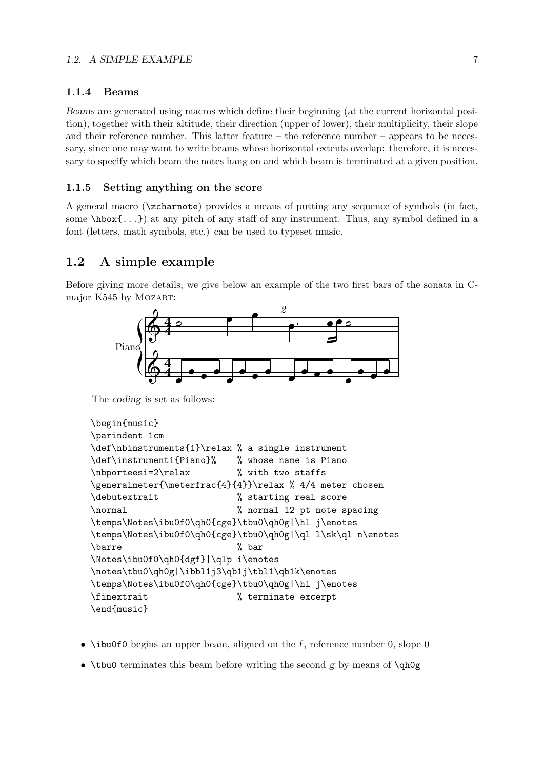#### 1.1.4 Beams

Beams are generated using macros which define their beginning (at the current horizontal position), together with their altitude, their direction (upper of lower), their multiplicity, their slope and their reference number. This latter feature – the reference number – appears to be necessary, since one may want to write beams whose horizontal extents overlap: therefore, it is necessary to specify which beam the notes hang on and which beam is terminated at a given position.

#### 1.1.5 Setting anything on the score

A general macro (\zcharnote) provides a means of putting any sequence of symbols (in fact, some  $\hbar s(x, \ldots)$  at any pitch of any staff of any instrument. Thus, any symbol defined in a font (letters, math symbols, etc.) can be used to typeset music.

### 1.2 A simple example

Before giving more details, we give below an example of the two first bars of the sonata in Cmajor K545 by Mozart:



The coding is set as follows:

```
\begin{music}
\parindent 1cm
\def\nbinstruments{1}\relax % a single instrument
\def\instrumenti{Piano}% % whose name is Piano
\nbporteesi=2\relax % with two staffs
\generalmeter{\meterfrac{4}{4}}\relax % 4/4 meter chosen
\debutextrait % starting real score
\normal % normal 12 pt note spacing
\temps\Notes\ibu0f0\qh0{cge}\tbu0\qh0g|\hl j\enotes
\temps\Notes\ibu0f0\qh0{cge}\tbu0\qh0g|\ql l\sk\ql n\enotes
\barre % bar
\Notes\ibu0f0\qh0{dgf}|\qlp i\enotes
\notes\tbu0\qh0g|\ibbl1j3\qb1j\tbl1\qb1k\enotes
\temps\Notes\ibu0f0\qh0{cge}\tbu0\qh0g|\hl j\enotes
\finextrait % terminate excerpt
\end{music}
```
- \ibu0f0 begins an upper beam, aligned on the f, reference number 0, slope 0
- \tbu0 terminates this beam before writing the second g by means of  $\qquad$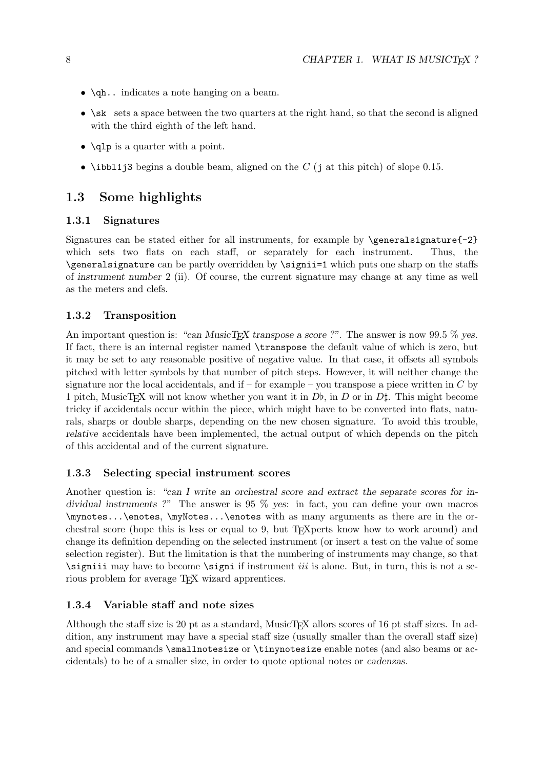- \qh.. indicates a note hanging on a beam.
- \sk sets a space between the two quarters at the right hand, so that the second is aligned with the third eighth of the left hand.
- \qlp is a quarter with a point.
- \ibb11j3 begins a double beam, aligned on the  $C$  (j at this pitch) of slope 0.15.

# 1.3 Some highlights

#### 1.3.1 Signatures

Signatures can be stated either for all instruments, for example by  $\generalsignature{-2}$ which sets two flats on each staff, or separately for each instrument. Thus, the \generalsignature can be partly overridden by \signii=1 which puts one sharp on the staffs of instrument number 2 (ii). Of course, the current signature may change at any time as well as the meters and clefs.

## 1.3.2 Transposition

An important question is: "can MusicT<sub>EX</sub> transpose a score ?". The answer is now 99.5  $\%$  yes. If fact, there is an internal register named \transpose the default value of which is zero, but it may be set to any reasonable positive of negative value. In that case, it offsets all symbols pitched with letter symbols by that number of pitch steps. However, it will neither change the signature nor the local accidentals, and if – for example – you transpose a piece written in  $C$  by 1 pitch, MusicTEX will not know whether you want it in  $D_{\mathfrak{b}}$ , in D or in  $D_{\mathfrak{b}}$ . This might become tricky if accidentals occur within the piece, which might have to be converted into flats, naturals, sharps or double sharps, depending on the new chosen signature. To avoid this trouble, relative accidentals have been implemented, the actual output of which depends on the pitch of this accidental and of the current signature.

#### 1.3.3 Selecting special instrument scores

Another question is: "can I write an orchestral score and extract the separate scores for individual instruments ?" The answer is 95 % yes: in fact, you can define your own macros \mynotes...\enotes, \myNotes...\enotes with as many arguments as there are in the orchestral score (hope this is less or equal to 9, but TEXperts know how to work around) and change its definition depending on the selected instrument (or insert a test on the value of some selection register). But the limitation is that the numbering of instruments may change, so that  $\sigma$  is a set of become  $\sigma$  if instrument *iii* is alone. But, in turn, this is not a serious problem for average T<sub>E</sub>X wizard apprentices.

## 1.3.4 Variable staff and note sizes

Although the staff size is 20 pt as a standard, MusicT<sub>EX</sub> allors scores of 16 pt staff sizes. In addition, any instrument may have a special staff size (usually smaller than the overall staff size) and special commands \smallnotesize or \tinynotesize enable notes (and also beams or accidentals) to be of a smaller size, in order to quote optional notes or cadenzas.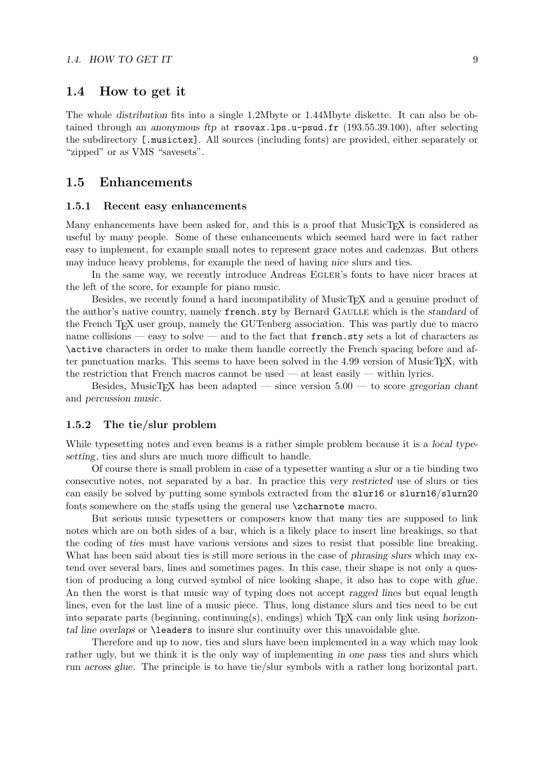#### 1.4 How to get it

The whole distribution fits into a single 1.2Mbyte or 1.44Mbyte diskette. It can also be obtained through an anonymous ftp at rsovax.lps.u-psud.fr (193.55.39.100), after selecting the subdirectory [.musictex]. All sources (including fonts) are provided, either separately or "zipped" or as VMS "savesets".

#### 1.5 Enhancements

#### 1.5.1 Recent easy enhancements

Many enhancements have been asked for, and this is a proof that MusicT<sub>EX</sub> is considered as useful by many people. Some of these enhancements which seemed hard were in fact rather easy to implement, for example small notes to represent grace notes and cadenzas. But others may induce heavy problems, for example the need of having nice slurs and ties.

In the same way, we recently introduce Andreas EGLER's fonts to have nicer braces at the left of the score, for example for piano music.

Besides, we recently found a hard incompatibility of MusicT<sub>EX</sub> and a genuine product of the author's native country, namely french.sty by Bernard GAULLE which is the standard of the French TEX user group, namely the GUTenberg association. This was partly due to macro name collisions — easy to solve — and to the fact that french.sty sets a lot of characters as \active characters in order to make them handle correctly the French spacing before and after punctuation marks. This seems to have been solved in the 4.99 version of MusicT<sub>E</sub>X, with the restriction that French macros cannot be used — at least easily — within lyrics.

Besides, MusicT<sub>EX</sub> has been adapted — since version  $5.00$  — to score gregorian chant and percussion music.

#### 1.5.2 The tie/slur problem

While typesetting notes and even beams is a rather simple problem because it is a *local type*setting, ties and slurs are much more difficult to handle.

Of course there is small problem in case of a typesetter wanting a slur or a tie binding two consecutive notes, not separated by a bar. In practice this very restricted use of slurs or ties can easily be solved by putting some symbols extracted from the slur16 or slurn16/slurn20 fonts somewhere on the staffs using the general use  $\zeta$ zcharnote macro.

But serious music typesetters or composers know that many ties are supposed to link notes which are on both sides of a bar, which is a likely place to insert line breakings, so that the coding of ties must have various versions and sizes to resist that possible line breaking. What has been said about ties is still more serious in the case of *phrasing slurs* which may extend over several bars, lines and sometimes pages. In this case, their shape is not only a question of producing a long curved symbol of nice looking shape, it also has to cope with glue. An then the worst is that music way of typing does not accept ragged lines but equal length lines, even for the last line of a music piece. Thus, long distance slurs and ties need to be cut into separate parts (beginning, continuing(s), endings) which  $T_{\rm F}X$  can only link using horizontal line overlaps or \leaders to insure slur continuity over this unavoidable glue.

Therefore and up to now, ties and slurs have been implemented in a way which may look rather ugly, but we think it is the only way of implementing in one pass ties and slurs which run across glue. The principle is to have tie/slur symbols with a rather long horizontal part.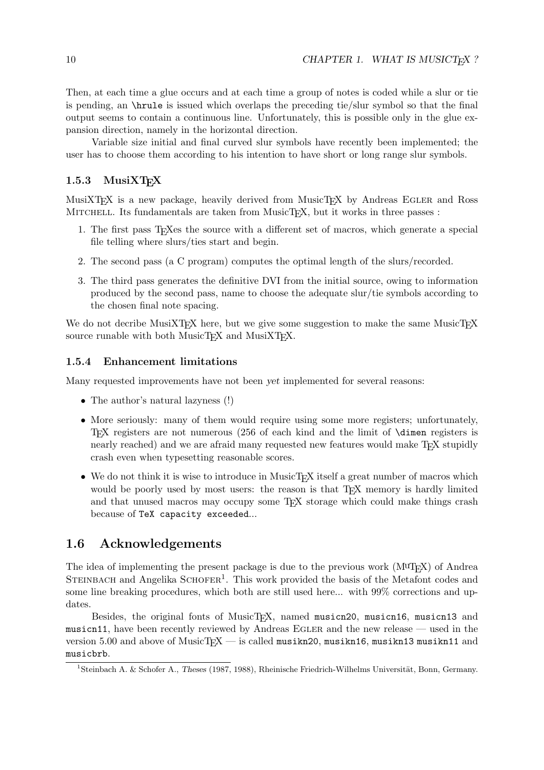Then, at each time a glue occurs and at each time a group of notes is coded while a slur or tie is pending, an \hrule is issued which overlaps the preceding tie/slur symbol so that the final output seems to contain a continuous line. Unfortunately, this is possible only in the glue expansion direction, namely in the horizontal direction.

Variable size initial and final curved slur symbols have recently been implemented; the user has to choose them according to his intention to have short or long range slur symbols.

### $1.5.3$  MusiXT<sub>E</sub>X

MusiXT<sub>E</sub>X is a new package, heavily derived from MusicT<sub>EX</sub> by Andreas EGLER and Ross MITCHELL. Its fundamentals are taken from MusicT<sub>EX</sub>, but it works in three passes :

- 1. The first pass TEXes the source with a different set of macros, which generate a special file telling where slurs/ties start and begin.
- 2. The second pass (a C program) computes the optimal length of the slurs/recorded.
- 3. The third pass generates the definitive DVI from the initial source, owing to information produced by the second pass, name to choose the adequate slur/tie symbols according to the chosen final note spacing.

We do not decribe MusiXTEX here, but we give some suggestion to make the same MusicTEX source runable with both MusicT<sub>E</sub>X and MusiXT<sub>E</sub>X.

#### 1.5.4 Enhancement limitations

Many requested improvements have not been yet implemented for several reasons:

- The author's natural lazyness (!)
- More seriously: many of them would require using some more registers; unfortunately, TEX registers are not numerous (256 of each kind and the limit of \dimen registers is nearly reached) and we are afraid many requested new features would make T<sub>E</sub>X stupidly crash even when typesetting reasonable scores.
- We do not think it is wise to introduce in MusicT<sub>EX</sub> itself a great number of macros which would be poorly used by most users: the reason is that T<sub>EX</sub> memory is hardly limited and that unused macros may occupy some TEX storage which could make things crash because of TeX capacity exceeded...

## 1.6 Acknowledgements

The idea of implementing the present package is due to the previous work  $(M^{\mathsf{UT}}\mathbb{F}X)$  of Andrea STEINBACH and Angelika  $SCHOFER<sup>1</sup>$ . This work provided the basis of the Metafont codes and some line breaking procedures, which both are still used here... with 99% corrections and updates.

Besides, the original fonts of MusicT<sub>F</sub>X, named musicn20, musicn16, musicn13 and musicn11, have been recently reviewed by Andreas Egler and the new release — used in the version 5.00 and above of MusicT<sub>E</sub>X — is called musikn20, musikn16, musikn13 musikn11 and musicbrb.

<sup>&</sup>lt;sup>1</sup>Steinbach A. & Schofer A., Theses (1987, 1988), Rheinische Friedrich-Wilhelms Universität, Bonn, Germany.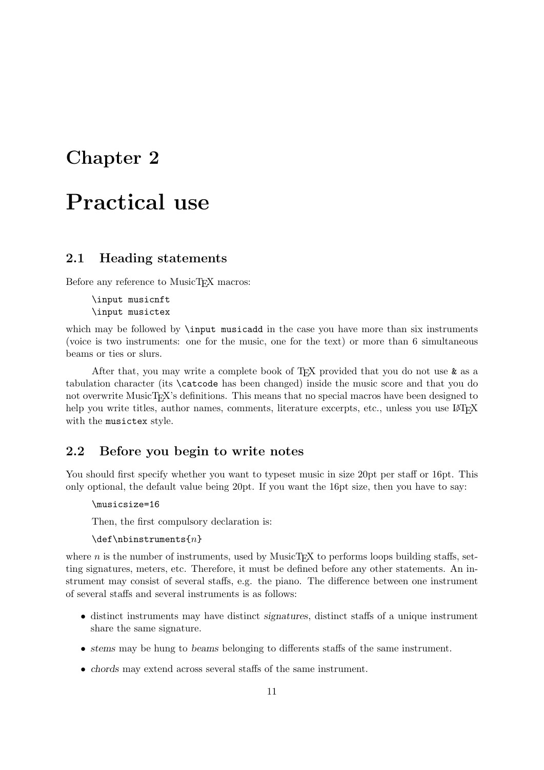# Chapter 2

# Practical use

# 2.1 Heading statements

Before any reference to MusicT<sub>F</sub>X macros:

\input musicnft \input musictex

which may be followed by **\input** musicadd in the case you have more than six instruments (voice is two instruments: one for the music, one for the text) or more than 6 simultaneous beams or ties or slurs.

After that, you may write a complete book of T<sub>EX</sub> provided that you do not use  $\&$  as a tabulation character (its \catcode has been changed) inside the music score and that you do not overwrite MusicT<sub>EX</sub>'s definitions. This means that no special macros have been designed to help you write titles, author names, comments, literature excerpts, etc., unless you use LATEX with the musictex style.

# 2.2 Before you begin to write notes

You should first specify whether you want to typeset music in size 20pt per staff or 16pt. This only optional, the default value being 20pt. If you want the 16pt size, then you have to say:

```
\musicsize=16
```
Then, the first compulsory declaration is:

 $\det\h$ hbinstruments $\{n\}$ 

where  $n$  is the number of instruments, used by MusicT<sub>EX</sub> to performs loops building staffs, setting signatures, meters, etc. Therefore, it must be defined before any other statements. An instrument may consist of several staffs, e.g. the piano. The difference between one instrument of several staffs and several instruments is as follows:

- distinct instruments may have distinct signatures, distinct staffs of a unique instrument share the same signature.
- stems may be hung to beams belonging to differents staffs of the same instrument.
- chords may extend across several staffs of the same instrument.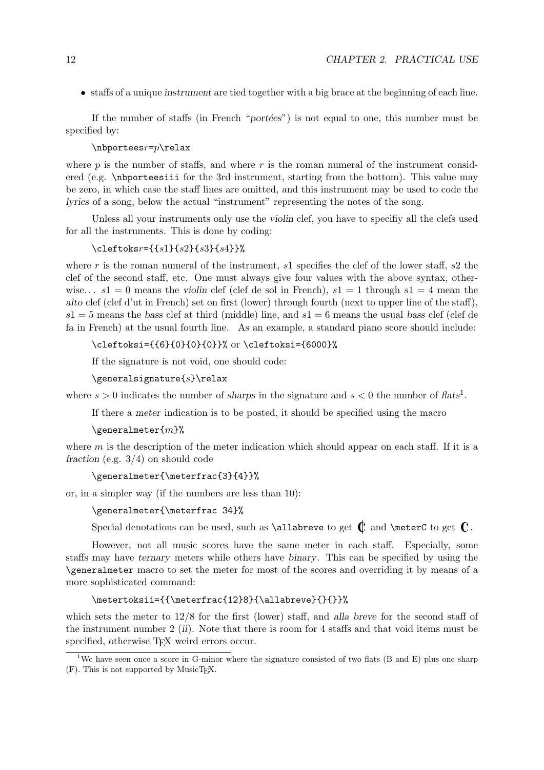• staffs of a unique instrument are tied together with a big brace at the beginning of each line.

If the number of staffs (in French "portées") is not equal to one, this number must be specified by:

#### $\hbox{\scriptsize\textsf{h}}$

where  $p$  is the number of staffs, and where  $r$  is the roman numeral of the instrument considered (e.g. \nbporteesiii for the 3rd instrument, starting from the bottom). This value may be zero, in which case the staff lines are omitted, and this instrument may be used to code the lyrics of a song, below the actual "instrument" representing the notes of the song.

Unless all your instruments only use the violin clef, you have to specifiy all the clefs used for all the instruments. This is done by coding:

#### $\text{cleftoks} = \{ \{ s1\} \{ s2\} \{ s3\} \{ s4\} \}$

where r is the roman numeral of the instrument, s1 specifies the clef of the lower staff, s2 the clef of the second staff, etc. One must always give four values with the above syntax, otherwise...  $s_1 = 0$  means the violin clef (clef de sol in French),  $s_1 = 1$  through  $s_1 = 4$  mean the alto clef (clef d'ut in French) set on first (lower) through fourth (next to upper line of the staff),  $s1 = 5$  means the bass clef at third (middle) line, and  $s1 = 6$  means the usual bass clef (clef de fa in French) at the usual fourth line. As an example, a standard piano score should include:

\cleftoksi={{6}{0}{0}{0}}% or \cleftoksi={6000}%

If the signature is not void, one should code:

#### $\qquad \qquad$  \generalsignature{s}\relax

where  $s > 0$  indicates the number of sharps in the signature and  $s < 0$  the number of flats<sup>1</sup>.

If there a meter indication is to be posted, it should be specified using the macro

#### $\text{Peralmeter}\{m\}$ %

where  $m$  is the description of the meter indication which should appear on each staff. If it is a fraction (e.g. 3/4) on should code

#### \generalmeter{\meterfrac{3}{4}}%

or, in a simpler way (if the numbers are less than 10):

#### \generalmeter{\meterfrac 34}%

Special denotations can be used, such as **\allabreve** to get  $\mathbb{C}$  and **\meterC** to get  $\mathbb{C}$ .

However, not all music scores have the same meter in each staff. Especially, some staffs may have ternary meters while others have binary. This can be specified by using the \generalmeter macro to set the meter for most of the scores and overriding it by means of a more sophisticated command:

#### \metertoksii={{\meterfrac{12}8}{\allabreve}{}{}}%

which sets the meter to 12/8 for the first (lower) staff, and alla breve for the second staff of the instrument number  $2(ii)$ . Note that there is room for 4 staffs and that void items must be specified, otherwise T<sub>E</sub>X weird errors occur.

<sup>&</sup>lt;sup>1</sup>We have seen once a score in G-minor where the signature consisted of two flats (B and E) plus one sharp  $(F)$ . This is not supported by MusicT<sub>E</sub>X.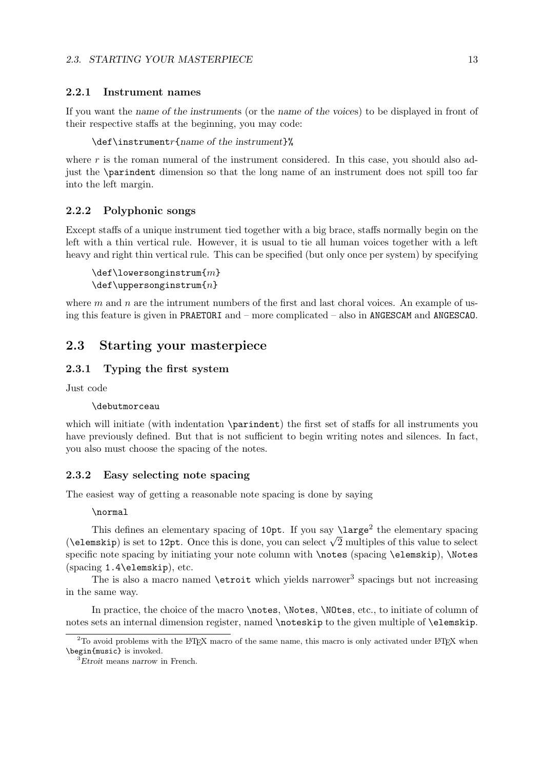#### 2.2.1 Instrument names

If you want the name of the instruments (or the name of the voices) to be displayed in front of their respective staffs at the beginning, you may code:

#### \def\instrumentr{name of the instrument}%

where  $r$  is the roman numeral of the instrument considered. In this case, you should also adjust the \parindent dimension so that the long name of an instrument does not spill too far into the left margin.

#### 2.2.2 Polyphonic songs

Except staffs of a unique instrument tied together with a big brace, staffs normally begin on the left with a thin vertical rule. However, it is usual to tie all human voices together with a left heavy and right thin vertical rule. This can be specified (but only once per system) by specifying

```
\det\lowersonginstrum{m}\det\uparrow n
```
where  $m$  and  $n$  are the intrument numbers of the first and last choral voices. An example of using this feature is given in PRAETORI and – more complicated – also in ANGESCAM and ANGESCAO.

# 2.3 Starting your masterpiece

#### 2.3.1 Typing the first system

Just code

#### \debutmorceau

which will initiate (with indentation \parindent) the first set of staffs for all instruments you have previously defined. But that is not sufficient to begin writing notes and silences. In fact, you also must choose the spacing of the notes.

#### 2.3.2 Easy selecting note spacing

The easiest way of getting a reasonable note spacing is done by saying

#### \normal

This defines an elementary spacing of  $10pt$ . If you say  $\langle\langle\rangle$  the elementary spacing This defines an elementary spacing of 10pt. If you say  $\langle$  arge- the elementary spacing ( $\langle$  elementary is set to 12pt. Once this is done, you can select  $\sqrt{2}$  multiples of this value to select specific note spacing by initiating your note column with  $\not\equiv$  (spacing  $\ell$ elemskip),  $\N$ otes (spacing 1.4\elemskip), etc.

The is also a macro named  $\text{virt}$  which yields narrower<sup>3</sup> spacings but not increasing in the same way.

In practice, the choice of the macro \notes, \Notes, \NOtes, etc., to initiate of column of notes sets an internal dimension register, named \noteskip to the given multiple of \elemskip.

 $2$ To avoid problems with the LAT<sub>E</sub>X macro of the same name, this macro is only activated under LAT<sub>E</sub>X when \begin{music} is invoked.

<sup>&</sup>lt;sup>3</sup>Etroit means narrow in French.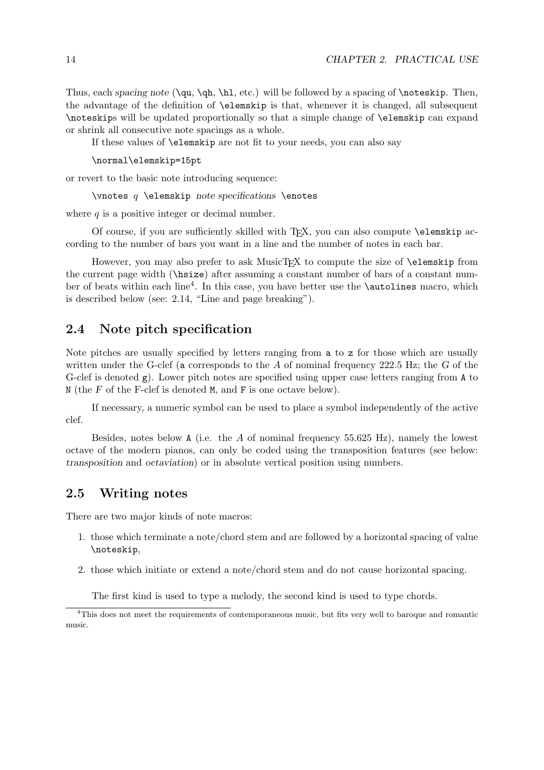Thus, each spacing note  $(\qquad \hbar, \hbar, \text{etc.})$  will be followed by a spacing of  $\not\text{noteskip. Then,}$ the advantage of the definition of \elemskip is that, whenever it is changed, all subsequent \noteskips will be updated proportionally so that a simple change of \elemskip can expand or shrink all consecutive note spacings as a whole.

If these values of \elemskip are not fit to your needs, you can also say

\normal\elemskip=15pt

or revert to the basic note introducing sequence:

 $\n\$  vnotes q  $\elements$  pote specifications  $\enotes$ 

where  $q$  is a positive integer or decimal number.

Of course, if you are sufficiently skilled with T<sub>E</sub>X, you can also compute **\elemskip** according to the number of bars you want in a line and the number of notes in each bar.

However, you may also prefer to ask MusicT<sub>EX</sub> to compute the size of **\elemskip** from the current page width (\hsize) after assuming a constant number of bars of a constant number of beats within each line<sup>4</sup>. In this case, you have better use the **\autolines** macro, which is described below (see: 2.14, "Line and page breaking").

## 2.4 Note pitch specification

Note pitches are usually specified by letters ranging from a to z for those which are usually written under the G-clef (a corresponds to the A of nominal frequency  $222.5$  Hz; the G of the G-clef is denoted  $g$ ). Lower pitch notes are specified using upper case letters ranging from A to N (the F of the F-clef is denoted M, and F is one octave below).

If necessary, a numeric symbol can be used to place a symbol independently of the active clef.

Besides, notes below A (i.e. the A of nominal frequency  $55.625$  Hz), namely the lowest octave of the modern pianos, can only be coded using the transposition features (see below: transposition and octaviation) or in absolute vertical position using numbers.

### 2.5 Writing notes

There are two major kinds of note macros:

- 1. those which terminate a note/chord stem and are followed by a horizontal spacing of value \noteskip,
- 2. those which initiate or extend a note/chord stem and do not cause horizontal spacing.

The first kind is used to type a melody, the second kind is used to type chords.

<sup>&</sup>lt;sup>4</sup>This does not meet the requirements of contemporaneous music, but fits very well to baroque and romantic music.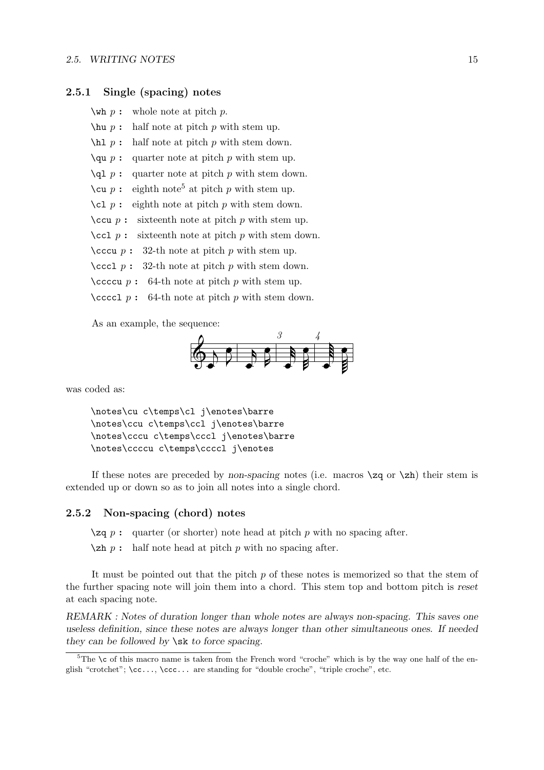#### 2.5. WRITING NOTES 15

#### 2.5.1 Single (spacing) notes

 $\forall$ wh p : whole note at pitch p.

- $\lambda p$ : half note at pitch p with stem up.
- $\hbar$  p : half note at pitch p with stem down.
- $\qquad$   $p$  : quarter note at pitch p with stem up.
- \ql  $p$ : quarter note at pitch  $p$  with stem down.
- $\cu$  *p* : eighth note<sup>5</sup> at pitch *p* with stem up.
- $\text{cl } p :$  eighth note at pitch p with stem down.
- $\text{ccu } p :$  sixteenth note at pitch p with stem up.
- $\ccot c1$  p : sixteenth note at pitch p with stem down.
- \cccu  $p$ : 32-th note at pitch  $p$  with stem up.
- \cccl  $p$ : 32-th note at pitch  $p$  with stem down.
- \ccccu  $p$ : 64-th note at pitch  $p$  with stem up.
- $\ccoccl p : 64-th note at pitch p with stem down.$

As an example, the sequence:



was coded as:

\notes\cu c\temps\cl j\enotes\barre \notes\ccu c\temps\ccl j\enotes\barre \notes\cccu c\temps\cccl j\enotes\barre \notes\ccccu c\temps\ccccl j\enotes

If these notes are preceded by non-spacing notes (i.e. macros  $\zeta$  or  $\zeta$ ) their stem is extended up or down so as to join all notes into a single chord.

#### 2.5.2 Non-spacing (chord) notes

 $\zeta$ zq p : quarter (or shorter) note head at pitch p with no spacing after.

 $\zeta$  half note head at pitch p with no spacing after.

It must be pointed out that the pitch  $p$  of these notes is memorized so that the stem of the further spacing note will join them into a chord. This stem top and bottom pitch is reset at each spacing note.

REMARK : Notes of duration longer than whole notes are always non-spacing. This saves one useless definition, since these notes are always longer than other simultaneous ones. If needed they can be followed by  $\succeq$  sk to force spacing.

 $5$ The \c of this macro name is taken from the French word "croche" which is by the way one half of the english "crotchet";  $\ccsc.$ ..,  $\ccsc.$  are standing for "double croche", "triple croche", etc.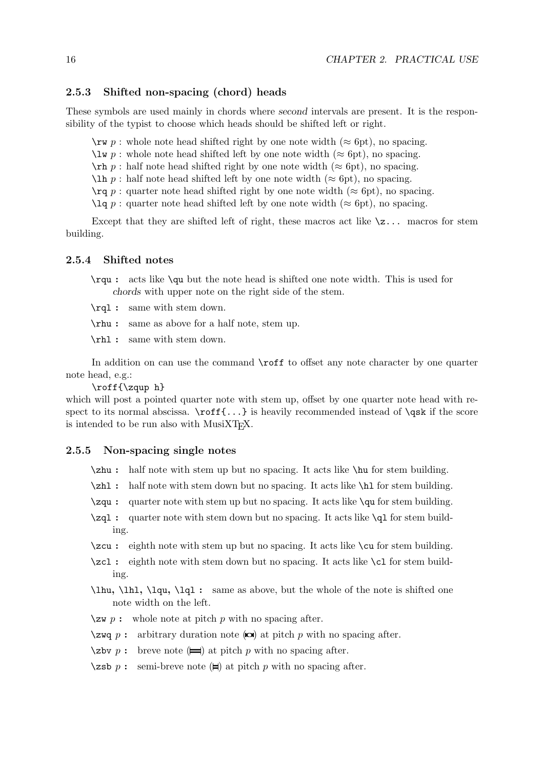#### 2.5.3 Shifted non-spacing (chord) heads

These symbols are used mainly in chords where second intervals are present. It is the responsibility of the typist to choose which heads should be shifted left or right.

 $\forall$ rw p : whole note head shifted right by one note width ( $\approx$  6pt), no spacing.

 $\lambda w p$ : whole note head shifted left by one note width ( $\approx$  6pt), no spacing.

 $\mathcal{L}_{r}$  p : half note head shifted right by one note width ( $\approx$  6pt), no spacing.

 $\ln p$ : half note head shifted left by one note width (≈ 6pt), no spacing.

 $\text{Tr}q p$ : quarter note head shifted right by one note width ( $\approx 6$ pt), no spacing.

 $\lceil \log p \rceil$  quarter note head shifted left by one note width ( $\approx 6pt$ ), no spacing.

Except that they are shifted left of right, these macros act like  $\zeta$ ... macros for stem building.

#### 2.5.4 Shifted notes

\rqu : acts like \qu but the note head is shifted one note width. This is used for chords with upper note on the right side of the stem.

\rql : same with stem down.

\rhu : same as above for a half note, stem up.

\rhl : same with stem down.

In addition on can use the command **\roff** to offset any note character by one quarter note head, e.g.:

\roff{\zqup h}

which will post a pointed quarter note with stem up, offset by one quarter note head with respect to its normal abscissa.  $\ref{...}$  is heavily recommended instead of  $\q$ sk if the score is intended to be run also with MusiXTEX.

#### 2.5.5 Non-spacing single notes

- \zhu : half note with stem up but no spacing. It acts like \hu for stem building.
- \zhl : half note with stem down but no spacing. It acts like \hl for stem building.
- \zqu : quarter note with stem up but no spacing. It acts like \qu for stem building.
- \zql : quarter note with stem down but no spacing. It acts like \ql for stem building.
- \zcu : eighth note with stem up but no spacing. It acts like \cu for stem building.
- \zcl : eighth note with stem down but no spacing. It acts like \cl for stem building.
- \lhu, \lhl, \lqu, \lql : same as above, but the whole of the note is shifted one note width on the left.
- $\angle$ zw p : whole note at pitch p with no spacing after.
- $\zeta$ zwq p : arbitrary duration note ( $\omega$ ) at pitch p with no spacing after.
- \zbv  $p$ : breve note  $(\equiv)$  at pitch p with no spacing after.
- \zsb p : semi-breve note  $(\equiv)$  at pitch p with no spacing after.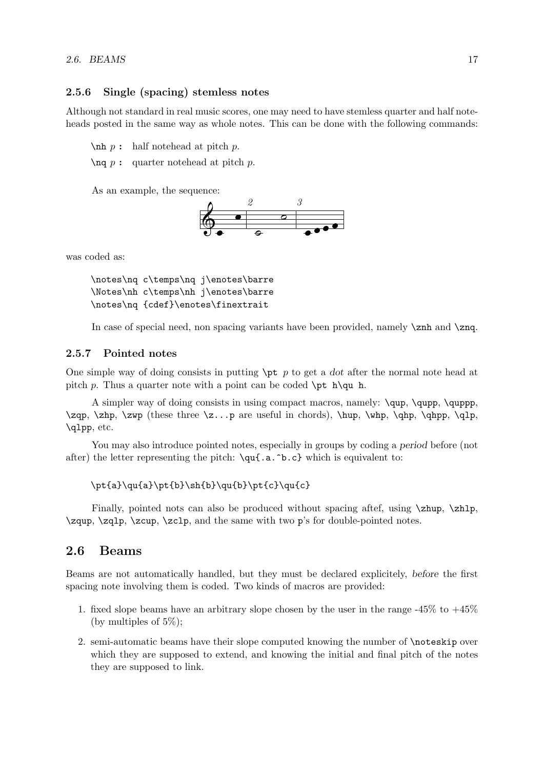#### 2.5.6 Single (spacing) stemless notes

Although not standard in real music scores, one may need to have stemless quarter and half noteheads posted in the same way as whole notes. This can be done with the following commands:

 $\nh p : \nh$  notehead at pitch p.

 $\ln q$  p : quarter notehead at pitch p.

As an example, the sequence:



was coded as:

\notes\nq c\temps\nq j\enotes\barre \Notes\nh c\temps\nh j\enotes\barre \notes\nq {cdef}\enotes\finextrait

In case of special need, non spacing variants have been provided, namely  $\zeta$ nh and  $\zeta$ nq.

#### 2.5.7 Pointed notes

One simple way of doing consists in putting  $\pi$  to get a dot after the normal note head at pitch p. Thus a quarter note with a point can be coded  $\pi h\qquad$ h.

A simpler way of doing consists in using compact macros, namely: \qup, \qupp, \quppp,  $\zeta$ ,  $\zeta$  (these three  $\zeta$ ...p are useful in chords),  $\hbar$ ,  $\qh$ p,  $\qh$ p,  $\qh$ p,  $\qh$ p,  $\qh$ p,  $\qh$ \qlpp, etc.

You may also introduce pointed notes, especially in groups by coding a period before (not after) the letter representing the pitch:  $\qu{a.\hat{b.c}}$  which is equivalent to:

#### \pt{a}\qu{a}\pt{b}\sh{b}\qu{b}\pt{c}\qu{c}

Finally, pointed nots can also be produced without spacing after, using  $\zeta \to \zeta$ , \zqup, \zqlp, \zcup, \zclp, and the same with two p's for double-pointed notes.

# 2.6 Beams

Beams are not automatically handled, but they must be declared explicitely, before the first spacing note involving them is coded. Two kinds of macros are provided:

- 1. fixed slope beams have an arbitrary slope chosen by the user in the range  $-45\%$  to  $+45\%$ (by multiples of  $5\%$ );
- 2. semi-automatic beams have their slope computed knowing the number of \noteskip over which they are supposed to extend, and knowing the initial and final pitch of the notes they are supposed to link.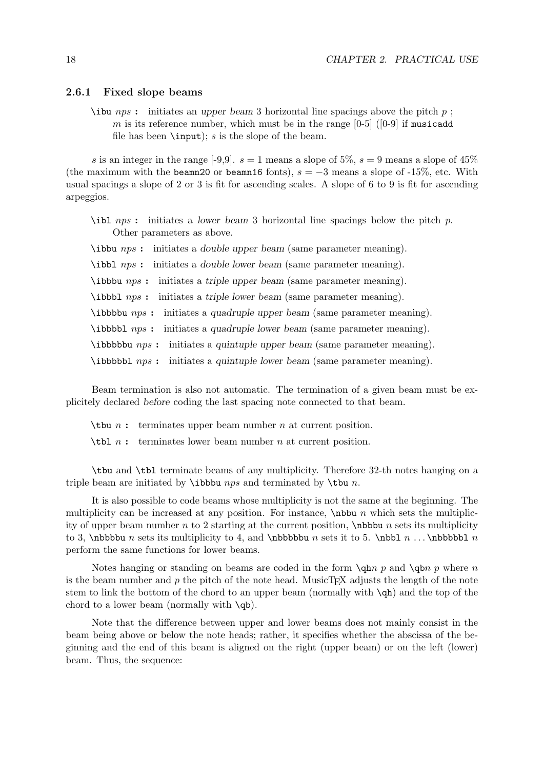#### 2.6.1 Fixed slope beams

\ibu nps : initiates an upper beam 3 horizontal line spacings above the pitch p; m is its reference number, which must be in the range  $[0-5]$  ( $[0-9]$  if musicadd file has been  $\infty$ ; s is the slope of the beam.

s is an integer in the range [-9,9].  $s = 1$  means a slope of 5%,  $s = 9$  means a slope of 45% (the maximum with the beamn20 or beamn16 fonts),  $s = -3$  means a slope of -15%, etc. With usual spacings a slope of 2 or 3 is fit for ascending scales. A slope of 6 to 9 is fit for ascending arpeggios.

 $\tilde{\text{lab}}$  initiates a lower beam 3 horizontal line spacings below the pitch p. Other parameters as above.

\ibbu nps : initiates a double upper beam (same parameter meaning).

\ibbl nps : initiates a double lower beam (same parameter meaning).

\ibbbu nps : initiates a triple upper beam (same parameter meaning).

\ibbbl nps : initiates a triple lower beam (same parameter meaning).

\ibbbbu nps : initiates a quadruple upper beam (same parameter meaning).

\ibbbbl nps : initiates a quadruple lower beam (same parameter meaning).

\ibbbbbu nps : initiates a quintuple upper beam (same parameter meaning).

\ibbbbbl nps : initiates a quintuple lower beam (same parameter meaning).

Beam termination is also not automatic. The termination of a given beam must be explicitely declared before coding the last spacing note connected to that beam.

 $\theta$  is terminates upper beam number *n* at current position.

\tbl n : terminates lower beam number n at current position.

\tbu and \tbl terminate beams of any multiplicity. Therefore 32-th notes hanging on a triple beam are initiated by  $\iota$  bobbu nps and terminated by  $\iota$  to n.

It is also possible to code beams whose multiplicity is not the same at the beginning. The multiplicity can be increased at any position. For instance,  $\hbar$  which sets the multiplicity of upper beam number n to 2 starting at the current position,  $\hbar b$ bbu n sets its multiplicity to 3, \nbbbbu n sets its multiplicity to 4, and \nbbbbblu n sets it to 5. \nbbl  $n \ldots$  \nbbbbbl n perform the same functions for lower beams.

Notes hanging or standing on beams are coded in the form  $\qquad$   $\qquad$   $\qquad$   $\qquad$   $\qquad$   $\qquad$   $\qquad$   $\qquad$   $\qquad$   $\qquad$   $\qquad$   $\qquad$   $\qquad$   $\qquad$   $\qquad$   $\qquad$   $\qquad$   $\qquad$   $\qquad$   $\qquad$   $\qquad$   $\qquad$   $\qquad$   $\qquad$   $\qquad$   $\qquad$   $\qquad$   $\$ is the beam number and  $p$  the pitch of the note head. MusicT<sub>EX</sub> adjusts the length of the note stem to link the bottom of the chord to an upper beam (normally with \qh) and the top of the chord to a lower beam (normally with  $\qquadvarphi)$ ).

Note that the difference between upper and lower beams does not mainly consist in the beam being above or below the note heads; rather, it specifies whether the abscissa of the beginning and the end of this beam is aligned on the right (upper beam) or on the left (lower) beam. Thus, the sequence: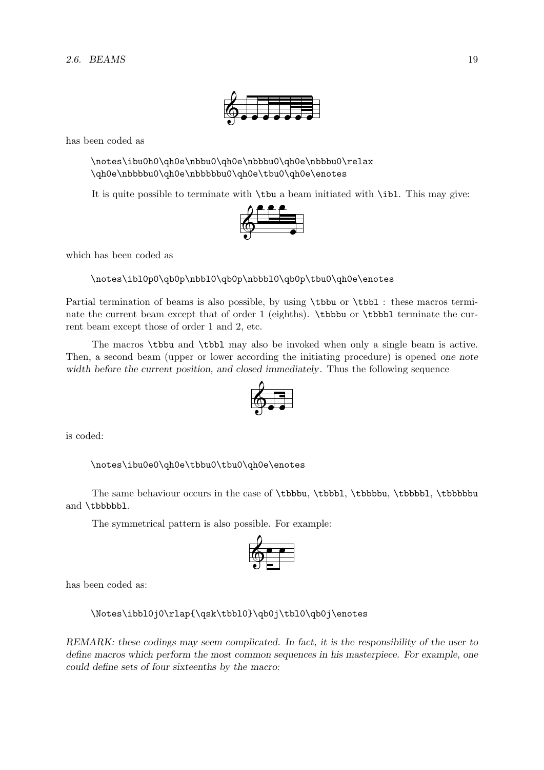has been coded as

\notes\ibu0h0\qh0e\nbbu0\qh0e\nbbbu0\qh0e\nbbbu0\relax \qh0e\nbbbbu0\qh0e\nbbbbu0\qh0e\tbu0\qh0e\enotes

It is quite possible to terminate with  $\theta$  a beam initiated with  $\theta$ . This may give:<br>  $\theta \in \theta$ 



which has been coded as

\notes\ibl0p0\qb0p\nbbl0\qb0p\nbbbl0\qb0p\tbu0\qh0e\enotes

Partial termination of beams is also possible, by using  $\tbb{bbu}$  or  $\tbb{bb1}$ : these macros terminate the current beam except that of order 1 (eighths). \tbbbu or \tbbbl terminate the current beam except those of order 1 and 2, etc.

The macros \tbbu and \tbbl may also be invoked when only a single beam is active. Then, a second beam (upper or lower according the initiating procedure) is opened one note width before the current position, and closed immediately. Thus the following sequence



is coded:

\notes\ibu0e0\qh0e\tbbu0\tbu0\qh0e\enotes

The same behaviour occurs in the case of \tbbbu, \tbbbl, \tbbbbu, \tbbbbl, \tbbbbbu and \tbbbbbl.

The symmetrical pattern is also possible. For example:



has been coded as:

\Notes\ibbl0j0\rlap{\qsk\tbbl0}\qb0j\tbl0\qb0j\enotes

REMARK: these codings may seem complicated. In fact, it is the responsibility of the user to define macros which perform the most common sequences in his masterpiece. For example, one could define sets of four sixteenths by the macro: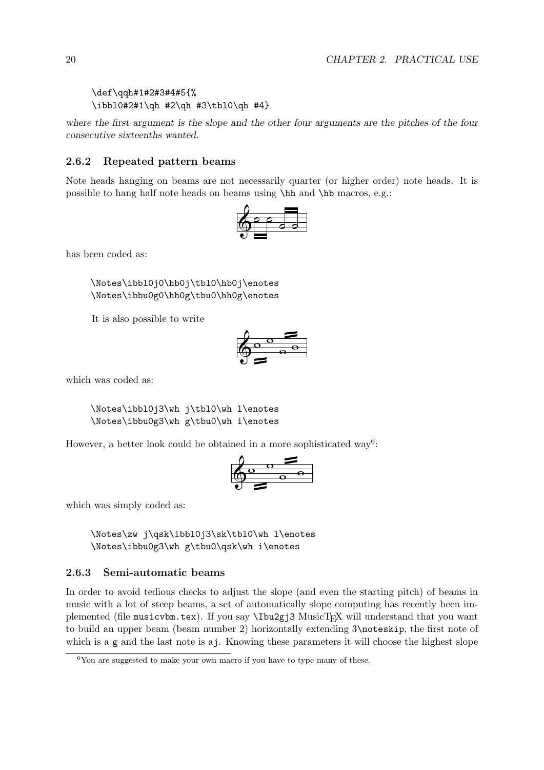```
\def\qqh#1#2#3#4#5{%
\ibbl0#2#1\qh #2\qh #3\tbl0\qh #4}
```
where the first argument is the slope and the other four arguments are the pitches of the four consecutive sixteenths wanted.

### 2.6.2 Repeated pattern beams

Note heads hanging on beams are not necessarily quarter (or higher order) note heads. It is possible to hang half note heads on beams using \hh and \hb macros, e.g.:



has been coded as:

\Notes\ibbl0j0\hb0j\tbl0\hb0j\enotes \Notes\ibbu0g0\hh0g\tbu0\hh0g\enotes

It is also possible to write



which was coded as:

\Notes\ibbl0j3\wh j\tbl0\wh l\enotes \Notes\ibbu0g3\wh g\tbu0\wh i\enotes

However, a better look could be obtained in a more sophisticated way<sup>6</sup>:



which was simply coded as:

\Notes\zw j\qsk\ibbl0j3\sk\tbl0\wh l\enotes \Notes\ibbu0g3\wh g\tbu0\qsk\wh i\enotes

#### 2.6.3 Semi-automatic beams

In order to avoid tedious checks to adjust the slope (and even the starting pitch) of beams in music with a lot of steep beams, a set of automatically slope computing has recently been implemented (file musicvbm.tex). If you say \Ibu2gj3 MusicTEX will understand that you want to build an upper beam (beam number 2) horizontally extending 3\noteskip, the first note of which is a g and the last note is a j. Knowing these parameters it will choose the highest slope

 ${}^{6}$ You are suggested to make your own macro if you have to type many of these.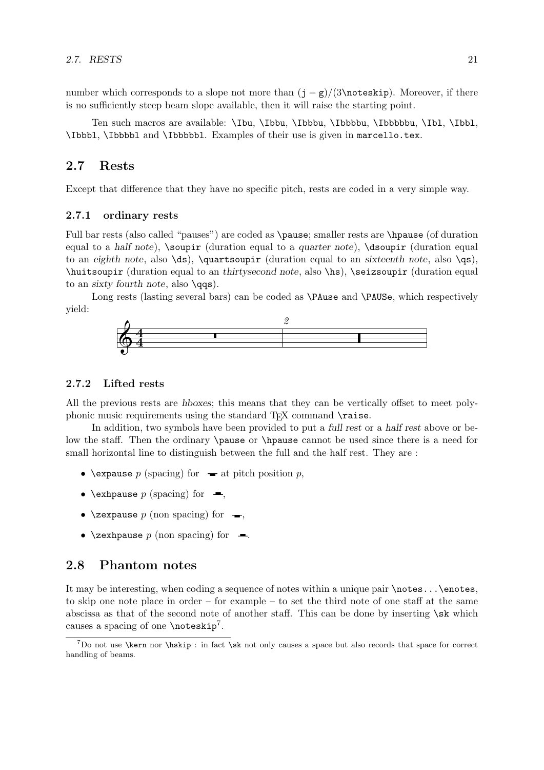number which corresponds to a slope not more than  $(j - g)/(3 \cdot k)$ . Moreover, if there is no sufficiently steep beam slope available, then it will raise the starting point.

Ten such macros are available: \Ibu, \Ibbu, \Ibbbu, \Ibbbbu, \Ibbbbbu, \Ibl, \Ibbl, \Ibbbl, \Ibbbbl and \Ibbbbbl. Examples of their use is given in marcello.tex.

# 2.7 Rests

Except that difference that they have no specific pitch, rests are coded in a very simple way.

#### 2.7.1 ordinary rests

Full bar rests (also called "pauses") are coded as \pause; smaller rests are \hpause (of duration equal to a half note), \soupir (duration equal to a quarter note), \dsoupir (duration equal to an eighth note, also  $\ds)$ ,  $\quartsoupir$  (duration equal to an sixteenth note, also  $\gs)$ ,  $\hbar$  (duration equal to an thirtysecond note, also  $\hbar$ ),  $\searrow$  (duration equal  $\hbar$ ) to an sixty fourth note, also  $\qquadmathsf{qqs}.$ 

Long rests (lasting several bars) can be coded as **\PAuse** and **\PAUSe**, which respectively yield:



#### 2.7.2 Lifted rests

All the previous rests are hboxes; this means that they can be vertically offset to meet polyphonic music requirements using the standard  $T<sub>F</sub>X$  command  $\text{raise.}$ 

In addition, two symbols have been provided to put a full rest or a half rest above or below the staff. Then the ordinary \pause or \hpause cannot be used since there is a need for small horizontal line to distinguish between the full and the half rest. They are :

- \expause p (spacing) for  $\bullet$  at pitch position p,
- \exhpause p (spacing) for  $\blacksquare$ ,
- \zexpause  $p$  (non spacing) for  $\rightarrow$ ,
- \zexhpause  $p$  (non spacing) for  $\blacksquare$ .

### 2.8 Phantom notes

It may be interesting, when coding a sequence of notes within a unique pair  $\not\in$ ... $\enotes$ , to skip one note place in order – for example – to set the third note of one staff at the same abscissa as that of the second note of another staff. This can be done by inserting \sk which causes a spacing of one \noteskip<sup>7</sup>.

 $^7$ Do not use **\kern** nor **\hskip** : in fact **\sk** not only causes a space but also records that space for correct handling of beams.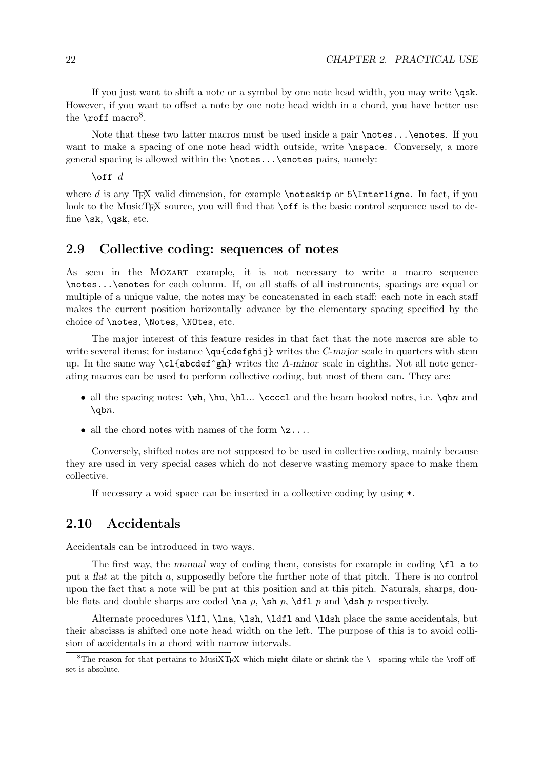If you just want to shift a note or a symbol by one note head width, you may write  $\qquad$ However, if you want to offset a note by one note head width in a chord, you have better use the  $\text{roff macro}^8$ .

Note that these two latter macros must be used inside a pair \notes...\enotes. If you want to make a spacing of one note head width outside, write \nspace. Conversely, a more general spacing is allowed within the \notes...\enotes pairs, namely:

 $\text{of} f \, d$ 

where  $d$  is any T<sub>E</sub>X valid dimension, for example \noteskip or 5\Interligne. In fact, if you look to the MusicT<sub>E</sub>X source, you will find that  $\of$ f is the basic control sequence used to define  $\sk$ ,  $\qquad$ sk, etc.

### 2.9 Collective coding: sequences of notes

As seen in the MOZART example, it is not necessary to write a macro sequence \notes...\enotes for each column. If, on all staffs of all instruments, spacings are equal or multiple of a unique value, the notes may be concatenated in each staff: each note in each staff makes the current position horizontally advance by the elementary spacing specified by the choice of **\notes**, **\Notes**, **\NOtes**, etc.

The major interest of this feature resides in that fact that the note macros are able to write several items; for instance  $\qu{\c{cdefghi}\}\$  writes the *C-major* scale in quarters with stem up. In the same way  $c1$  {abcdef^gh} writes the A-minor scale in eighths. Not all note generating macros can be used to perform collective coding, but most of them can. They are:

- all the spacing notes:  $\wedge \hbar$ ,  $\hbar$ ...  $\cccd$  and the beam hooked notes, i.e.  $\qquad$  and  $\qquad$
- all the chord notes with names of the form  $\zeta_2 \ldots$

Conversely, shifted notes are not supposed to be used in collective coding, mainly because they are used in very special cases which do not deserve wasting memory space to make them collective.

If necessary a void space can be inserted in a collective coding by using \*.

# 2.10 Accidentals

Accidentals can be introduced in two ways.

The first way, the manual way of coding them, consists for example in coding \fl a to put a flat at the pitch a, supposedly before the further note of that pitch. There is no control upon the fact that a note will be put at this position and at this pitch. Naturals, sharps, double flats and double sharps are coded  $\na p$ ,  $\sh p$ ,  $\al f$  p and  $\sh p$  respectively.

Alternate procedures \lfl, \lna, \lsh, \ldfl and \ldsh place the same accidentals, but their abscissa is shifted one note head width on the left. The purpose of this is to avoid collision of accidentals in a chord with narrow intervals.

<sup>&</sup>lt;sup>8</sup>The reason for that pertains to MusiXT<sub>E</sub>X which might dilate or shrink the \ spacing while the \roff offset is absolute.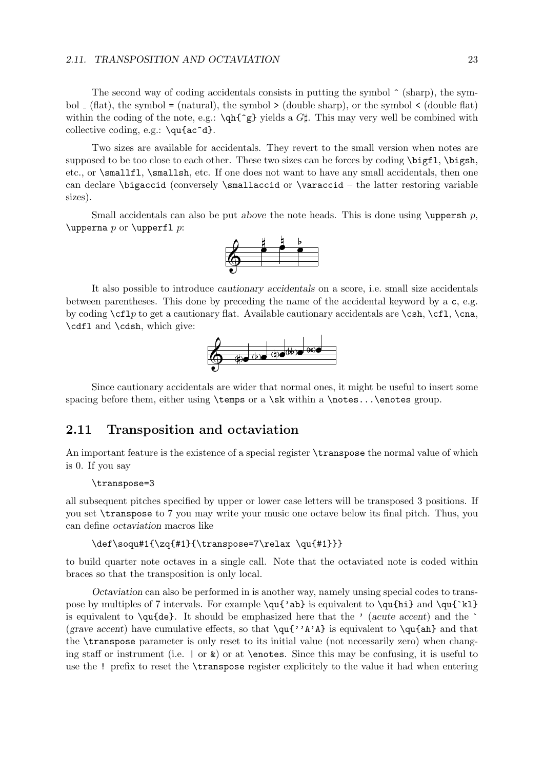#### 2.11. TRANSPOSITION AND OCTAVIATION 23

The second way of coding accidentals consists in putting the symbol  $\hat{\ }$  (sharp), the symbol  $\angle$  (flat), the symbol = (natural), the symbol > (double sharp), or the symbol < (double flat) within the coding of the note, e.g.:  $\qquad \qquad \qquad$  yields a  $G\sharp$ . This may very well be combined with collective coding, e.g.: \qu{ac^d}.

Two sizes are available for accidentals. They revert to the small version when notes are supposed to be too close to each other. These two sizes can be forces by coding \bigfl, \bigsh, etc., or \smallfl, \smallsh, etc. If one does not want to have any small accidentals, then one can declare \bigaccid (conversely \smallaccid or \varaccid – the latter restoring variable sizes).

Small accidentals can also be put above the note heads. This is done using  $\text{upper} \text{sn } p$ ,  $\text{upperna } p \text{ or } \text{upper1 } p$ :



It also possible to introduce cautionary accidentals on a score, i.e. small size accidentals between parentheses. This done by preceding the name of the accidental keyword by a c, e.g. by coding  $\ctan \cosh$  to get a cautionary flat. Available cautionary accidentals are  $\cosh \cosh \cosh$ ,  $\cosh$ \cdfl and \cdsh, which give:



Since cautionary accidentals are wider that normal ones, it might be useful to insert some spacing before them, either using  $\times$  a  $\sk$  within a  $\not\$ otes... $\enotes$  group.

# 2.11 Transposition and octaviation

An important feature is the existence of a special register \transpose the normal value of which is 0. If you say

#### \transpose=3

all subsequent pitches specified by upper or lower case letters will be transposed 3 positions. If you set \transpose to 7 you may write your music one octave below its final pitch. Thus, you can define octaviation macros like

#### \def\soqu#1{\zq{#1}{\transpose=7\relax \qu{#1}}}

to build quarter note octaves in a single call. Note that the octaviated note is coded within braces so that the transposition is only local.

Octaviation can also be performed in is another way, namely unsing special codes to transpose by multiples of 7 intervals. For example  $\qu{'ab}$  is equivalent to  $\qu{hi}$  and  $\qu{`kl}$ is equivalent to  $\qquad$ qu{de}. It should be emphasized here that the ' (acute accent) and the  $\qquad$ (grave accent) have cumulative effects, so that  $\qu{'}A'A'$  is equivalent to  $\qu{ah}$  and that the \transpose parameter is only reset to its initial value (not necessarily zero) when changing staff or instrument (i.e.  $\vert$  or  $\&$ ) or at \enotes. Since this may be confusing, it is useful to use the ! prefix to reset the \transpose register explicitely to the value it had when entering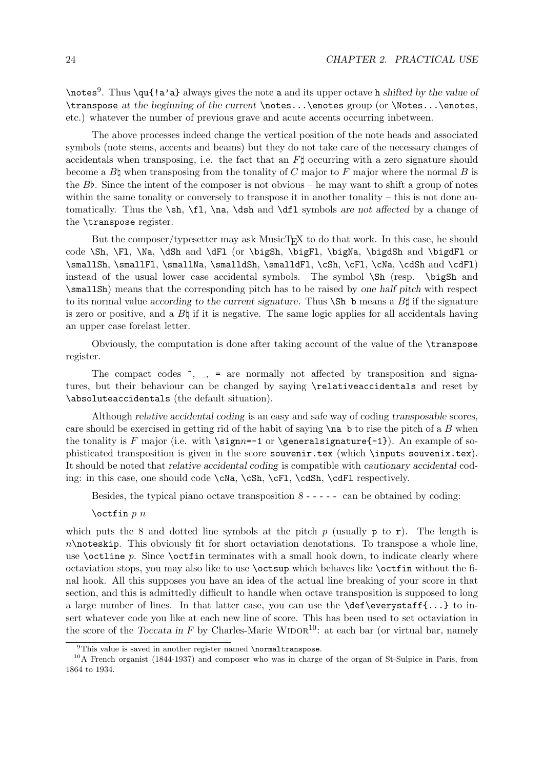\notes<sup>9</sup>. Thus \qu{!a'a} always gives the note a and its upper octave h shifted by the value of \transpose at the beginning of the current \notes...\enotes group (or \Notes...\enotes, etc.) whatever the number of previous grave and acute accents occurring inbetween.

The above processes indeed change the vertical position of the note heads and associated symbols (note stems, accents and beams) but they do not take care of the necessary changes of accidentals when transposing, i.e. the fact that an  $F\sharp$  occurring with a zero signature should become a  $B\natural$  when transposing from the tonality of C major to F major where the normal B is the  $B\flat$ . Since the intent of the composer is not obvious – he may want to shift a group of notes within the same tonality or conversely to transpose it in another tonality – this is not done automatically. Thus the  $\sh$ ,  $f1$ ,  $\na$ ,  $\dsh$  and  $\df1$  symbols are not affected by a change of the \transpose register.

But the composer/typesetter may ask MusicT<sub>EX</sub> to do that work. In this case, he should code \Sh, \Fl, \Na, \dSh and \dFl (or \bigSh, \bigFl, \bigNa, \bigdSh and \bigdFl or \smallSh, \smallFl, \smallNa, \smalldSh, \smalldFl, \cSh, \cFl, \cNa, \cdSh and \cdFl) instead of the usual lower case accidental symbols. The symbol  $\Sh$  (resp.  $\big\}$  and \smallSh) means that the corresponding pitch has to be raised by one half pitch with respect to its normal value according to the current signature. Thus  $\mathcal{S}$ h b means a  $B\sharp$  if the signature is zero or positive, and a  $B\natural$  if it is negative. The same logic applies for all accidentals having an upper case forelast letter.

Obviously, the computation is done after taking account of the value of the \transpose register.

The compact codes  $\hat{\ }$ ,  $\hat{\ }$ , = are normally not affected by transposition and signatures, but their behaviour can be changed by saying \relativeaccidentals and reset by \absoluteaccidentals (the default situation).

Although relative accidental coding is an easy and safe way of coding transposable scores, care should be exercised in getting rid of the habit of saying  $\na$  b to rise the pitch of a B when the tonality is F major (i.e. with  $\sigma=-1$  or  $\qquad$ eneral signature $\{-1\}$ ). An example of sophisticated transposition is given in the score souvenir.tex (which \inputs souvenix.tex). It should be noted that relative accidental coding is compatible with cautionary accidental coding: in this case, one should code \cNa, \cSh, \cFl, \cdSh, \cdFl respectively.

Besides, the typical piano octave transposition  $8 - - - - -$  can be obtained by coding:

 $\operatorname{locfin} p$  *n* 

which puts the 8 and dotted line symbols at the pitch p (usually  $p$  to r). The length is  $n\$ abort octaviation denotations. To transpose a whole line, use  $\octline p$ . Since  $\octline$  terminates with a small hook down, to indicate clearly where octaviation stops, you may also like to use \octsup which behaves like \octfin without the final hook. All this supposes you have an idea of the actual line breaking of your score in that section, and this is admittedly difficult to handle when octave transposition is supposed to long a large number of lines. In that latter case, you can use the  $\def\ee{...}$  to insert whatever code you like at each new line of score. This has been used to set octaviation in the score of the Toccata in F by Charles-Marie WIDOR<sup>10</sup>: at each bar (or virtual bar, namely

 $^{9}$ This value is saved in another register named \normaltranspose.

<sup>10</sup>A French organist (1844-1937) and composer who was in charge of the organ of St-Sulpice in Paris, from 1864 to 1934.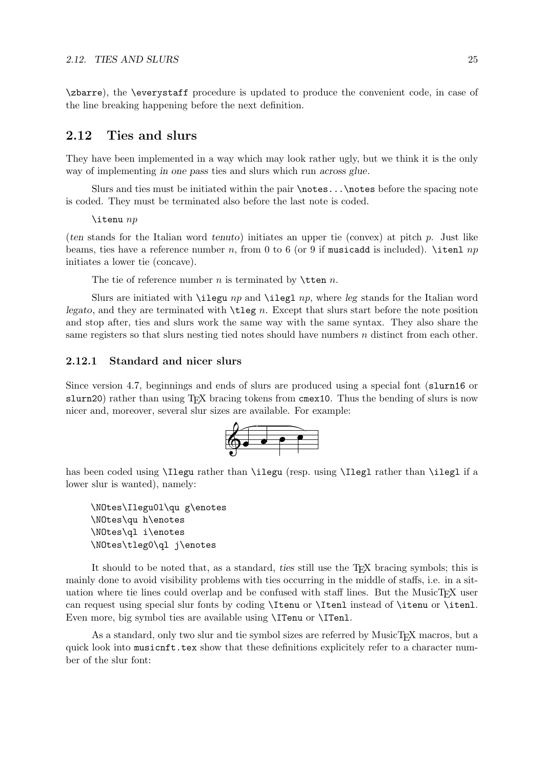\zbarre), the \everystaff procedure is updated to produce the convenient code, in case of the line breaking happening before the next definition.

# 2.12 Ties and slurs

They have been implemented in a way which may look rather ugly, but we think it is the only way of implementing in one pass ties and slurs which run across glue.

Slurs and ties must be initiated within the pair \notes...\notes before the spacing note is coded. They must be terminated also before the last note is coded.

 $\lambda$ itenu  $np$ 

(ten stands for the Italian word tenuto) initiates an upper tie (convex) at pitch p. Just like beams, ties have a reference number n, from 0 to 6 (or 9 if musicadd is included). \itenl  $np$ initiates a lower tie (concave).

The tie of reference number  $n$  is terminated by  $\theta$ .

Slurs are initiated with  $\iota$  legu np and  $\iota$  ilegl np, where leg stands for the Italian word legato, and they are terminated with  $\theta$ . Except that slurs start before the note position and stop after, ties and slurs work the same way with the same syntax. They also share the same registers so that slurs nesting tied notes should have numbers n distinct from each other.

#### 2.12.1 Standard and nicer slurs

Since version 4.7, beginnings and ends of slurs are produced using a special font (slurn16 or slurn20) rather than using T<sub>EX</sub> bracing tokens from cmex10. Thus the bending of slurs is now nicer and, moreover, several slur sizes are available. For example:



has been coded using **\Ilegu** rather than **\ilegu** (resp. using **\Ilegl** rather than **\ilegl** if a lower slur is wanted), namely:

\NOtes\Ilegu0l\qu g\enotes \NOtes\qu h\enotes \NOtes\ql i\enotes \NOtes\tleg0\ql j\enotes

It should to be noted that, as a standard, ties still use the TEX bracing symbols; this is mainly done to avoid visibility problems with ties occurring in the middle of staffs, i.e. in a situation where tie lines could overlap and be confused with staff lines. But the MusicT $\cancel{F}X$  user can request using special slur fonts by coding \Itenu or \Itenl instead of \itenu or \itenl. Even more, big symbol ties are available using **\ITenu** or **\ITenl.** 

As a standard, only two slur and tie symbol sizes are referred by MusicT<sub>EX</sub> macros, but a quick look into musicnft.tex show that these definitions explicitely refer to a character number of the slur font: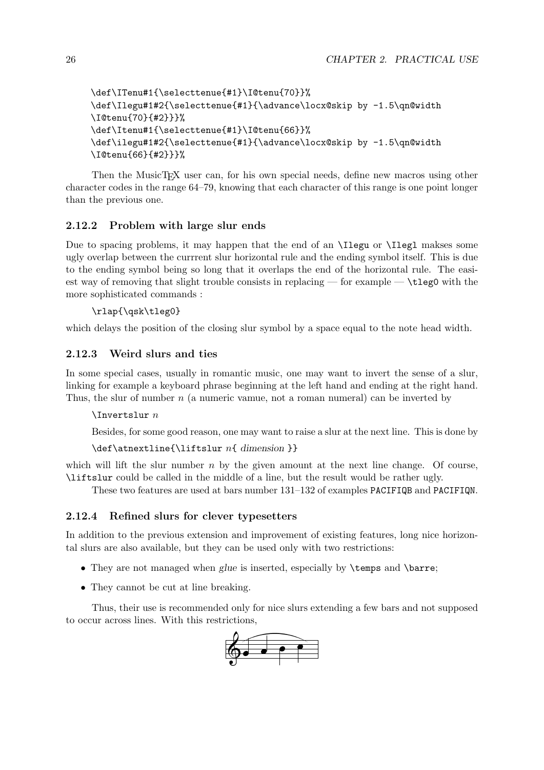```
\def\ITenu#1{\selecttenue{#1}\I@tenu{70}}%
\def\Ilegu#1#2{\selecttenue{#1}{\advance\locx@skip by -1.5\qn@width
\I@tenu{70}{#2}}}%
\def\Itenu#1{\selecttenue{#1}\I@tenu{66}}%
\def\ilegu#1#2{\selecttenue{#1}{\advance\locx@skip by -1.5\qn@width
\I@tenu{66}{#2}}}%
```
Then the MusicT<sub>E</sub>X user can, for his own special needs, define new macros using other character codes in the range 64–79, knowing that each character of this range is one point longer than the previous one.

### 2.12.2 Problem with large slur ends

Due to spacing problems, it may happen that the end of an \Ilegu or \Ilegl makses some ugly overlap between the currrent slur horizontal rule and the ending symbol itself. This is due to the ending symbol being so long that it overlaps the end of the horizontal rule. The easiest way of removing that slight trouble consists in replacing — for example  $\rightarrow \text{tleg0 with the}$ more sophisticated commands :

#### \rlap{\qsk\tleg0}

which delays the position of the closing slur symbol by a space equal to the note head width.

#### 2.12.3 Weird slurs and ties

In some special cases, usually in romantic music, one may want to invert the sense of a slur, linking for example a keyboard phrase beginning at the left hand and ending at the right hand. Thus, the slur of number  $n$  (a numeric vamue, not a roman numeral) can be inverted by

#### $\Lambda$ Invertslur  $n$

Besides, for some good reason, one may want to raise a slur at the next line. This is done by

```
\det\atop{\line{\mathrm{liftslur}}\nightharpoonup n\ dimension }
```
which will lift the slur number  $n$  by the given amount at the next line change. Of course, \liftslur could be called in the middle of a line, but the result would be rather ugly.

These two features are used at bars number 131–132 of examples PACIFIQB and PACIFIQN.

#### 2.12.4 Refined slurs for clever typesetters

In addition to the previous extension and improvement of existing features, long nice horizontal slurs are also available, but they can be used only with two restrictions:

- They are not managed when glue is inserted, especially by \temps and \barre;
- They cannot be cut at line breaking.

Thus, their use is recommended only for nice slurs extending a few bars and not supposed to occur across lines. With this restrictions,

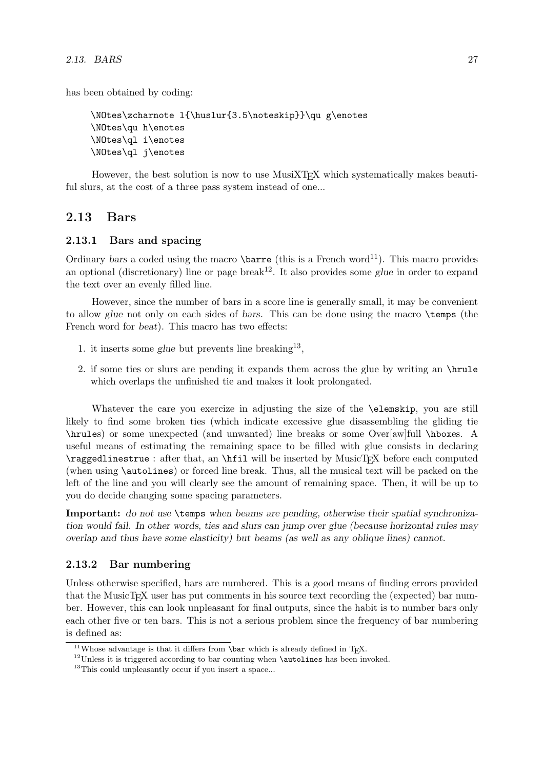has been obtained by coding:

```
\NOtes\zcharnote l{\huslur{3.5\noteskip}}\qu g\enotes
\NOtes\qu h\enotes
\NOtes\ql i\enotes
\NOtes\ql j\enotes
```
However, the best solution is now to use MusiXT<sub>F</sub>X which systematically makes beautiful slurs, at the cost of a three pass system instead of one...

# 2.13 Bars

#### 2.13.1 Bars and spacing

Ordinary bars a coded using the macro  $\bar{\theta}$  (this is a French word<sup>11</sup>). This macro provides an optional (discretionary) line or page break<sup>12</sup>. It also provides some glue in order to expand the text over an evenly filled line.

However, since the number of bars in a score line is generally small, it may be convenient to allow glue not only on each sides of bars. This can be done using the macro \temps (the French word for beat). This macro has two effects:

- 1. it inserts some glue but prevents line breaking<sup>13</sup>,
- 2. if some ties or slurs are pending it expands them across the glue by writing an \hrule which overlaps the unfinished tie and makes it look prolongated.

Whatever the care you exercize in adjusting the size of the **\elemskip**, you are still likely to find some broken ties (which indicate excessive glue disassembling the gliding tie \hrules) or some unexpected (and unwanted) line breaks or some Over[aw]full \hboxes. A useful means of estimating the remaining space to be filled with glue consists in declaring  $\text{ragedline}$ : after that, an  $\hbar$  will be inserted by MusicT<sub>EX</sub> before each computed (when using \autolines) or forced line break. Thus, all the musical text will be packed on the left of the line and you will clearly see the amount of remaining space. Then, it will be up to you do decide changing some spacing parameters.

Important: do not use \temps when beams are pending, otherwise their spatial synchronization would fail. In other words, ties and slurs can jump over glue (because horizontal rules may overlap and thus have some elasticity) but beams (as well as any oblique lines) cannot.

#### 2.13.2 Bar numbering

Unless otherwise specified, bars are numbered. This is a good means of finding errors provided that the MusicTEX user has put comments in his source text recording the (expected) bar number. However, this can look unpleasant for final outputs, since the habit is to number bars only each other five or ten bars. This is not a serious problem since the frequency of bar numbering is defined as:

 $11$ Whose advantage is that it differs from \bar which is already defined in TEX.

 $12$ Unless it is triggered according to bar counting when **\autolines** has been invoked.

<sup>&</sup>lt;sup>13</sup>This could unpleasantly occur if you insert a space...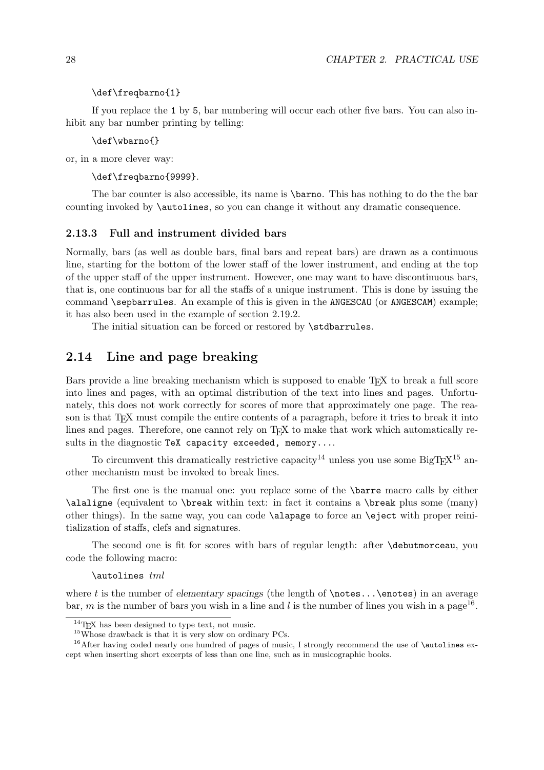#### \def\freqbarno{1}

If you replace the 1 by 5, bar numbering will occur each other five bars. You can also inhibit any bar number printing by telling:

\def\wbarno{}

or, in a more clever way:

\def\freqbarno{9999}.

The bar counter is also accessible, its name is \barno. This has nothing to do the the bar counting invoked by \autolines, so you can change it without any dramatic consequence.

#### 2.13.3 Full and instrument divided bars

Normally, bars (as well as double bars, final bars and repeat bars) are drawn as a continuous line, starting for the bottom of the lower staff of the lower instrument, and ending at the top of the upper staff of the upper instrument. However, one may want to have discontinuous bars, that is, one continuous bar for all the staffs of a unique instrument. This is done by issuing the command **\sepbarrules**. An example of this is given in the **ANGESCAO** (or **ANGESCAM**) example; it has also been used in the example of section 2.19.2.

The initial situation can be forced or restored by \stdbarrules.

# 2.14 Line and page breaking

Bars provide a line breaking mechanism which is supposed to enable T<sub>E</sub>X to break a full score into lines and pages, with an optimal distribution of the text into lines and pages. Unfortunately, this does not work correctly for scores of more that approximately one page. The reason is that T<sub>EX</sub> must compile the entire contents of a paragraph, before it tries to break it into lines and pages. Therefore, one cannot rely on T<sub>EX</sub> to make that work which automatically results in the diagnostic TeX capacity exceeded, memory....

To circumvent this dramatically restrictive capacity<sup>14</sup> unless you use some BigT<sub>E</sub>X<sup>15</sup> another mechanism must be invoked to break lines.

The first one is the manual one: you replace some of the \barre macro calls by either \alaligne (equivalent to \break within text: in fact it contains a \break plus some (many) other things). In the same way, you can code \alapage to force an \eject with proper reinitialization of staffs, clefs and signatures.

The second one is fit for scores with bars of regular length: after \debutmorceau, you code the following macro:

\autolines tml

where t is the number of elementary spacings (the length of  $\notesize{\backslash\}$ notes... $\footnotesize{\backslash\}$ enotes) in an average bar, m is the number of bars you wish in a line and l is the number of lines you wish in a page<sup>16</sup>.

 $14$ T<sub>E</sub>X has been designed to type text, not music.

 $^{15}$ Whose drawback is that it is very slow on ordinary PCs.

 $16$ After having coded nearly one hundred of pages of music, I strongly recommend the use of \autolines except when inserting short excerpts of less than one line, such as in musicographic books.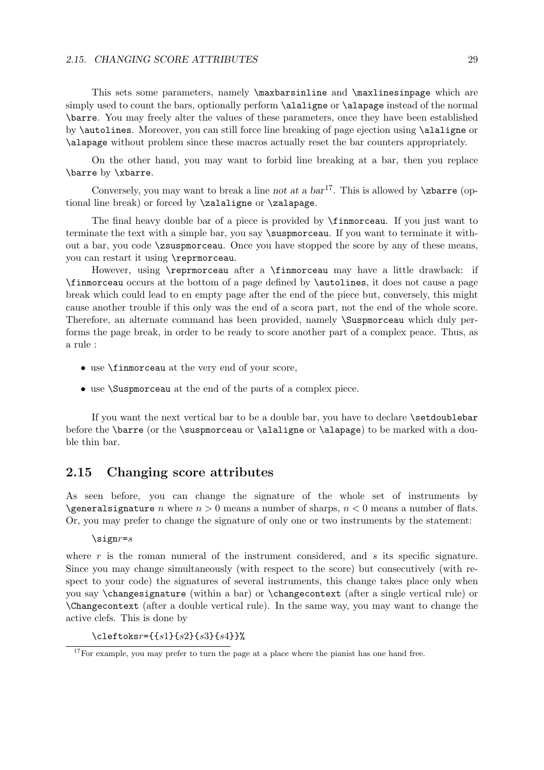#### 2.15. CHANGING SCORE ATTRIBUTES 29

This sets some parameters, namely \maxbarsinline and \maxlinesinpage which are simply used to count the bars, optionally perform \alaligne or \alapage instead of the normal \barre. You may freely alter the values of these parameters, once they have been established by \autolines. Moreover, you can still force line breaking of page ejection using \alaligne or \alapage without problem since these macros actually reset the bar counters appropriately.

On the other hand, you may want to forbid line breaking at a bar, then you replace \barre by \xbarre.

Conversely, you may want to break a line not at a  $bar^{17}$ . This is allowed by  $\zeta$ barre (optional line break) or forced by \zalaligne or \zalapage.

The final heavy double bar of a piece is provided by \finmorceau. If you just want to terminate the text with a simple bar, you say  $\sum_{s}$  is uspmortiangled. If you want to terminate it without a bar, you code \zsuspmorceau. Once you have stopped the score by any of these means, you can restart it using \reprmorceau.

However, using \reprmorceau after a \finmorceau may have a little drawback: if \finmorceau occurs at the bottom of a page defined by \autolines, it does not cause a page break which could lead to en empty page after the end of the piece but, conversely, this might cause another trouble if this only was the end of a scora part, not the end of the whole score. Therefore, an alternate command has been provided, namely \Suspmorceau which duly performs the page break, in order to be ready to score another part of a complex peace. Thus, as a rule :

- use \finmorceau at the very end of your score,
- use \Suspmorceau at the end of the parts of a complex piece.

If you want the next vertical bar to be a double bar, you have to declare \setdoublebar before the **\barre** (or the **\suspmorceau** or **\alaligne** or **\alapage**) to be marked with a double thin bar.

## 2.15 Changing score attributes

As seen before, you can change the signature of the whole set of instruments by \generalsignature n where  $n > 0$  means a number of sharps,  $n < 0$  means a number of flats. Or, you may prefer to change the signature of only one or two instruments by the statement:

 $\text{sign}r = s$ 

where r is the roman numeral of the instrument considered, and s its specific signature. Since you may change simultaneously (with respect to the score) but consecutively (with respect to your code) the signatures of several instruments, this change takes place only when you say \changesignature (within a bar) or \changecontext (after a single vertical rule) or \Changecontext (after a double vertical rule). In the same way, you may want to change the active clefs. This is done by

 $\text{cleftoks} = \{ \{ s1\} \{ s2\} \{ s3\} \{ s4\} \}$ 

<sup>&</sup>lt;sup>17</sup>For example, you may prefer to turn the page at a place where the pianist has one hand free.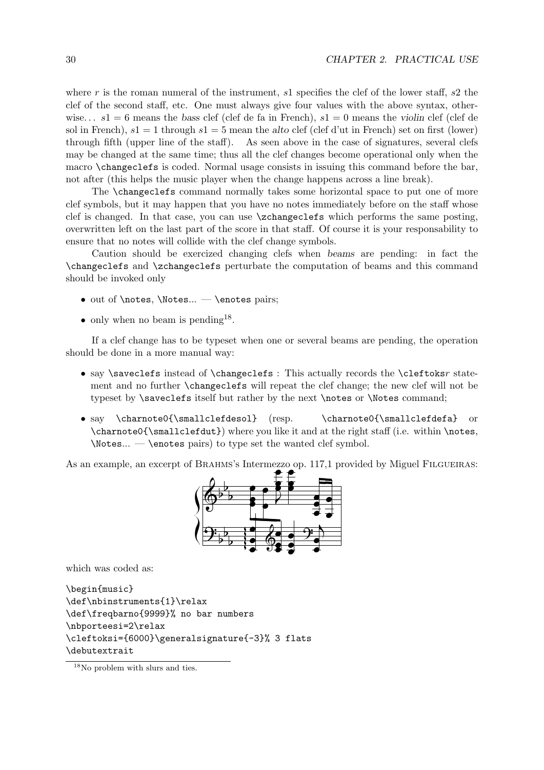where r is the roman numeral of the instrument,  $s1$  specifies the clef of the lower staff,  $s2$  the clef of the second staff, etc. One must always give four values with the above syntax, otherwise...  $s1 = 6$  means the bass clef (clef de fa in French),  $s1 = 0$  means the violin clef (clef de sol in French),  $s1 = 1$  through  $s1 = 5$  mean the alto clef (clef d'ut in French) set on first (lower) through fifth (upper line of the staff). As seen above in the case of signatures, several clefs may be changed at the same time; thus all the clef changes become operational only when the macro \changeclefs is coded. Normal usage consists in issuing this command before the bar, not after (this helps the music player when the change happens across a line break).

The \changeclefs command normally takes some horizontal space to put one of more clef symbols, but it may happen that you have no notes immediately before on the staff whose clef is changed. In that case, you can use \zchangeclefs which performs the same posting, overwritten left on the last part of the score in that staff. Of course it is your responsability to ensure that no notes will collide with the clef change symbols.

Caution should be exercized changing clefs when beams are pending: in fact the \changeclefs and \zchangeclefs perturbate the computation of beams and this command should be invoked only

- $\bullet$  out of \notes, \Notes... \enotes pairs;
- only when no beam is pending<sup>18</sup>.

If a clef change has to be typeset when one or several beams are pending, the operation should be done in a more manual way:

- say \saveclefs instead of \changeclefs : This actually records the \cleftoksr statement and no further \changeclefs will repeat the clef change; the new clef will not be typeset by **\saveclefs** itself but rather by the next **\notes** or **\Notes** command;
- say \charnote0{\smallclefdesol} (resp. \charnote0{\smallclefdefa} or  $\{\mathrm{dut}\}\$  where you like it and at the right staff (i.e. within  $\n$ notes, \Notes... — \enotes pairs) to type set the wanted clef symbol.

As an example, an excerpt of BRAHMS's Intermezzo op. 117,1 provided by Miguel FILGUEIRAS:



which was coded as:

```
\begin{music}
\def\nbinstruments{1}\relax
\def\freqbarno{9999}% no bar numbers
\nbporteesi=2\relax
\cleftoksi={6000}\generalsignature{-3}% 3 flats
\debutextrait
```
<sup>&</sup>lt;sup>18</sup>No problem with slurs and ties.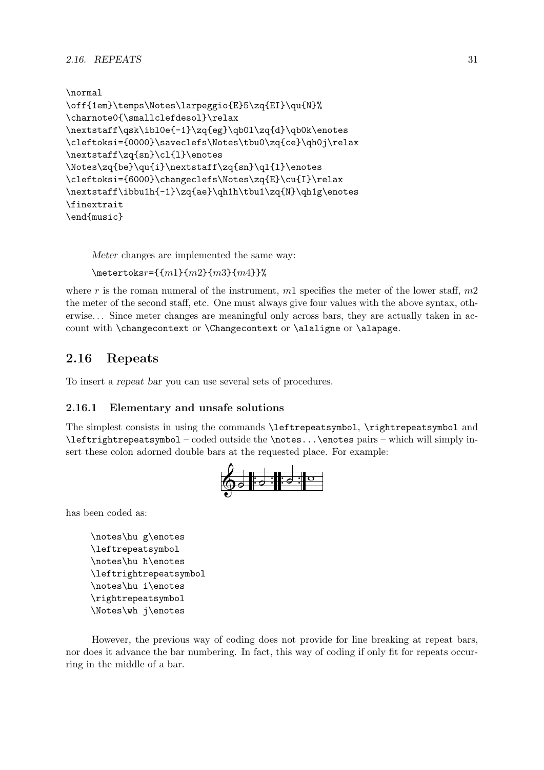```
\normal
\off{1em}\temps\Notes\larpeggio{E}5\zq{EI}\qu{N}%
\charnote0{\smallclefdesol}\relax
\nextstaff\qsk\ibl0e{-1}\zq{eg}\qb0l\zq{d}\qb0k\enotes
\cleftoksi={0000}\saveclefs\Notes\tbu0\zq{ce}\qh0j\relax
\nextstaff\zq{sn}\cl{l}\enotes
\Notes\zq{be}\qu{i}\nextstaff\zq{sn}\ql{l}\enotes
\cleftoksi={6000}\changeclefs\Notes\zq{E}\cu{I}\relax
\nextstaff\ibbu1h{-1}\zq{ae}\qh1h\tbu1\zq{N}\qh1g\enotes
\finextrait
\end{music}
```
Meter changes are implemented the same way:

```
\text{intertoks}r={{m1}{m2}{m3}{m4}}%
```
where r is the roman numeral of the instrument,  $m1$  specifies the meter of the lower staff,  $m2$ the meter of the second staff, etc. One must always give four values with the above syntax, otherwise. . . Since meter changes are meaningful only across bars, they are actually taken in account with \changecontext or \Changecontext or \alaligne or \alapage.

# 2.16 Repeats

To insert a repeat bar you can use several sets of procedures.

## 2.16.1 Elementary and unsafe solutions

The simplest consists in using the commands \leftrepeatsymbol, \rightrepeatsymbol and \leftrightrepeatsymbol – coded outside the \notes...\enotes pairs – which will simply insert these colon adorned double bars at the requested place. For example:



has been coded as:

\notes\hu g\enotes \leftrepeatsymbol \notes\hu h\enotes \leftrightrepeatsymbol \notes\hu i\enotes \rightrepeatsymbol \Notes\wh j\enotes

However, the previous way of coding does not provide for line breaking at repeat bars, nor does it advance the bar numbering. In fact, this way of coding if only fit for repeats occurring in the middle of a bar.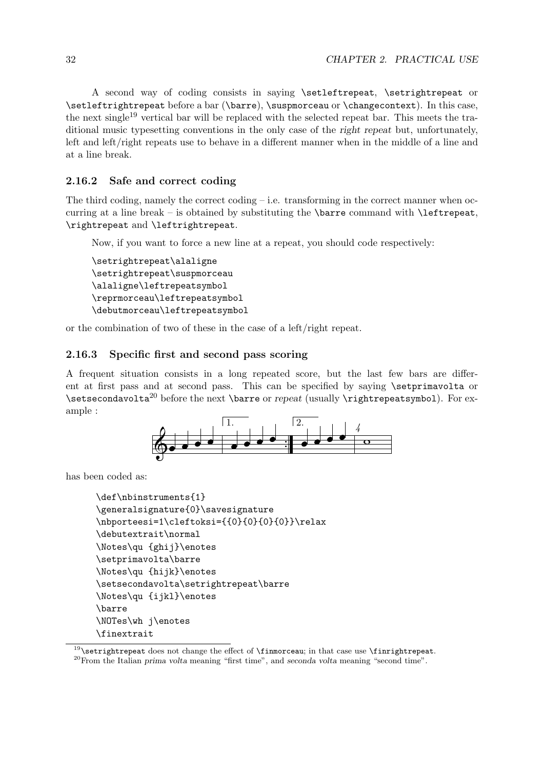A second way of coding consists in saying \setleftrepeat, \setrightrepeat or \setleftrightrepeat before a bar (\barre), \suspmorceau or \changecontext). In this case, the next single<sup>19</sup> vertical bar will be replaced with the selected repeat bar. This meets the traditional music typesetting conventions in the only case of the right repeat but, unfortunately, left and left/right repeats use to behave in a different manner when in the middle of a line and at a line break.

### 2.16.2 Safe and correct coding

The third coding, namely the correct coding  $-$  i.e. transforming in the correct manner when occurring at a line break – is obtained by substituting the  $\bar{c}$  command with  $\left( \bar{c} \right)$ \rightrepeat and \leftrightrepeat.

Now, if you want to force a new line at a repeat, you should code respectively:

```
\setrightrepeat\alaligne
\setrightrepeat\suspmorceau
\alaligne\leftrepeatsymbol
\reprmorceau\leftrepeatsymbol
\debutmorceau\leftrepeatsymbol
```
or the combination of two of these in the case of a left/right repeat.

#### 2.16.3 Specific first and second pass scoring

A frequent situation consists in a long repeated score, but the last few bars are different at first pass and at second pass. This can be specified by saying **\setprimavolta** or  $\setminus$ setsecondavolta<sup>20</sup> before the next  $\bar{c}$  or repeat (usually  $\rightarrow$  rightrepeatsymbol). For example :



has been coded as:

```
\def\nbinstruments{1}
\generalsignature{0}\savesignature
\nbporteesi=1\cleftoksi={{0}{0}{0}{0}}\relax
\debutextrait\normal
\Notes\qu {ghij}\enotes
\setprimavolta\barre
\Notes\qu {hijk}\enotes
\setsecondavolta\setrightrepeat\barre
\Notes\qu {ijkl}\enotes
\barre
\NOTes\wh j\enotes
\finextrait
```
 $19$ \setrightrepeat does not change the effect of \finmorceau; in that case use \finrightrepeat.  $^{20}$ From the Italian prima volta meaning "first time", and seconda volta meaning "second time".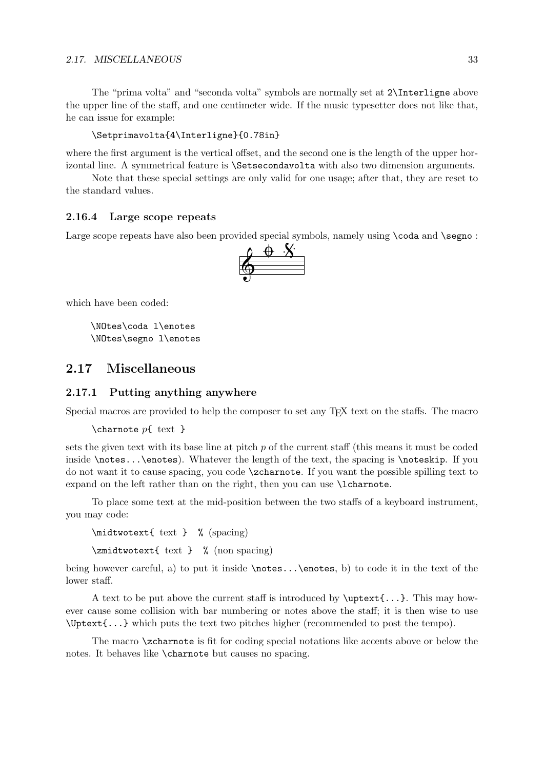The "prima volta" and "seconda volta" symbols are normally set at 2\Interligne above the upper line of the staff, and one centimeter wide. If the music typesetter does not like that, he can issue for example:

\Setprimavolta{4\Interligne}{0.78in}

where the first argument is the vertical offset, and the second one is the length of the upper horizontal line. A symmetrical feature is \Setsecondavolta with also two dimension arguments.

Note that these special settings are only valid for one usage; after that, they are reset to the standard values.

#### 2.16.4 Large scope repeats

Large scope repeats have also been provided special symbols, namely using **\coda** and **\segno**:



which have been coded:

\NOtes\coda l\enotes \NOtes\segno l\enotes

# 2.17 Miscellaneous

#### 2.17.1 Putting anything anywhere

Special macros are provided to help the composer to set any T<sub>E</sub>X text on the staffs. The macro

```
\charnote p\{\text{text }\}
```
sets the given text with its base line at pitch  $p$  of the current staff (this means it must be coded inside \notes...\enotes). Whatever the length of the text, the spacing is \noteskip. If you do not want it to cause spacing, you code \zcharnote. If you want the possible spilling text to expand on the left rather than on the right, then you can use \lcharnote.

To place some text at the mid-position between the two staffs of a keyboard instrument, you may code:

\midtwotext{ text } % (spacing) \zmidtwotext{ text } % (non spacing)

being however careful, a) to put it inside \notes...\enotes, b) to code it in the text of the lower staff.

A text to be put above the current staff is introduced by  $\text{t.t.} \ldots$ . ever cause some collision with bar numbering or notes above the staff; it is then wise to use \Uptext{...} which puts the text two pitches higher (recommended to post the tempo).

The macro **\zcharnote** is fit for coding special notations like accents above or below the notes. It behaves like \charnote but causes no spacing.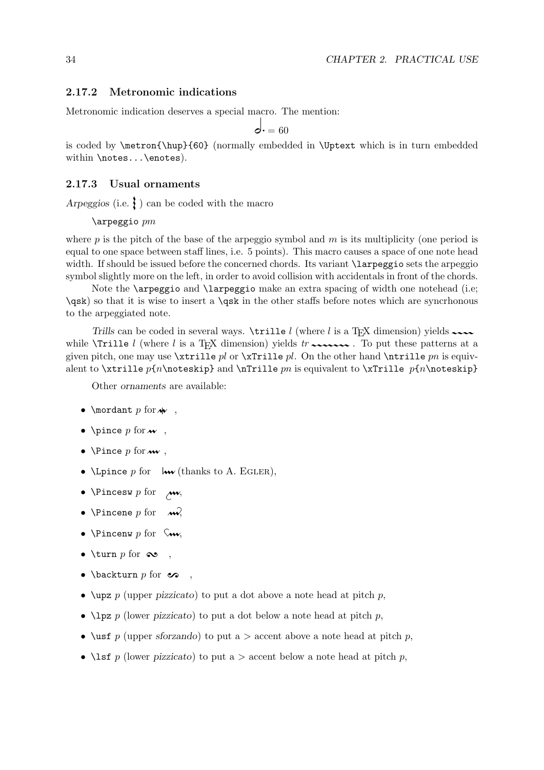#### 2.17.2 Metronomic indications

Metronomic indication deserves a special macro. The mention:

$$
\mathsf{d} \cdot = 60
$$

is coded by \metron{\hup}{60} (normally embedded in \Uptext which is in turn embedded within \notes...\enotes).

#### 2.17.3 Usual ornaments

Arpeggios (i.e.  $\}$ ) can be coded with the macro

\arpeggio pm

where  $p$  is the pitch of the base of the arpeggio symbol and  $m$  is its multiplicity (one period is equal to one space between staff lines, i.e. 5 points). This macro causes a space of one note head width. If should be issued before the concerned chords. Its variant \larpeggio sets the arpeggio symbol slightly more on the left, in order to avoid collision with accidentals in front of the chords.

Note the **\arpeggio** and **\larpeggio** make an extra spacing of width one notehead (i.e; \qsk) so that it is wise to insert a \qsk in the other staffs before notes which are syncrhonous to the arpeggiated note.

Trills can be coded in several ways.  $\trm{while } l$  (where l is a T<sub>EX</sub> dimension) yields  $\cdots$ while  $\text{Vrille } l$  (where l is a T<sub>EX</sub> dimension) yields tr  $\sim$ given pitch, one may use  $\xtrille$  pl or  $\xtrille$  pl. On the other hand  $\ntrille$  pn is equivalent to \xtrille  $p\{n\not\in\mathbb{R}^n$  and \nTrille pn is equivalent to \xTrille  $p\{n\not\in\mathbb{R}^n\}$ 

Other ornaments are available:

- \mordant  $p$  for  $\sim$  ,
- \pince  $p$  for  $w$ ,
- \Pince  $p$  for  $\mathbf{w}$ ,
- \Lpince p for  $\mathsf{Iw}$  (thanks to A. EGLER),
- \Pincesw  $p$  for  $\rightarrow w$ ,
- \Pincene p for  $\sim$
- \Pincenw p for  $\mathcal{L}_{\mathbf{w}}$ ,
- \turn p for  $\infty$ ,
- \backturn  $p$  for  $\infty$
- $\u_{\text{upz } p}$  (upper pizzicato) to put a dot above a note head at pitch p,
- $\ln p$  (lower pizzicato) to put a dot below a note head at pitch p,
- \ust p (upper sforzando) to put a > accent above a note head at pitch p,
- \lsf p (lower pizzicato) to put a  $>$  accent below a note head at pitch p,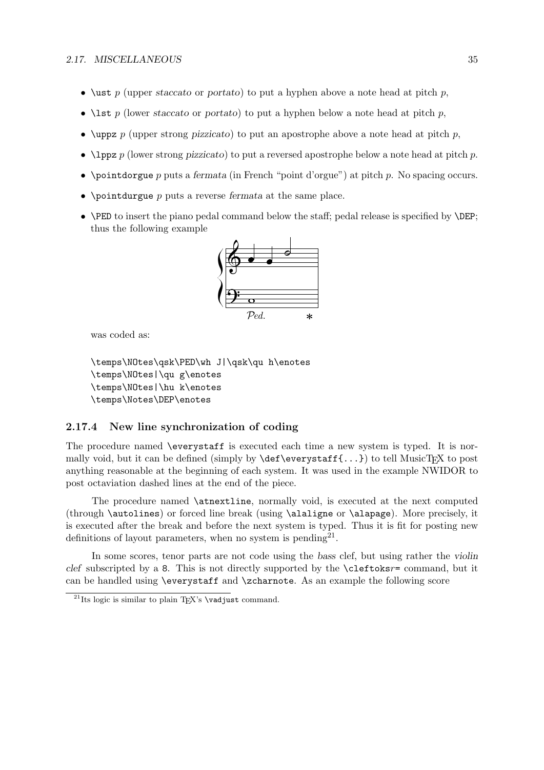- \ust p (upper staccato or portato) to put a hyphen above a note head at pitch p,
- \lst p (lower staccato or portato) to put a hyphen below a note head at pitch p,
- \uppz p (upper strong pizzicato) to put an apostrophe above a note head at pitch p,
- $\lvert \text{1ppz } p \rvert$  (lower strong pizzicato) to put a reversed apostrophe below a note head at pitch p.
- \pointdorgue  $p$  puts a fermata (in French "point d'orgue") at pitch  $p$ . No spacing occurs.
- \pointdurgue  $p$  puts a reverse fermata at the same place.
- \PED to insert the piano pedal command below the staff; pedal release is specified by \DEP; thus the following example



was coded as:

\temps\NOtes\qsk\PED\wh J|\qsk\qu h\enotes \temps\NOtes|\qu g\enotes \temps\NOtes|\hu k\enotes \temps\Notes\DEP\enotes

### 2.17.4 New line synchronization of coding

The procedure named \everystaff is executed each time a new system is typed. It is normally void, but it can be defined (simply by  $\def\ver{...}$ ) to tell MusicTEX to post anything reasonable at the beginning of each system. It was used in the example NWIDOR to post octaviation dashed lines at the end of the piece.

The procedure named \atnextline, normally void, is executed at the next computed (through \autolines) or forced line break (using \alaligne or \alapage). More precisely, it is executed after the break and before the next system is typed. Thus it is fit for posting new definitions of layout parameters, when no system is pending<sup>21</sup>.

In some scores, tenor parts are not code using the bass clef, but using rather the violin clef subscripted by a 8. This is not directly supported by the \cleftoksr= command, but it can be handled using \everystaff and \zcharnote. As an example the following score

<sup>&</sup>lt;sup>21</sup>Its logic is similar to plain T<sub>E</sub>X's \vadjust command.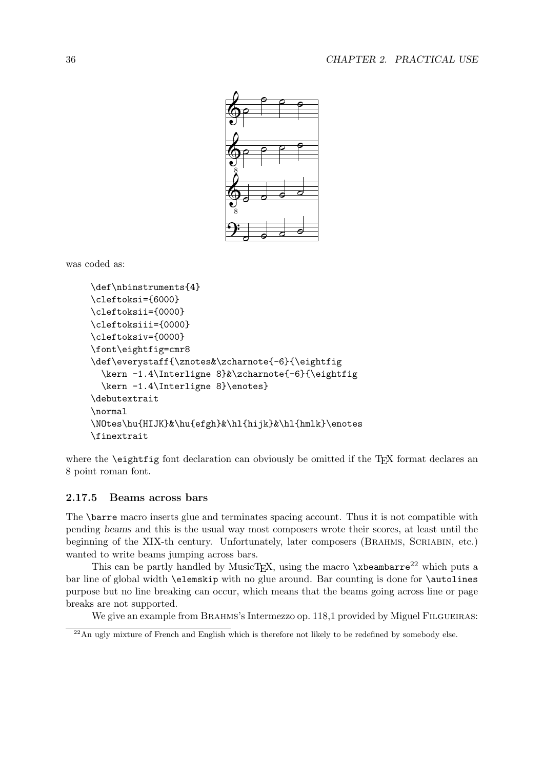

was coded as:

```
\def\nbinstruments{4}
\cleftoksi={6000}
\cleftoksii={0000}
\cleftoksiii={0000}
\cleftoksiv={0000}
\font\eightfig=cmr8
\def\everystaff{\znotes&\zcharnote{-6}{\eightfig
  \kern -1.4\Interligne 8}&\zcharnote{-6}{\eightfig
  \kern -1.4\Interligne 8}\enotes}
\debutextrait
\normal
\NOtes\hu{HIJK}&\hu{efgh}&\hl{hijk}&\hl{hmlk}\enotes
\finextrait
```
where the **\eightfig** font declaration can obviously be omitted if the T<sub>E</sub>X format declares an 8 point roman font.

#### 2.17.5 Beams across bars

The \barre macro inserts glue and terminates spacing account. Thus it is not compatible with pending beams and this is the usual way most composers wrote their scores, at least until the beginning of the XIX-th century. Unfortunately, later composers (BRAHMS, SCRIABIN, etc.) wanted to write beams jumping across bars.

This can be partly handled by MusicT<sub>E</sub>X, using the macro  $\x$ beambarre<sup>22</sup> which puts a bar line of global width **\elemskip** with no glue around. Bar counting is done for **\autolines** purpose but no line breaking can occur, which means that the beams going across line or page breaks are not supported.

We give an example from BRAHMS's Intermezzo op. 118,1 provided by Miguel FILGUEIRAS:

<sup>&</sup>lt;sup>22</sup>An ugly mixture of French and English which is therefore not likely to be redefined by somebody else.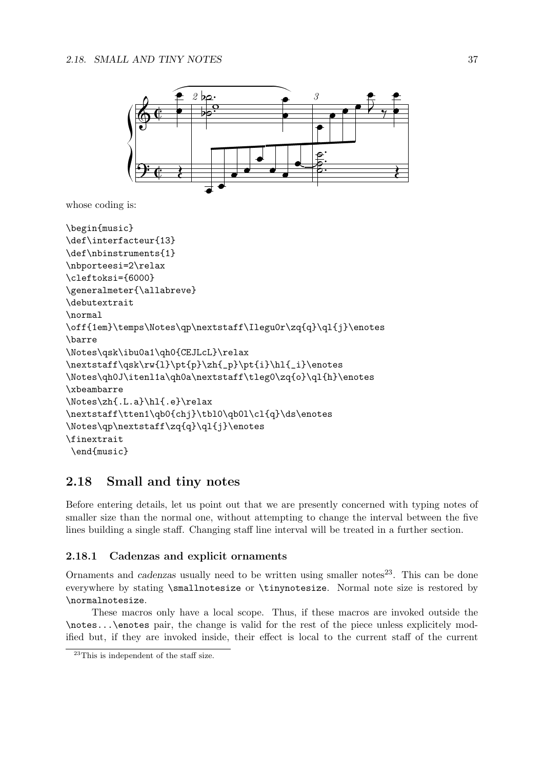

whose coding is:

```
\begin{music}
\def\interfacteur{13}
\def\nbinstruments{1}
\nbporteesi=2\relax
\cleftoksi={6000}
\generalmeter{\allabreve}
\debutextrait
\normal
\off{1em}\temps\Notes\qp\nextstaff\Ilegu0r\zq{q}\ql{j}\enotes
\barre
\Notes\qsk\ibu0a1\qh0{CEJLcL}\relax
\nextstaff\qsk\rw{l}\pt{p}\zh{_p}\pt{i}\hl{_i}\enotes
\Notes\qh0J\itenl1a\qh0a\nextstaff\tleg0\zq{o}\ql{h}\enotes
\xbeambarre
\Notes\zh{.L.a}\hl{.e}\relax
\nextstaff\tten1\qb0{chj}\tbl0\qb0l\cl{q}\ds\enotes
\Notes\qp\nextstaff\zq{q}\ql{j}\enotes
\finextrait
 \end{music}
```
# 2.18 Small and tiny notes

Before entering details, let us point out that we are presently concerned with typing notes of smaller size than the normal one, without attempting to change the interval between the five lines building a single staff. Changing staff line interval will be treated in a further section.

#### 2.18.1 Cadenzas and explicit ornaments

Ornaments and cadenzas usually need to be written using smaller notes<sup>23</sup>. This can be done everywhere by stating \smallnotesize or \tinynotesize. Normal note size is restored by \normalnotesize.

These macros only have a local scope. Thus, if these macros are invoked outside the \notes...\enotes pair, the change is valid for the rest of the piece unless explicitely modified but, if they are invoked inside, their effect is local to the current staff of the current

<sup>23</sup>This is independent of the staff size.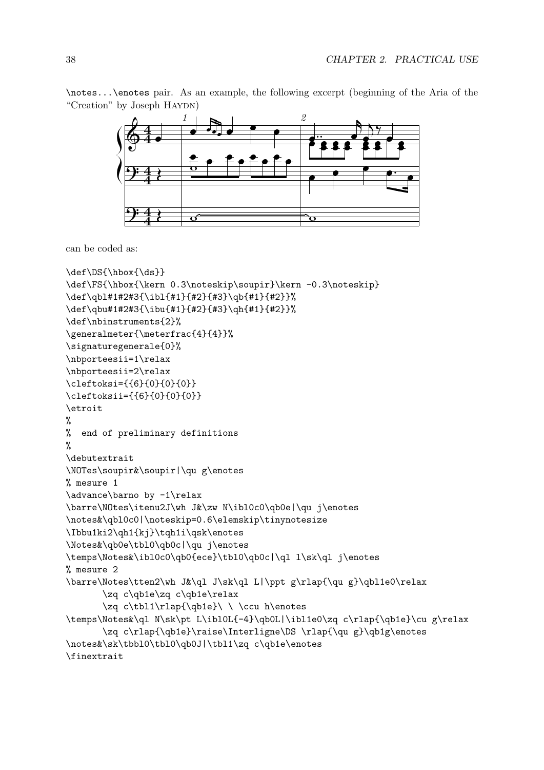\notes...\enotes pair. As an example, the following excerpt (beginning of the Aria of the "Creation" by Joseph HAYDN)



can be coded as:

```
\def\DS{\hbox{\ds}}
\def\FS{\hbox{\kern 0.3\noteskip\soupir}\kern -0.3\noteskip}
\def\qbl#1#2#3{\ibl{#1}{#2}{#3}\qb{#1}{#2}}%
\def\qbu#1#2#3{\ibu{#1}{#2}{#3}\qh{#1}{#2}}%
\def\nbinstruments{2}%
\generalmeter{\meterfrac{4}{4}}%
\signaturegenerale{0}%
\nbporteesii=1\relax
\nbporteesii=2\relax
\cleftoksi={{6}{0}{0}{0}}
\cleftoksii={{6}{0}{0}{0}}
\etroit
%
% end of preliminary definitions
\gamma\debutextrait
\NOTes\soupir&\soupir|\qu g\enotes
% mesure 1
\advance\barno by -1\relax
\barre\NOtes\itenu2J\wh J&\zw N\ibl0c0\qb0e|\qu j\enotes
\notes&\qbl0c0|\noteskip=0.6\elemskip\tinynotesize
\Ibbu1ki2\qh1{kj}\tqh1i\qsk\enotes
\Notes&\qb0e\tbl0\qb0c|\qu j\enotes
\temps\Notes&\ibl0c0\qb0{ece}\tbl0\qb0c|\ql l\sk\ql j\enotes
% mesure 2
\barre\Notes\tten2\wh J&\ql J\sk\ql L|\ppt g\rlap{\qu g}\qbl1e0\relax
       \zq c\qb1e\zq c\qb1e\relax
       \zeta c\tbl1\rlap{\qb1e}\ \ \ccu h\enotes
\temps\Notes&\ql N\sk\pt L\ibl0L{-4}\qb0L|\ibl1e0\zq c\rlap{\qb1e}\cu g\relax
       \zq c\rlap{\qb1e}\raise\Interligne\DS \rlap{\qu g}\qb1g\enotes
\notes&\sk\tbbl0\tbl0\qb0J|\tbl1\zq c\qb1e\enotes
\finextrait
```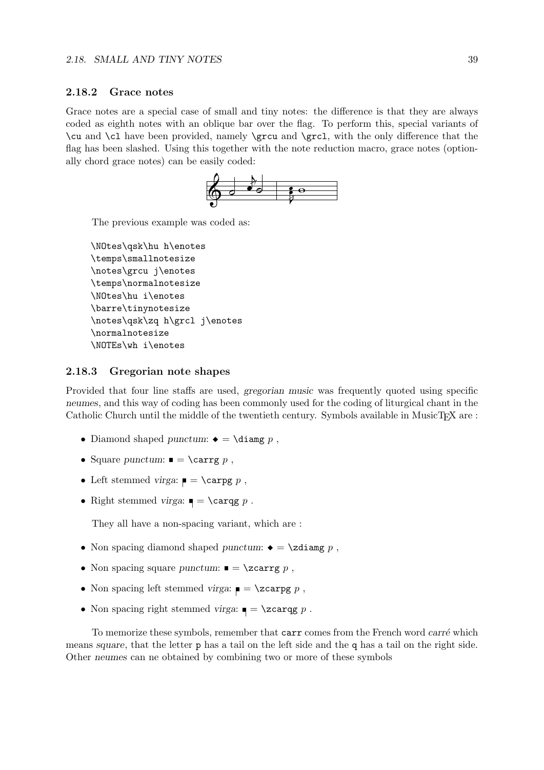#### 2.18.2 Grace notes

Grace notes are a special case of small and tiny notes: the difference is that they are always coded as eighth notes with an oblique bar over the flag. To perform this, special variants of \cu and \cl have been provided, namely \grcu and \grcl, with the only difference that the flag has been slashed. Using this together with the note reduction macro, grace notes (optionally chord grace notes) can be easily coded:



The previous example was coded as:

\NOtes\qsk\hu h\enotes \temps\smallnotesize \notes\grcu j\enotes \temps\normalnotesize \NOtes\hu i\enotes \barre\tinynotesize \notes\qsk\zq h\grcl j\enotes \normalnotesize \NOTEs\wh i\enotes

#### 2.18.3 Gregorian note shapes

Provided that four line staffs are used, gregorian music was frequently quoted using specific neumes, and this way of coding has been commonly used for the coding of liturgical chant in the Catholic Church until the middle of the twentieth century. Symbols available in MusicT<sub>EX</sub> are :

- Diamond shaped punctum:  $\bullet = \dagger p$ ,
- Square punctum:  $\bullet$   $\epsilon$   $\lambda$   $\epsilon$   $\lambda$   $\epsilon$
- Left stemmed virga:  $\blacksquare = \c{carg g p}$ ,
- Right stemmed virga:  $\blacksquare = \carg p$ .

They all have a non-spacing variant, which are :

- Non spacing diamond shaped punctum:  $\bullet = \zeta$  ,
- Non spacing square punctum:  $\blacksquare = \zeta$ zcarrg p,
- Non spacing left stemmed virga:  $\blacksquare = \zeta$ zcarpg p,
- Non spacing right stemmed virga:  $\blacksquare = \zeta$ zcarqg p.

To memorize these symbols, remember that carr comes from the French word carré which means square, that the letter p has a tail on the left side and the q has a tail on the right side. Other neumes can ne obtained by combining two or more of these symbols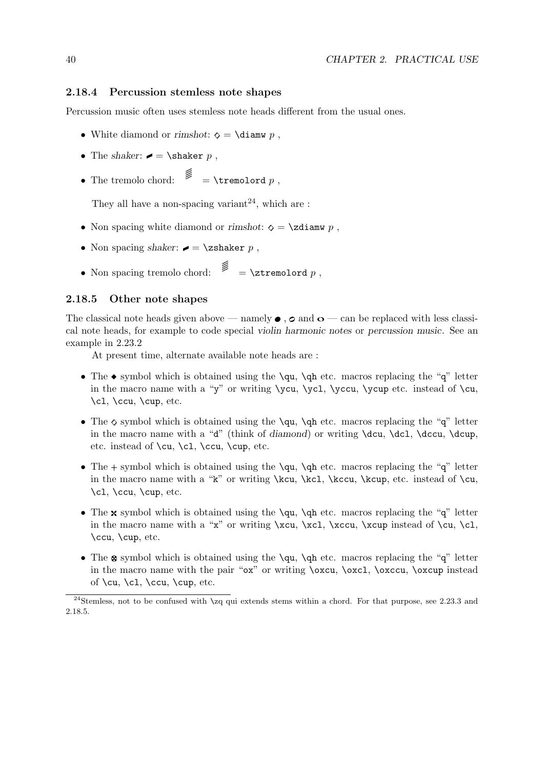#### 2.18.4 Percussion stemless note shapes

Percussion music often uses stemless note heads different from the usual ones.

- White diamond or rimshot:  $\diamond = \dagger$  ,
- The shaker:  $\bullet$  = \shaker p,
- The tremolo chord:  $\mathscr{E} = \tremolord p$ ,

They all have a non-spacing variant<sup>24</sup>, which are :

- Non spacing white diamond or rimshot:  $\diamond = \zeta$  at  $p$ ,
- Non spacing shaker:  $\blacktriangleright$  = \zshaker p,
- Non spacing tremolo chord:  $\mathscr{E} = \zeta p$ ,

#### 2.18.5 Other note shapes

The classical note heads given above — namely  $\bullet$ ,  $\circ$  and  $\circ$  — can be replaced with less classical note heads, for example to code special violin harmonic notes or percussion music. See an example in 2.23.2

At present time, alternate available note heads are :

- The  $\bullet$  symbol which is obtained using the \qu, \qh etc. macros replacing the "q" letter in the macro name with a "y" or writing  $\vec{v}$ ,  $\vec{v}$ ,  $\vec{v}$ ,  $\vec{v}$  etc. instead of  $\c{u}$ ,  $\ct$ ,  $\ccu$ ,  $\cup$ , etc.
- The  $\diamond$  symbol which is obtained using the  $\qu$ ,  $\q$ h etc. macros replacing the "q" letter in the macro name with a "d" (think of diamond) or writing  $\de{c}u$ ,  $\dcu$ ,  $\dcu$ ,  $\dcu$ ,  $\dcu$ etc. instead of  $\cu$ ,  $\c$ l,  $\ccu$ ,  $\c$ up, etc.
- The  $+$  symbol which is obtained using the  $\qu$ ,  $\q$ h etc. macros replacing the "q" letter in the macro name with a "k" or writing \kcu, \kcl, \kccu, \kcup, etc. instead of \cu, \cl, \ccu, \cup, etc.
- The  $\mathbf x$  symbol which is obtained using the  $\qquad$ qu,  $\qquad$ qh etc. macros replacing the "q" letter in the macro name with a "x" or writing  $\xcu, \xcu, \xcu$ ,  $\xeu$  instead of  $\cu, \c1$ , \ccu, \cup, etc.
- The  $\otimes$  symbol which is obtained using the \qu, \qh etc. macros replacing the "q" letter in the macro name with the pair "ox" or writing \oxcu, \oxcl, \oxccu, \oxcup instead of  $\cu, \c1, \ccu, \coup, etc.$

<sup>&</sup>lt;sup>24</sup>Stemless, not to be confused with  $\zeta$ q qui extends stems within a chord. For that purpose, see 2.23.3 and 2.18.5.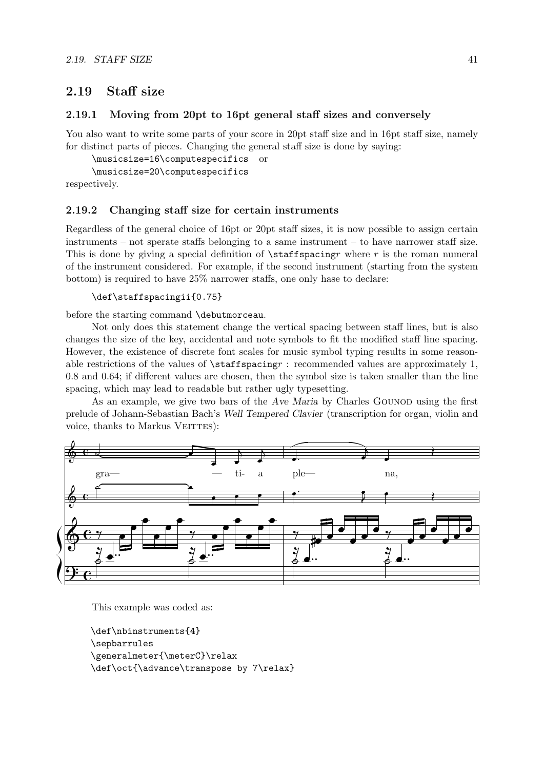# 2.19 Staff size

#### 2.19.1 Moving from 20pt to 16pt general staff sizes and conversely

You also want to write some parts of your score in 20pt staff size and in 16pt staff size, namely for distinct parts of pieces. Changing the general staff size is done by saying:

```
\musicsize=16\computespecifics or
\musicsize=20\computespecifics
```
respectively.

#### 2.19.2 Changing staff size for certain instruments

Regardless of the general choice of 16pt or 20pt staff sizes, it is now possible to assign certain instruments – not sperate staffs belonging to a same instrument – to have narrower staff size. This is done by giving a special definition of  $\text{staffspacing}$  where r is the roman numeral of the instrument considered. For example, if the second instrument (starting from the system bottom) is required to have 25% narrower staffs, one only hase to declare:

```
\def\staffspacingii{0.75}
```
before the starting command \debutmorceau.

Not only does this statement change the vertical spacing between staff lines, but is also changes the size of the key, accidental and note symbols to fit the modified staff line spacing. However, the existence of discrete font scales for music symbol typing results in some reasonable restrictions of the values of  $\text{staffspacing}$  : recommended values are approximately 1, 0.8 and 0.64; if different values are chosen, then the symbol size is taken smaller than the line spacing, which may lead to readable but rather ugly typesetting.

As an example, we give two bars of the Ave Maria by Charles GOUNOD using the first prelude of Johann-Sebastian Bach's Well Tempered Clavier (transcription for organ, violin and voice, thanks to Markus VEITTES):



This example was coded as:

```
\def\nbinstruments{4}
\sepbarrules
\generalmeter{\meterC}\relax
\def\oct{\advance\transpose by 7\relax}
```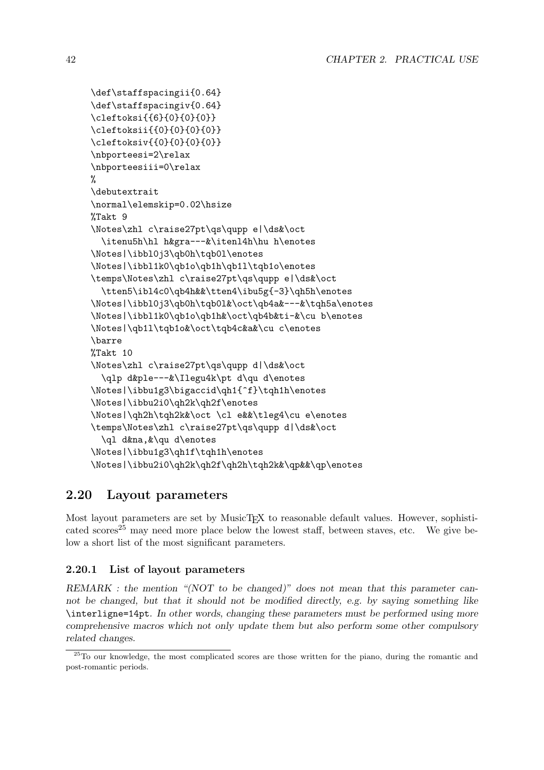```
\def\staffspacingii{0.64}
\def\staffspacingiv{0.64}
\cleftoksi{{6}{0}{0}{0}}
\cleftoksii{{0}{0}{0}{0}}
\cleftoksiv{{0}{0}{0}{0}}
\nbporteesi=2\relax
\nbporteesiii=0\relax
%
\debutextrait
\normal\elemskip=0.02\hsize
%Takt 9
\Notes\zhl c\raise27pt\qs\qupp e|\ds&\oct
  \itenu5h\hl h&gra---&\itenl4h\hu h\enotes
\Notes|\ibbl0j3\qb0h\tqb0l\enotes
\Notes|\ibbl1k0\qb1o\qb1h\qb1l\tqb1o\enotes
\temps\Notes\zhl c\raise27pt\qs\qupp e|\ds&\oct
  \tten5\ibl4c0\qb4h&&\tten4\ibu5g{-3}\qh5h\enotes
\Notes|\ibbl0j3\qb0h\tqb0l&\oct\qb4a&---&\tqh5a\enotes
\Notes|\ibbl1k0\qb1o\qb1h&\oct\qb4b&ti-&\cu b\enotes
\Notes|\qb1l\tqb1o&\oct\tqb4c&a&\cu c\enotes
\barre
%Takt 10
\Notes\zhl c\raise27pt\qs\qupp d|\ds&\oct
  \qlp d&ple---&\Ilegu4k\pt d\qu d\enotes
\Notes|\ibbu1g3\bigaccid\qh1{^f}\tqh1h\enotes
\Notes|\ibbu2i0\qh2k\qh2f\enotes
\Notes|\qh2h\tqh2k&\oct \cl e&&\tleg4\cu e\enotes
\temps\Notes\zhl c\raise27pt\qs\qupp d|\ds&\oct
  \ql d&na,&\qu d\enotes
\Notes|\ibbu1g3\qh1f\tqh1h\enotes
\Notes|\ibbu2i0\qh2k\qh2f\qh2h\tqh2k&\qp&&\qp\enotes
```
# 2.20 Layout parameters

Most layout parameters are set by MusicT<sub>EX</sub> to reasonable default values. However, sophisticated scores<sup>25</sup> may need more place below the lowest staff, between staves, etc. We give below a short list of the most significant parameters.

## 2.20.1 List of layout parameters

REMARK : the mention "(NOT to be changed)" does not mean that this parameter cannot be changed, but that it should not be modified directly, e.g. by saying something like \interligne=14pt. In other words, changing these parameters must be performed using more comprehensive macros which not only update them but also perform some other compulsory related changes.

<sup>&</sup>lt;sup>25</sup>To our knowledge, the most complicated scores are those written for the piano, during the romantic and post-romantic periods.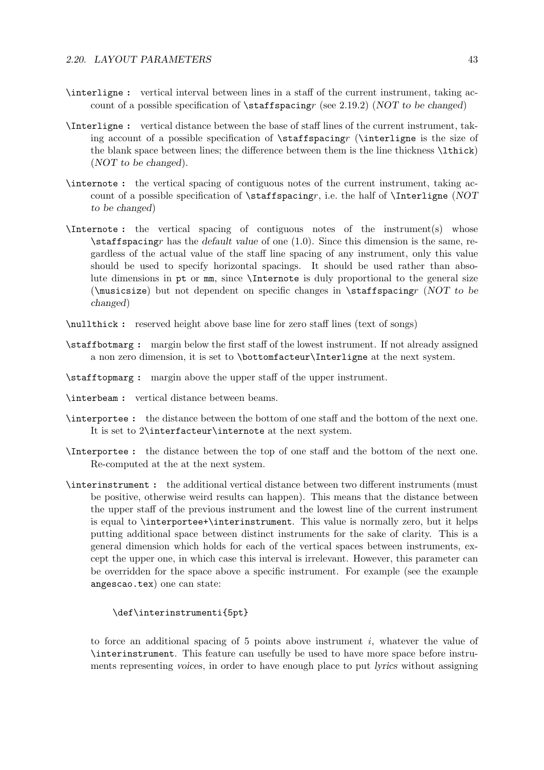- \interligne : vertical interval between lines in a staff of the current instrument, taking account of a possible specification of  $\star$  faitspacingr (see 2.19.2) (NOT to be changed)
- \Interligne : vertical distance between the base of staff lines of the current instrument, taking account of a possible specification of \staffspacingr (\interligne is the size of the blank space between lines; the difference between them is the line thickness  $\text{lthick}$ (NOT to be changed).
- \internote : the vertical spacing of contiguous notes of the current instrument, taking account of a possible specification of  $\psilon$ , i.e. the half of  $\Interling\hbox{NOT}$ to be changed)
- \Internote : the vertical spacing of contiguous notes of the instrument(s) whose  $\text{staffspacing}$  has the default value of one (1.0). Since this dimension is the same, regardless of the actual value of the staff line spacing of any instrument, only this value should be used to specify horizontal spacings. It should be used rather than absolute dimensions in pt or mm, since \Internote is duly proportional to the general size ( $\langle$ musicsize) but not dependent on specific changes in  $\frac{\sigma r}{NOT}$  to be changed)
- \nullthick : reserved height above base line for zero staff lines (text of songs)
- \staffbotmarg : margin below the first staff of the lowest instrument. If not already assigned a non zero dimension, it is set to \bottomfacteur\Interligne at the next system.
- \stafftopmarg : margin above the upper staff of the upper instrument.
- \interbeam : vertical distance between beams.
- \interportee : the distance between the bottom of one staff and the bottom of the next one. It is set to 2\interfacteur\internote at the next system.
- \Interportee : the distance between the top of one staff and the bottom of the next one. Re-computed at the at the next system.
- \interinstrument : the additional vertical distance between two different instruments (must be positive, otherwise weird results can happen). This means that the distance between the upper staff of the previous instrument and the lowest line of the current instrument is equal to \interportee+\interinstrument. This value is normally zero, but it helps putting additional space between distinct instruments for the sake of clarity. This is a general dimension which holds for each of the vertical spaces between instruments, except the upper one, in which case this interval is irrelevant. However, this parameter can be overridden for the space above a specific instrument. For example (see the example angescao.tex) one can state:

#### \def\interinstrumenti{5pt}

to force an additional spacing of 5 points above instrument  $i$ , whatever the value of \interinstrument. This feature can usefully be used to have more space before instruments representing voices, in order to have enough place to put lyrics without assigning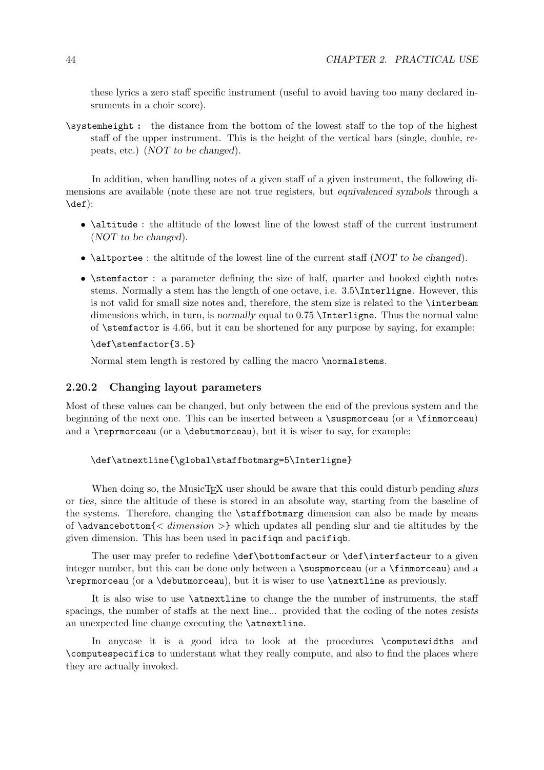these lyrics a zero staff specific instrument (useful to avoid having too many declared insruments in a choir score).

\systemheight: the distance from the bottom of the lowest staff to the top of the highest staff of the upper instrument. This is the height of the vertical bars (single, double, repeats, etc.) (NOT to be changed).

In addition, when handling notes of a given staff of a given instrument, the following dimensions are available (note these are not true registers, but equivalenced symbols through a \def):

- \altitude : the altitude of the lowest line of the lowest staff of the current instrument (NOT to be changed).
- **\altportee** : the altitude of the lowest line of the current staff (NOT to be changed).
- $\bullet$  \stemfactor : a parameter defining the size of half, quarter and hooked eighth notes stems. Normally a stem has the length of one octave, i.e. 3.5\Interligne. However, this is not valid for small size notes and, therefore, the stem size is related to the \interbeam dimensions which, in turn, is normally equal to 0.75 \Interligne. Thus the normal value of  $\setminus$  stemfactor is 4.66, but it can be shortened for any purpose by saying, for example:

#### \def\stemfactor{3.5}

Normal stem length is restored by calling the macro \normalstems.

#### 2.20.2 Changing layout parameters

Most of these values can be changed, but only between the end of the previous system and the beginning of the next one. This can be inserted between a  $\sigma$  as  $\gamma$  (or a  $\gamma$ )  $\gamma$ and a  $\text{reprmoreau}$  (or a  $\text{debutmoreau}$ ), but it is wiser to say, for example:

```
\def\atnextline{\global\staffbotmarg=5\Interligne}
```
When doing so, the MusicTEX user should be aware that this could disturb pending slurs or ties, since the altitude of these is stored in an absolute way, starting from the baseline of the systems. Therefore, changing the \staffbotmarg dimension can also be made by means of  $\dagger$  dimension  $\geq$  which updates all pending slur and tie altitudes by the given dimension. This has been used in pacifiqn and pacifiqb.

The user may prefer to redefine \def\bottomfacteur or \def\interfacteur to a given integer number, but this can be done only between a \suspmorceau (or a \finmorceau) and a \reprmorceau (or a \debutmorceau), but it is wiser to use \atnextline as previously.

It is also wise to use \atnextline to change the the number of instruments, the staff spacings, the number of staffs at the next line... provided that the coding of the notes resists an unexpected line change executing the \atnextline.

In anycase it is a good idea to look at the procedures \computewidths and \computespecifics to understant what they really compute, and also to find the places where they are actually invoked.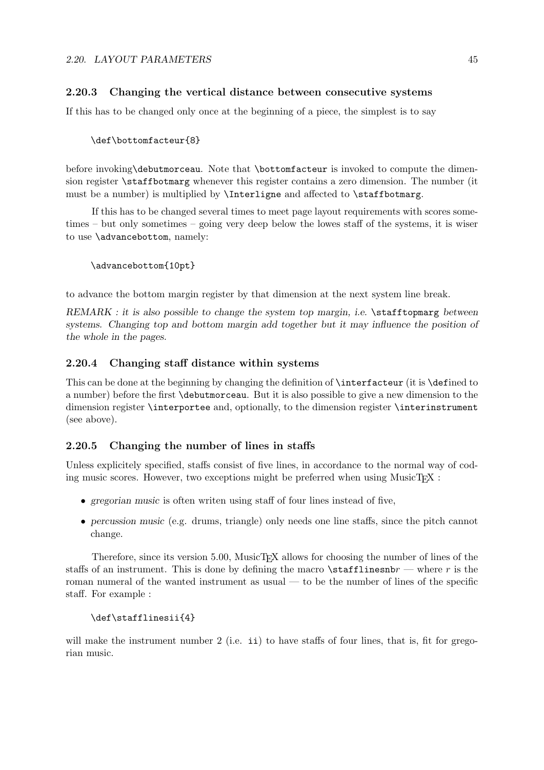### 2.20.3 Changing the vertical distance between consecutive systems

If this has to be changed only once at the beginning of a piece, the simplest is to say

#### \def\bottomfacteur{8}

before invoking\debutmorceau. Note that \bottomfacteur is invoked to compute the dimension register \staffbotmarg whenever this register contains a zero dimension. The number (it must be a number) is multiplied by \Interligne and affected to \staffbotmarg.

If this has to be changed several times to meet page layout requirements with scores sometimes – but only sometimes – going very deep below the lowes staff of the systems, it is wiser to use \advancebottom, namely:

```
\advancebottom{10pt}
```
to advance the bottom margin register by that dimension at the next system line break.

 $REMARK:$  it is also possible to change the system top margin, i.e.  $\setminus$  stafftopmarg between systems. Changing top and bottom margin add together but it may influence the position of the whole in the pages.

#### 2.20.4 Changing staff distance within systems

This can be done at the beginning by changing the definition of \interfacteur (it is \defined to a number) before the first \debutmorceau. But it is also possible to give a new dimension to the dimension register \interportee and, optionally, to the dimension register \interinstrument (see above).

#### 2.20.5 Changing the number of lines in staffs

Unless explicitely specified, staffs consist of five lines, in accordance to the normal way of coding music scores. However, two exceptions might be preferred when using  $MusicT<sub>F</sub>X$ :

- gregorian music is often writen using staff of four lines instead of five,
- percussion music (e.g. drums, triangle) only needs one line staffs, since the pitch cannot change.

Therefore, since its version 5.00, MusicT<sub>EX</sub> allows for choosing the number of lines of the staffs of an instrument. This is done by defining the macro  $\stat$ flinesnb $r$  — where r is the roman numeral of the wanted instrument as usual — to be the number of lines of the specific staff. For example :

#### \def\stafflinesii{4}

will make the instrument number  $2$  (i.e. ii) to have staffs of four lines, that is, fit for gregorian music.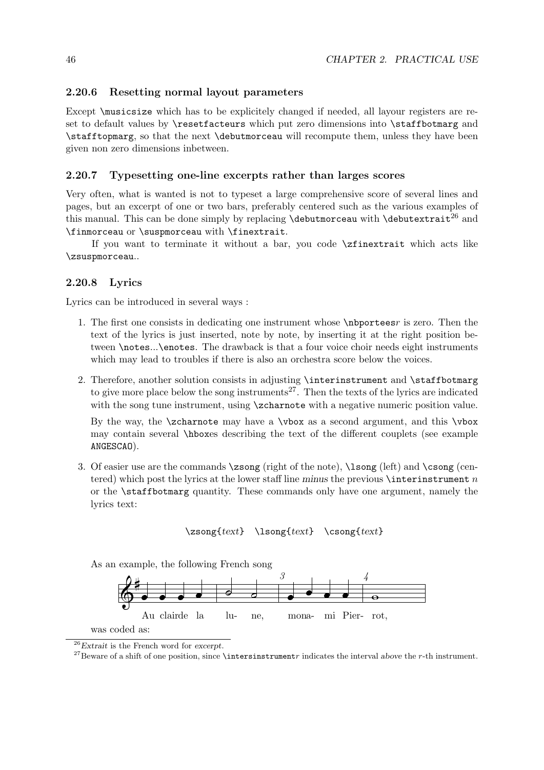#### 2.20.6 Resetting normal layout parameters

Except  $\text{L}$  and  $\text{L}$  and  $\text{L}$  is to be explicitely changed if needed, all layour registers are reset to default values by **\resetfacteurs** which put zero dimensions into **\staffbotmarg** and \stafftopmarg, so that the next \debutmorceau will recompute them, unless they have been given non zero dimensions inbetween.

#### 2.20.7 Typesetting one-line excerpts rather than larges scores

Very often, what is wanted is not to typeset a large comprehensive score of several lines and pages, but an excerpt of one or two bars, preferably centered such as the various examples of this manual. This can be done simply by replacing  $\delta \delta$  and  $\delta$  and  $\delta$ \finmorceau or \suspmorceau with \finextrait.

If you want to terminate it without a bar, you code \zfinextrait which acts like \zsuspmorceau..

#### 2.20.8 Lyrics

Lyrics can be introduced in several ways :

- 1. The first one consists in dedicating one instrument whose \nbporteesr is zero. Then the text of the lyrics is just inserted, note by note, by inserting it at the right position between \notes...\enotes. The drawback is that a four voice choir needs eight instruments which may lead to troubles if there is also an orchestra score below the voices.
- 2. Therefore, another solution consists in adjusting \interinstrument and \staffbotmarg to give more place below the song instruments<sup>27</sup>. Then the texts of the lyrics are indicated with the song tune instrument, using  $\zeta$  is a negative numeric position value.

By the way, the \zcharnote may have a \vbox as a second argument, and this \vbox may contain several \hboxes describing the text of the different couplets (see example ANGESCAO).

3. Of easier use are the commands  $\zeta$  (right of the note),  $\lambda$  song (left) and  $\cos$  (centered) which post the lyrics at the lower staff line minus the previous  $\inter$ nterinstrument n or the \staffbotmarg quantity. These commands only have one argument, namely the lyrics text:

\zsong{text} \lsong{text} \csong{text}

As an example, the following French song



 $26$ Extrait is the French word for excerpt.

<sup>&</sup>lt;sup>27</sup>Beware of a shift of one position, since **\intersinstrument**r indicates the interval above the r-th instrument.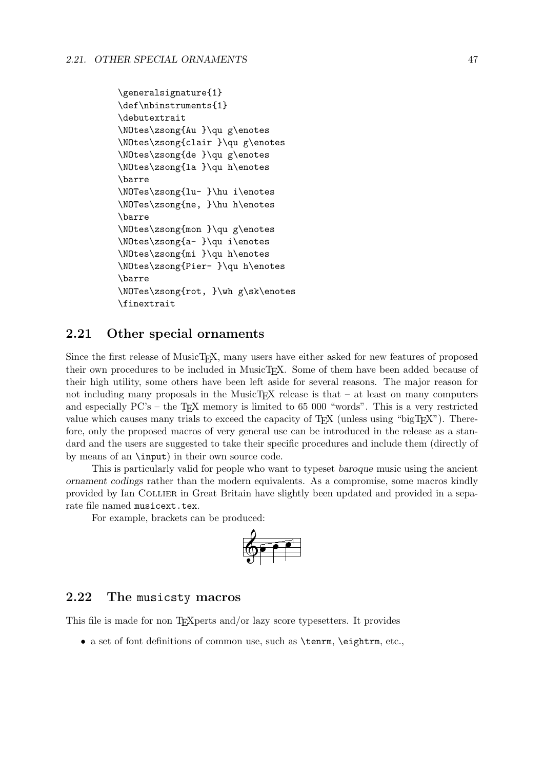```
\generalsignature{1}
\def\nbinstruments{1}
\debutextrait
\NOtes\zsong{Au }\qu g\enotes
\NOtes\zsong{clair }\qu g\enotes
\NOtes\zsong{de }\qu g\enotes
\NOtes\zsong{la }\qu h\enotes
\barre
\NOTes\zsong{lu- }\hu i\enotes
\NOTes\zsong{ne, }\hu h\enotes
\barre
\NOtes\zsong{mon }\qu g\enotes
\NOtes\zsong{a- }\qu i\enotes
\NOtes\zsong{mi }\qu h\enotes
\NOtes\zsong{Pier- }\qu h\enotes
\barre
\NOTes\zsong{rot, }\wh g\sk\enotes
\finextrait
```
# 2.21 Other special ornaments

Since the first release of MusicT<sub>E</sub>X, many users have either asked for new features of proposed their own procedures to be included in MusicT<sub>F</sub>X. Some of them have been added because of their high utility, some others have been left aside for several reasons. The major reason for not including many proposals in the MusicT<sub>EX</sub> release is that  $-$  at least on many computers and especially  $PC's -$  the T<sub>EX</sub> memory is limited to 65 000 "words". This is a very restricted value which causes many trials to exceed the capacity of  $T_F X$  (unless using "big $T_F X$ "). Therefore, only the proposed macros of very general use can be introduced in the release as a standard and the users are suggested to take their specific procedures and include them (directly of by means of an \input) in their own source code.

This is particularly valid for people who want to typeset baroque music using the ancient ornament codings rather than the modern equivalents. As a compromise, some macros kindly provided by Ian Collier in Great Britain have slightly been updated and provided in a separate file named musicext.tex.

For example, brackets can be produced:



### 2.22 The musicsty macros

This file is made for non T<sub>E</sub>Xperts and/or lazy score typesetters. It provides

• a set of font definitions of common use, such as **\tenrm**, **\eightrm**, etc.,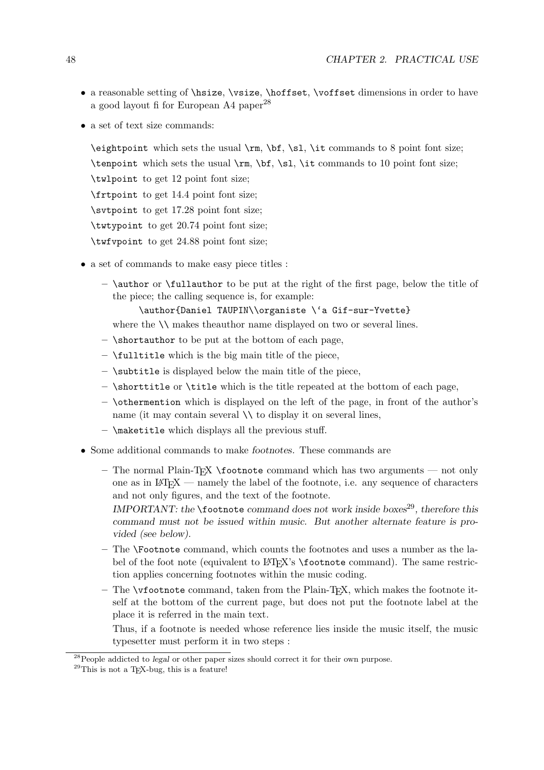- a reasonable setting of \hsize, \vsize, \hoffset, \voffset dimensions in order to have a good layout fi for European A4 paper<sup>28</sup>
- a set of text size commands:

 $\begin{bmatrix} \begin{array}{c} \text{ell} \\ \text{ell} \end{array} \right. \text{with } \begin{array}{c} \begin{array}{c} \text{ell} \\ \text{ell} \end{array} \right. \quad \begin{bmatrix} \begin{array}{c} \text{ell} \\ \text{ell} \end{array} \right. \quad \begin{array}{c} \begin{array}{c} \text{ell} \\ \text{ell} \end{array} \end{bmatrix} \end{bmatrix}$ 

\tenpoint which sets the usual \rm, \bf, \sl, \it commands to 10 point font size;

\twlpoint to get 12 point font size;

\frtpoint to get 14.4 point font size;

\svtpoint to get 17.28 point font size;

\twtypoint to get 20.74 point font size;

\twfvpoint to get 24.88 point font size;

- a set of commands to make easy piece titles :
	- $-$  \author or \fullauthor to be put at the right of the first page, below the title of the piece; the calling sequence is, for example:

\author{Daniel TAUPIN\\organiste \'a Gif-sur-Yvette}

where the  $\setminus \setminus$  makes theauthor name displayed on two or several lines.

- \shortauthor to be put at the bottom of each page,
- $-$  \fulltitle which is the big main title of the piece,
- \subtitle is displayed below the main title of the piece,
- $\hbar$   $\hbar$   $\hbar$   $\hbar$   $\hbar$   $\hbar$   $\hbar$  is the title repeated at the bottom of each page,
- \othermention which is displayed on the left of the page, in front of the author's name (it may contain several  $\setminus \setminus$  to display it on several lines,
- $-$  \maketitle which displays all the previous stuff.
- Some additional commands to make footnotes. These commands are
	- $-$  The normal Plain-T<sub>EX</sub> \footnote command which has two arguments not only one as in  $\mathbb{F}(\mathbb{F}(\mathbb{R}^N))$  = namely the label of the footnote, i.e. any sequence of characters and not only figures, and the text of the footnote.
		- IMPORTANT: the  $\footnotesize\big\}$  tootnote command does not work inside boxes<sup>29</sup>, therefore this command must not be issued within music. But another alternate feature is provided (see below).
	- The \Footnote command, which counts the footnotes and uses a number as the label of the foot note (equivalent to LATEX's \footnote command). The same restriction applies concerning footnotes within the music coding.
	- $-$  The \vfootnote command, taken from the Plain-T<sub>E</sub>X, which makes the footnote itself at the bottom of the current page, but does not put the footnote label at the place it is referred in the main text.

Thus, if a footnote is needed whose reference lies inside the music itself, the music typesetter must perform it in two steps :

<sup>&</sup>lt;sup>28</sup>People addicted to legal or other paper sizes should correct it for their own purpose.

 $29$ This is not a T<sub>E</sub>X-bug, this is a feature!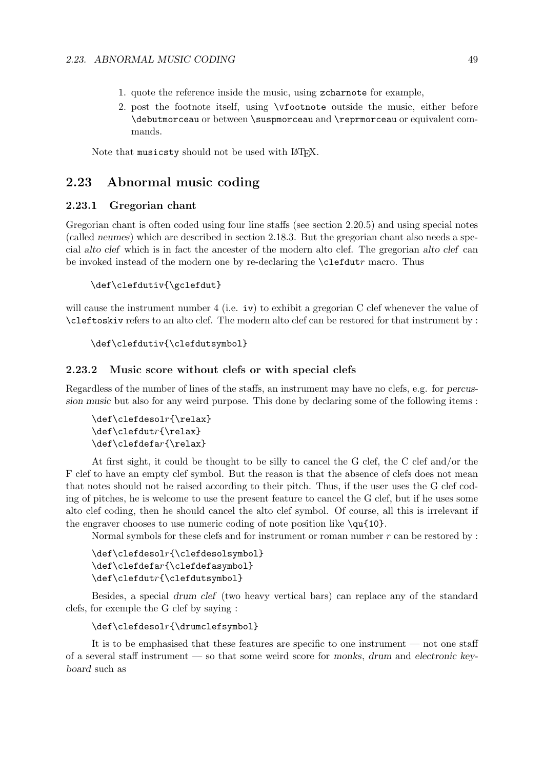- 1. quote the reference inside the music, using zcharnote for example,
- 2. post the footnote itself, using \vfootnote outside the music, either before \debutmorceau or between \suspmorceau and \reprmorceau or equivalent commands.

Note that musicsty should not be used with LATEX.

# 2.23 Abnormal music coding

#### 2.23.1 Gregorian chant

Gregorian chant is often coded using four line staffs (see section 2.20.5) and using special notes (called neumes) which are described in section 2.18.3. But the gregorian chant also needs a special alto clef which is in fact the ancester of the modern alto clef. The gregorian alto clef can be invoked instead of the modern one by re-declaring the \clefdutr macro. Thus

```
\def\clefdutiv{\gclefdut}
```
will cause the instrument number 4 (i.e.  $iv$ ) to exhibit a gregorian C clef whenever the value of \cleftoskiv refers to an alto clef. The modern alto clef can be restored for that instrument by :

```
\def\clefdutiv{\clefdutsymbol}
```
#### 2.23.2 Music score without clefs or with special clefs

Regardless of the number of lines of the staffs, an instrument may have no clefs, e.g. for percussion music but also for any weird purpose. This done by declaring some of the following items :

```
\def\c{desolr}{relax}\def\clefdutr{\relax}
\def\clefdefar{\relax}
```
At first sight, it could be thought to be silly to cancel the G clef, the C clef and/or the F clef to have an empty clef symbol. But the reason is that the absence of clefs does not mean that notes should not be raised according to their pitch. Thus, if the user uses the G clef coding of pitches, he is welcome to use the present feature to cancel the G clef, but if he uses some alto clef coding, then he should cancel the alto clef symbol. Of course, all this is irrelevant if the engraver chooses to use numeric coding of note position like  $\qu{10}$ .

Normal symbols for these clefs and for instrument or roman number  $r$  can be restored by :

```
\def\clefdesolr{\clefdesolsymbol}
\def\clefdefar{\clefdefasymbol}
\def\clefdutr{\clefdutsymbol}
```
Besides, a special drum clef (two heavy vertical bars) can replace any of the standard clefs, for exemple the G clef by saying :

```
\def\clefdesolr{\drumclefsymbol}
```
It is to be emphasised that these features are specific to one instrument — not one staff of a several staff instrument — so that some weird score for monks, drum and electronic keyboard such as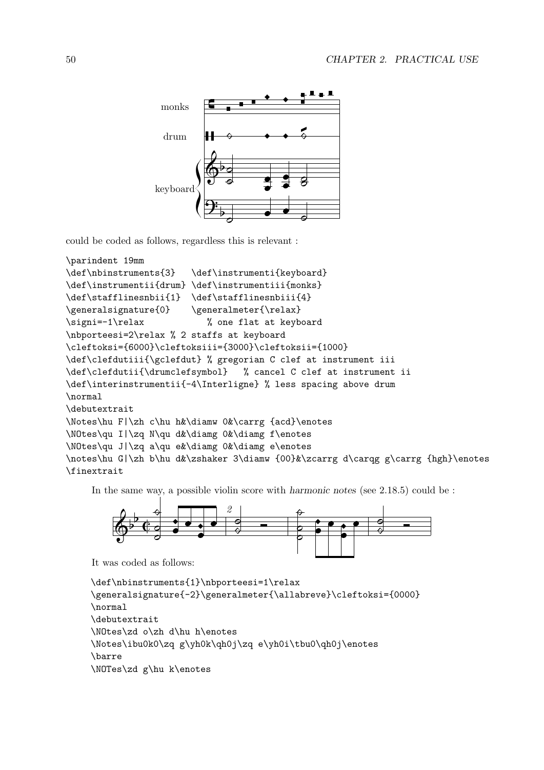

could be coded as follows, regardless this is relevant :

```
\parindent 19mm
\def\nbinstruments{3} \def\instrumenti{keyboard}
\def\instrumentii{drum} \def\instrumentiii{monks}
\def\stafflinesnbii{1} \def\stafflinesnbiii{4}
\generalsignature{0} \generalmeter{\relax}
\signi=-1\relax % one flat at keyboard
\nbporteesi=2\relax % 2 staffs at keyboard
\cleftoksi={6000}\cleftoksiii={3000}\cleftoksii={1000}
\def\clefdutiii{\gclefdut} % gregorian C clef at instrument iii
\def\clefdutii{\drumclefsymbol} % cancel C clef at instrument ii
\def\interinstrumentii{-4\Interligne} % less spacing above drum
\normal
\debutextrait
\Notes\hu F|\zh c\hu h&\diamw 0&\carrg {acd}\enotes
\NOtes\qu I|\zq N\qu d&\diamg 0&\diamg f\enotes
\NOtes\qu J|\zq a\qu e&\diamg 0&\diamg e\enotes
\notes\hu G|\zh b\hu d&\zshaker 3\diamw {00}&\zcarrg d\carqg g\carrg {hgh}\enotes
\finextrait
```
In the same way, a possible violin score with harmonic notes (see 2.18.5) could be :



It was coded as follows:

```
\def\nbinstruments{1}\nbporteesi=1\relax
\generalsignature{-2}\generalmeter{\allabreve}\cleftoksi={0000}
\normal
\debutextrait
\NOtes\zd o\zh d\hu h\enotes
\Notes\ibu0k0\zq g\yh0k\qh0j\zq e\yh0i\tbu0\qh0j\enotes
\barre
\NOTes\zd g\hu k\enotes
```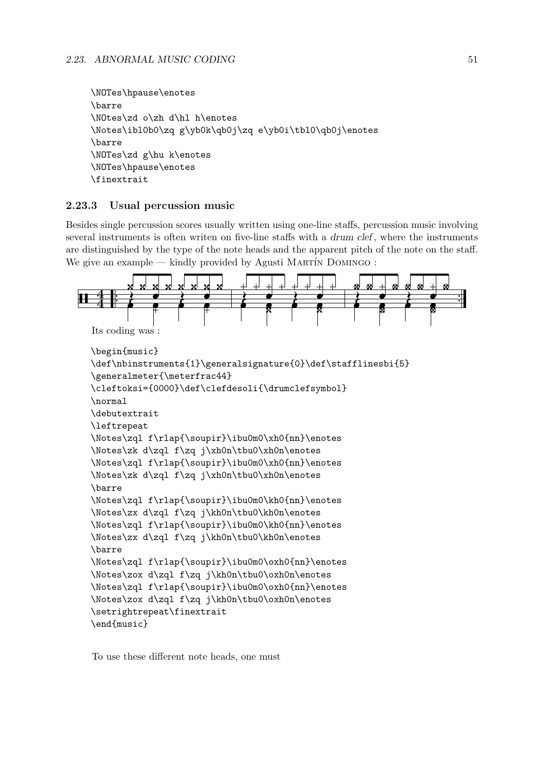```
\NOTes\hpause\enotes
\barre
\NOtes\zd o\zh d\hl h\enotes
\Notes\ibl0b0\zq g\yb0k\qb0j\zq e\yb0i\tbl0\qb0j\enotes
\barre
\NOTes\zd g\hu k\enotes
\NOTes\hpause\enotes
\finextrait
```
## 2.23.3 Usual percussion music

Besides single percussion scores usually written using one-line staffs, percussion music involving several instruments is often writen on five-line staffs with a *drum clef*, where the instruments are distinguished by the type of the note heads and the apparent pitch of the note on the staff. We give an example — kindly provided by Agusti MARTÍN DOMINGO :



```
\begin{music}
\def\nbinstruments{1}\generalsignature{0}\def\stafflinesbi{5}
\generalmeter{\meterfrac44}
\cleftoksi={0000}\def\clefdesoli{\drumclefsymbol}
\normal
\debutextrait
\leftrepeat
\Notes\zql f\rlap{\soupir}\ibu0m0\xh0{nn}\enotes
\Notes\zk d\zql f\zq j\xh0n\tbu0\xh0n\enotes
\Notes\zql f\rlap{\soupir}\ibu0m0\xh0{nn}\enotes
\Notes\zk d\zql f\zq j\xh0n\tbu0\xh0n\enotes
\barre
\Notes\zql f\rlap{\soupir}\ibu0m0\kh0{nn}\enotes
\Notes\zx d\zql f\zq j\kh0n\tbu0\kh0n\enotes
\Notes\zql f\rlap{\soupir}\ibu0m0\kh0{nn}\enotes
\Notes\zx d\zql f\zq j\kh0n\tbu0\kh0n\enotes
\barre
\Notes\zql f\rlap{\soupir}\ibu0m0\oxh0{nn}\enotes
\Notes\zox d\zql f\zq j\kh0n\tbu0\oxh0n\enotes
\Notes\zql f\rlap{\soupir}\ibu0m0\oxh0{nn}\enotes
\Notes\zox d\zql f\zq j\kh0n\tbu0\oxh0n\enotes
\setrightrepeat\finextrait
\end{music}
```
To use these different note heads, one must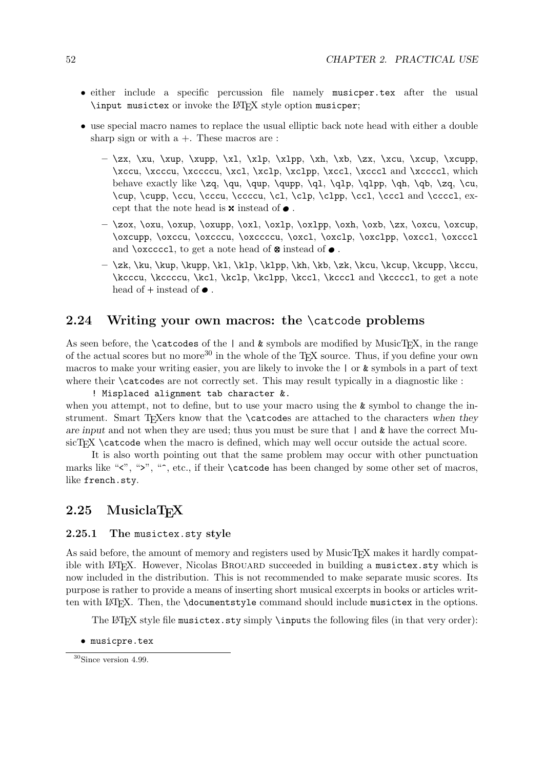- either include a specific percussion file namely musicper.tex after the usual \input musictex or invoke the LATEX style option musicper;
- use special macro names to replace the usual elliptic back note head with either a double sharp sign or with  $a +$ . These macros are:
	- $-\ \zeta, \xu, \xu$ ,  $xu$ p,  $xl, \zu$ ,  $xh, \zu$ ,  $zx, \xcu$ ,  $xcup$ \xccu, \xcccu, \xccccu, \xcl, \xclp, \xclpp, \xccl, \xcccl and \xccccl, which behave exactly like  $\zeta, \qu, \qup, \qupp, \q1, \q1p, \q1p, \q1p, \q0$ ,  $\zeta, \zeta, \cu$ \cup, \cupp, \ccu, \cccu, \ccccu, \cl, \clp, \clpp, \ccl, \cccl and \ccccl, except that the note head is  $\boldsymbol{\times}$  instead of  $\bullet$  .
	- \zox, \oxu, \oxup, \oxupp, \oxl, \oxlp, \oxlpp, \oxh, \oxb, \zx, \oxcu, \oxcup, \oxcupp, \oxccu, \oxcccu, \oxccccu, \oxcl, \oxclp, \oxclpp, \oxccl, \oxcccl and \oxccccl, to get a note head of  $\otimes$  instead of  $\bullet$ .
	- $-\ \zk, \ku, \kup, \kup, \k1, \klp, \kh, \kh, \zk, \kcu, \kcup, \kcup, \kccu,$ \kcccu, \kccccu, \kcl, \kclp, \kclpp, \kccl, \kcccl and \kccccl, to get a note head of  $+$  instead of  $\bullet$ .

# 2.24 Writing your own macros: the \catcode problems

As seen before, the  $\catcodes$  of the | and  $\&$  symbols are modified by MusicT<sub>EX</sub>, in the range of the actual scores but no more<sup>30</sup> in the whole of the T<sub>EX</sub> source. Thus, if you define your own macros to make your writing easier, you are likely to invoke the | or & symbols in a part of text where their **\catcodes** are not correctly set. This may result typically in a diagnostic like :

! Misplaced alignment tab character &. when you attempt, not to define, but to use your macro using the  $\&$  symbol to change the instrument. Smart T<sub>E</sub>Xers know that the \catcodes are attached to the characters when they are input and not when they are used; thus you must be sure that  $\vert$  and  $\&$  have the correct MusicT<sub>EX</sub> \catcode when the macro is defined, which may well occur outside the actual score.

It is also worth pointing out that the same problem may occur with other punctuation marks like " $\langle$ ", " $\rangle$ ", " $\hat{ }$ , etc., if their \catcode has been changed by some other set of macros, like french.sty.

# 2.25 MusiclaTFX

#### 2.25.1 The musictex.sty style

As said before, the amount of memory and registers used by MusicT<sub>EX</sub> makes it hardly compatible with LAT<sub>EX</sub>. However, Nicolas BROUARD succeeded in building a musictex.sty which is now included in the distribution. This is not recommended to make separate music scores. Its purpose is rather to provide a means of inserting short musical excerpts in books or articles written with LAT<sub>EX</sub>. Then, the **\documentstyle** command should include musictex in the options.

The LAT<sub>EX</sub> style file musictex.sty simply \inputs the following files (in that very order):

• musicpre.tex

<sup>30</sup>Since version 4.99.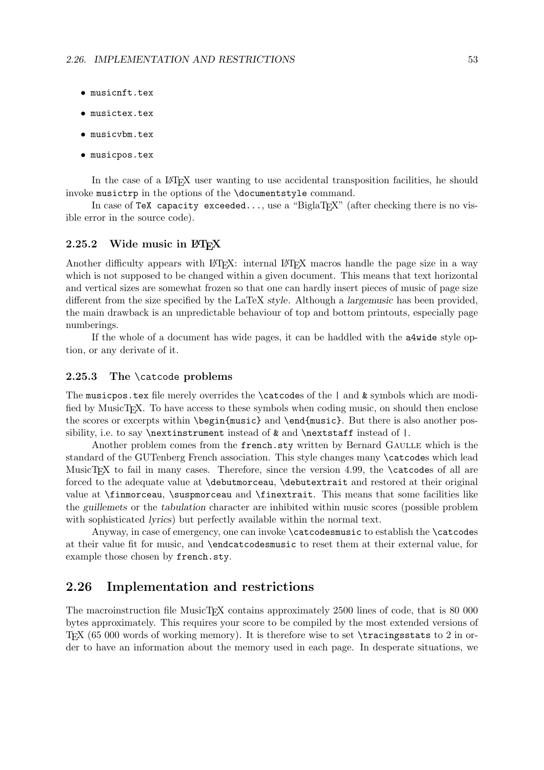- musicnft.tex
- musictex.tex
- musicvbm.tex
- musicpos.tex

In the case of a LAT<sub>EX</sub> user wanting to use accidental transposition facilities, he should invoke musictrp in the options of the \documentstyle command.

In case of TeX capacity exceeded..., use a "BiglaT<sub>E</sub>X" (after checking there is no visible error in the source code).

#### 2.25.2 Wide music in  $\mu_{\text{F}}$ X

Another difficulty appears with LAT<sub>EX</sub>: internal LAT<sub>EX</sub> macros handle the page size in a way which is not supposed to be changed within a given document. This means that text horizontal and vertical sizes are somewhat frozen so that one can hardly insert pieces of music of page size different from the size specified by the LaTeX style. Although a largemusic has been provided, the main drawback is an unpredictable behaviour of top and bottom printouts, especially page numberings.

If the whole of a document has wide pages, it can be haddled with the a4wide style option, or any derivate of it.

#### 2.25.3 The \catcode problems

The musicpos.tex file merely overrides the  $\text{c$ atcodes of the } | and  $\&$  symbols which are modified by MusicT<sub>E</sub>X. To have access to these symbols when coding music, on should then enclose the scores or excerpts within \begin{music} and \end{music}. But there is also another possibility, i.e. to say  $\nexthtt{\label{def:ex} \text{m}}$  instead of  $\texttt{k}$  and  $\nexthtt{\label{def:ex:ex:map} \text{m}}$  instead of  $|$ .

Another problem comes from the french.sty written by Bernard GAULLE which is the standard of the GUTenberg French association. This style changes many \catcodes which lead MusicTEX to fail in many cases. Therefore, since the version 4.99, the  $\c{actcodes}$  of all are forced to the adequate value at \debutmorceau, \debutextrait and restored at their original value at \finmorceau, \suspmorceau and \finextrait. This means that some facilities like the guillemets or the tabulation character are inhibited within music scores (possible problem with sophisticated lyrics) but perfectly available within the normal text.

Anyway, in case of emergency, one can invoke \catcodesmusic to establish the \catcodes at their value fit for music, and \endcatcodesmusic to reset them at their external value, for example those chosen by french.sty.

## 2.26 Implementation and restrictions

The macroinstruction file MusicT<sub>EX</sub> contains approximately 2500 lines of code, that is 80 000 bytes approximately. This requires your score to be compiled by the most extended versions of TEX (65 000 words of working memory). It is therefore wise to set \tracingsstats to 2 in order to have an information about the memory used in each page. In desperate situations, we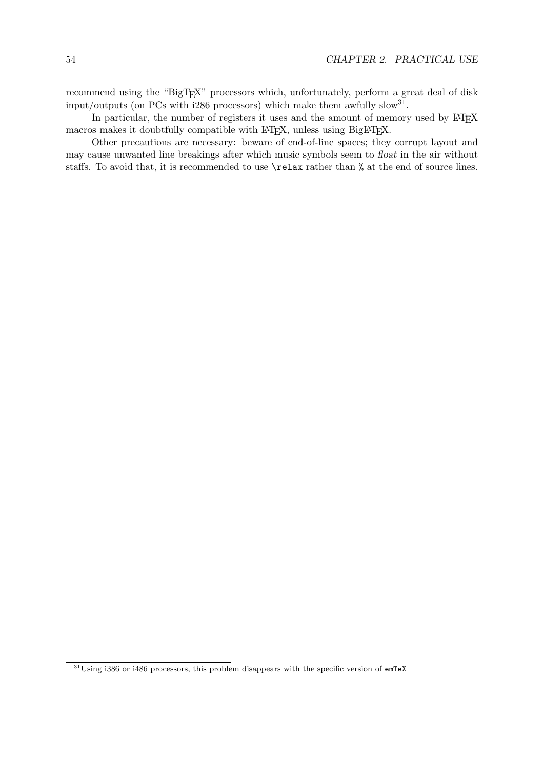recommend using the "BigTEX" processors which, unfortunately, perform a great deal of disk input/outputs (on PCs with i286 processors) which make them awfully slow<sup>31</sup>.

In particular, the number of registers it uses and the amount of memory used by LATEX macros makes it doubtfully compatible with LAT<sub>E</sub>X, unless using BigLAT<sub>EX</sub>.

Other precautions are necessary: beware of end-of-line spaces; they corrupt layout and may cause unwanted line breakings after which music symbols seem to float in the air without staffs. To avoid that, it is recommended to use \relax rather than % at the end of source lines.

<sup>31</sup>Using i386 or i486 processors, this problem disappears with the specific version of emTeX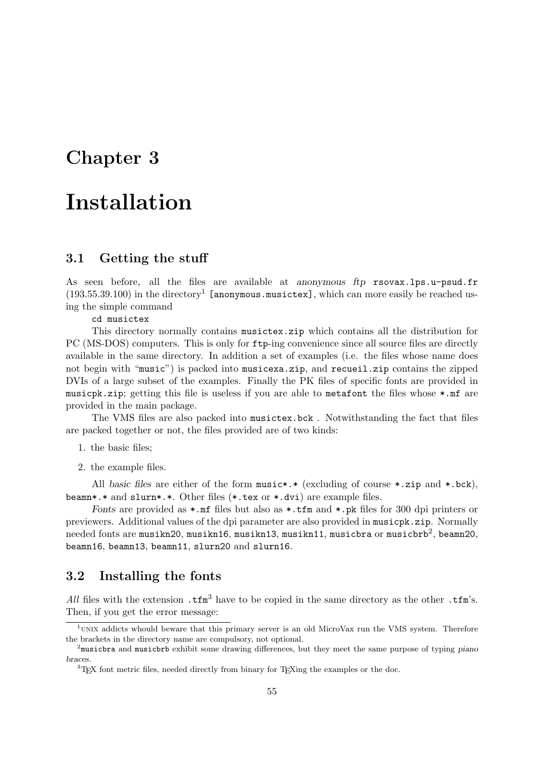# Chapter 3

# Installation

## 3.1 Getting the stuff

As seen before, all the files are available at anonymous ftp rsovax.lps.u-psud.fr  $(193.55.39.100)$  in the directory<sup>1</sup> [anonymous.musictex], which can more easily be reached using the simple command

cd musictex

This directory normally contains musictex.zip which contains all the distribution for PC (MS-DOS) computers. This is only for ftp-ing convenience since all source files are directly available in the same directory. In addition a set of examples (i.e. the files whose name does not begin with "music") is packed into musicexa.zip, and recueil.zip contains the zipped DVIs of a large subset of the examples. Finally the PK files of specific fonts are provided in musicpk.zip; getting this file is useless if you are able to metafont the files whose \*.mf are provided in the main package.

The VMS files are also packed into musictex.bck . Notwithstanding the fact that files are packed together or not, the files provided are of two kinds:

- 1. the basic files;
- 2. the example files.

All basic files are either of the form music\*.\* (excluding of course \*.zip and \*.bck), beamn\*.\* and slurn\*.\*. Other files (\*.tex or \*.dvi) are example files.

Fonts are provided as  $\ast$ . mf files but also as  $\ast$ . tfm and  $\ast$ . pk files for 300 dpi printers or previewers. Additional values of the dpi parameter are also provided in musicpk.zip. Normally  $\rm needed$  fonts are musikn20, musikn16, musikn13, musikn11, musicbra or musicbrb $^2$ , beamn20, beamn16, beamn13, beamn11, slurn20 and slurn16.

# 3.2 Installing the fonts

All files with the extension  $\cdot \mathsf{tfm}^3$  have to be copied in the same directory as the other  $\cdot \mathsf{tfm}^3$ . Then, if you get the error message:

 $1$ <sup>UNIX</sup> addicts whould beware that this primary server is an old MicroVax run the VMS system. Therefore the brackets in the directory name are compulsory, not optional.

 $2<sup>2</sup>$ musicbra and musicbrb exhibit some drawing differences, but they meet the same purpose of typing piano braces.

 ${}^{3}$ TEX font metric files, needed directly from binary for TEXing the examples or the doc.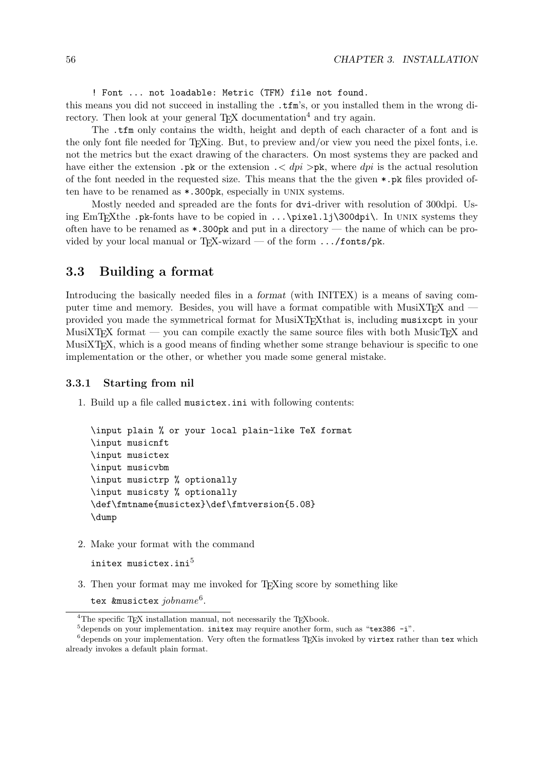! Font ... not loadable: Metric (TFM) file not found.

this means you did not succeed in installing the .tfm's, or you installed them in the wrong directory. Then look at your general T<sub>EX</sub> documentation<sup>4</sup> and try again.

The .tfm only contains the width, height and depth of each character of a font and is the only font file needed for T<sub>E</sub>Xing. But, to preview and/or view you need the pixel fonts, i.e. not the metrics but the exact drawing of the characters. On most systems they are packed and have either the extension .pk or the extension  $\cdot$   $\lt$  dpi  $\gt$ pk, where dpi is the actual resolution of the font needed in the requested size. This means that the the given  $\ast$ , pk files provided often have to be renamed as  $\ast$ . 300pk, especially in UNIX systems.

Mostly needed and spreaded are the fonts for dvi-driver with resolution of 300dpi. Using EmT<sub>E</sub>Xthe .pk-fonts have to be copied in  $\ldots$  \pixel.lj\300dpi\. In UNIX systems they often have to be renamed as  $\ast$ . 300pk and put in a directory — the name of which can be provided by your local manual or T<sub>F</sub>X-wizard — of the form  $\dots$ /fonts/pk.

# 3.3 Building a format

Introducing the basically needed files in a format (with INITEX) is a means of saving computer time and memory. Besides, you will have a format compatible with  $MusiXT_{F}X$  and  $-\frac{1}{2}$ provided you made the symmetrical format for MusiXTEXthat is, including musixcpt in your MusiXT<sub>EX</sub> format — you can compile exactly the same source files with both MusicT<sub>EX</sub> and MusiXT<sub>EX</sub>, which is a good means of finding whether some strange behaviour is specific to one implementation or the other, or whether you made some general mistake.

#### 3.3.1 Starting from nil

1. Build up a file called musictex.ini with following contents:

```
\input plain % or your local plain-like TeX format
\input musicnft
\input musictex
\input musicvbm
\input musictrp % optionally
\input musicsty % optionally
\def\fmtname{musictex}\def\fmtversion{5.08}
\dump
```
2. Make your format with the command

```
initex musictex.ini^5
```
3. Then your format may me invoked for TEXing score by something like

tex &musictex  $jobname^6$ .

<sup>&</sup>lt;sup>4</sup>The specific T<sub>EX</sub> installation manual, not necessarily the T<sub>EX</sub>book.

 $5$ depends on your implementation. initex may require another form, such as "tex386 -i".

 $6$ depends on your implementation. Very often the formatless T<sub>E</sub>Xis invoked by virtex rather than tex which already invokes a default plain format.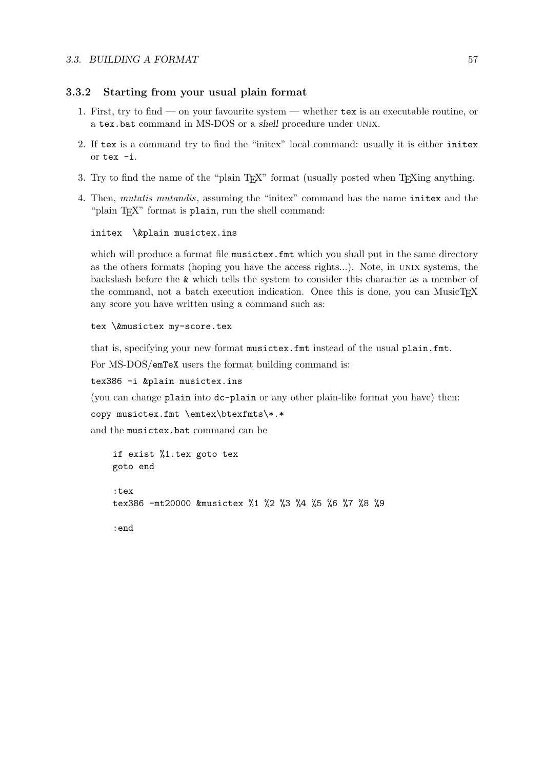#### 3.3.2 Starting from your usual plain format

- 1. First, try to find on your favourite system whether tex is an executable routine, or a tex.bat command in MS-DOS or a shell procedure under unix.
- 2. If tex is a command try to find the "initex" local command: usually it is either initex or tex -i.
- 3. Try to find the name of the "plain T<sub>E</sub>X" format (usually posted when T<sub>E</sub>Xing anything.
- 4. Then, mutatis mutandis, assuming the "initex" command has the name initex and the "plain T<sub>E</sub>X" format is plain, run the shell command:

initex \&plain musictex.ins

which will produce a format file musictex.fmt which you shall put in the same directory as the others formats (hoping you have the access rights...). Note, in unix systems, the backslash before the & which tells the system to consider this character as a member of the command, not a batch execution indication. Once this is done, you can MusicT<sub>E</sub>X any score you have written using a command such as:

```
tex \&musictex my-score.tex
```
that is, specifying your new format musictex.fmt instead of the usual plain.fmt.

For MS-DOS/emTeX users the format building command is:

tex386 -i &plain musictex.ins

(you can change plain into dc-plain or any other plain-like format you have) then:

copy musictex.fmt \emtex\btexfmts\\*.\*

and the musictex.bat command can be

```
if exist %1.tex goto tex
goto end
:tex
tex386 -mt20000 &musictex %1 %2 %3 %4 %5 %6 %7 %8 %9
```
:end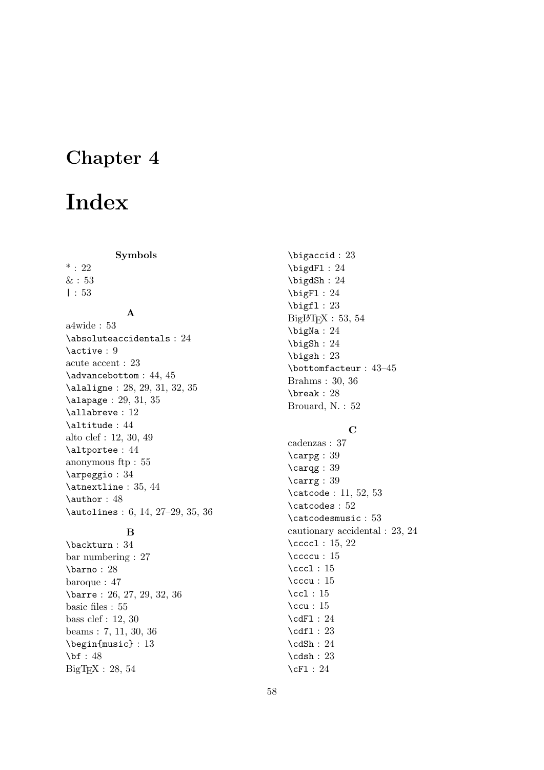# Chapter 4

# Index

Symbols

 $* : 22$  $&$ : 53 | : 53

### A

a4wide : 53 \absoluteaccidentals : 24 \active : 9 acute accent : 23 \advancebottom : 44, 45 \alaligne : 28, 29, 31, 32, 35 \alapage : 29, 31, 35 \allabreve : 12 \altitude : 44 alto clef : 12, 30, 49 \altportee : 44 anonymous ftp : 55 \arpeggio : 34 \atnextline : 35, 44 \author : 48 \autolines : 6, 14, 27–29, 35, 36

# B

\backturn : 34 bar numbering : 27 \barno : 28 baroque : 47 \barre : 26, 27, 29, 32, 36 basic files : 55 bass clef : 12, 30 beams : 7, 11, 30, 36 \begin{music} : 13 \bf : 48 BigTEX : 28, 54

\bigaccid : 23 \bigdFl : 24 \bigdSh : 24 \bigFl : 24 \bigfl : 23  $BigIPTFX : 53, 54$ \bigNa : 24 \bigSh : 24 \bigsh : 23 \bottomfacteur : 43–45 Brahms : 30, 36 \break : 28 Brouard, N. : 52

#### $\mathbf C$

cadenzas : 37 \carpg : 39 \carqg : 39 \carrg : 39 \catcode : 11, 52, 53 \catcodes : 52 \catcodesmusic : 53 cautionary accidental : 23, 24 \ccccl : 15, 22 \ccccu : 15  $\cccl : 15$ \cccu : 15 \ccl : 15 \ccu : 15 \cdFl : 24 \cdfl : 23 \cdSh : 24  $\cdots$ \cFl : 24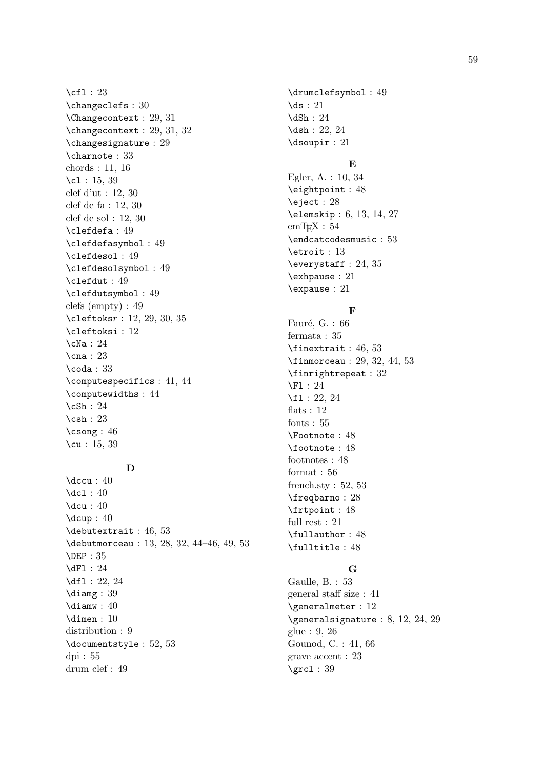\cfl : 23 \changeclefs : 30 \Changecontext : 29, 31 \changecontext : 29, 31, 32 \changesignature : 29 \charnote : 33 chords : 11, 16 \c1: 15, 39 clef d'ut : 12, 30 clef de fa : 12, 30 clef de sol : 12, 30 \clefdefa : 49 \clefdefasymbol : 49 \clefdesol : 49 \clefdesolsymbol : 49 \clefdut : 49 \clefdutsymbol : 49 clefs (empty) : 49 \cleftoksr : 12, 29, 30, 35 \cleftoksi : 12 \cNa : 24 \cna : 23 \coda : 33 \computespecifics : 41, 44 \computewidths : 44 \cSh : 24 \csh : 23 \csong : 46 \cu : 15, 39

# D

\dccu : 40 \dcl : 40 \dcu : 40 \dcup : 40 \debutextrait : 46, 53 \debutmorceau : 13, 28, 32, 44–46, 49, 53 \DEP : 35 \dFl : 24 \df1: 22, 24 \diamg : 39 \diamw : 40 \dimen : 10 distribution : 9 \documentstyle : 52, 53 dpi : 55 drum clef : 49

\drumclefsymbol : 49 \ds : 21 \dSh : 24 \dsh: 22, 24 \dsoupir : 21

# E

Egler, A. : 10, 34 \eightpoint : 48 \eject : 28 \elemskip : 6, 13, 14, 27  $emT$ FX :  $54$ \endcatcodesmusic : 53 \etroit : 13 \everystaff : 24, 35 \exhpause : 21 \expause : 21

#### F

Fauré, G. : 66 fermata : 35 \finextrait : 46, 53 \finmorceau : 29, 32, 44, 53 \finrightrepeat : 32 \Fl : 24 \fl : 22, 24 flats : 12 fonts : 55 \Footnote : 48 \footnote : 48 footnotes : 48 format : 56 french.sty : 52, 53 \freqbarno : 28 \frtpoint : 48 full rest : 21 \fullauthor : 48 \fulltitle : 48

# G

Gaulle, B. : 53 general staff size : 41 \generalmeter : 12 \generalsignature : 8, 12, 24, 29 glue : 9, 26 Gounod, C. : 41, 66 grave accent : 23  $\sqrt{grc1} : 39$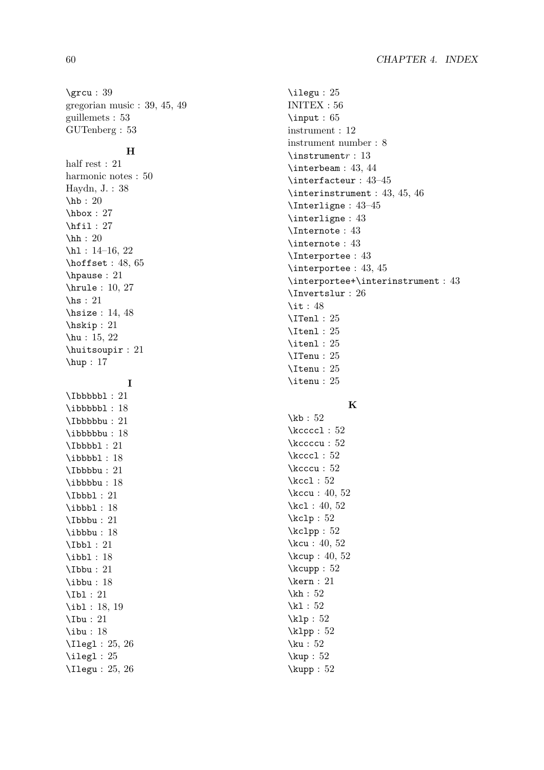\grcu : 39 gregorian music : 39, 45, 49 guillemets : 53 GUTenberg : 53

#### $H$

half rest : 21 harmonic notes : 50 Haydn, J. : 38 \hb : 20 \hbox : 27 \hfil : 27 \hh : 20 \hl: 14-16, 22 \hoffset : 48, 65 \hpause : 21 \hrule : 10, 27 \hs : 21 \hsize : 14, 48 \hskip : 21 \hu : 15, 22 \huitsoupir : 21 \hup : 17

I

\Ibbbbbl : 21 \ibbbbbl: 18 \Ibbbbbu : 21 \ibbbbbu : 18 \Ibbbbl : 21 \ibbbbl: 18 \Ibbbbu : 21 \ibbbbu : 18 \Ibbbl : 21 \ibbbl: 18 \Ibbbu : 21 \ibbbu : 18 \Ibbl : 21 \ibbl : 18 \Ibbu : 21 \ibbu : 18 \Ibl : 21 \ibl: 18, 19 \Ibu : 21 \ibu : 18 \Ilegl : 25, 26 \ilegl : 25 \Ilegu : 25, 26 \ilegu : 25 INITEX : 56 \input : 65 instrument : 12 instrument number : 8  $\iota$  instrument  $r : 13$ \interbeam : 43, 44 \interfacteur : 43–45 \interinstrument : 43, 45, 46 \Interligne : 43–45 \interligne : 43 \Internote : 43 \internote : 43 \Interportee : 43 \interportee : 43, 45 \interportee+\interinstrument : 43 \Invertslur : 26 \it : 48 \ITenl : 25 \Itenl : 25 \itenl : 25 \ITenu : 25 \Itenu : 25 \itenu : 25

# K

\kb: 52 \kccccl : 52 \kccccu : 52  $\kccc1 : 52$ \kcccu : 52 \kccl: 52 \kccu : 40, 52 \kcl: 40, 52 \kclp : 52 \kclpp : 52 \kcu : 40, 52 \kcup : 40, 52 \kcupp : 52 \kern : 21 \kh : 52 \kl : 52 \klp : 52 \klpp : 52 \ku : 52 \kup : 52 \kupp : 52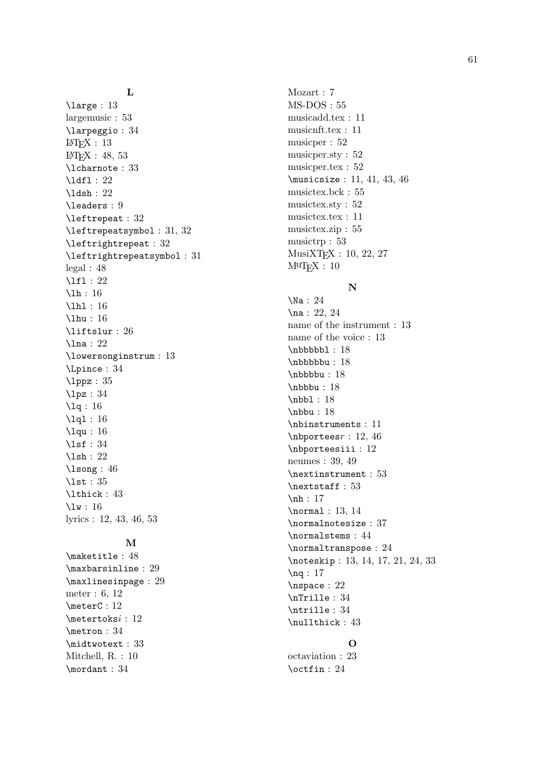#### L

\large : 13 largemusic : 53 \larpeggio : 34  $LAT$ F $X: 13$  $IAT$ FX : 48, 53 \lcharnote : 33 \ldfl : 22 \ldsh: 22 \leaders : 9 \leftrepeat : 32 \leftrepeatsymbol : 31, 32 \leftrightrepeat : 32 \leftrightrepeatsymbol : 31 legal : 48 \lfl : 22 \lh : 16 \lhl: 16 \lhu : 16 \liftslur : 26 \lna : 22 \lowersonginstrum : 13 \Lpince : 34 \lppz : 35 \lpz : 34 \lq : 16 \lql : 16 \lqu : 16 \lsf : 34 \lsh : 22 \lsong : 46 \lst : 35 \lthick : 43 \lw : 16 lyrics : 12, 43, 46, 53

#### M

\maketitle : 48 \maxbarsinline : 29 \maxlinesinpage : 29 meter : 6, 12 \meterC : 12 \metertoks i : 12 \metron : 34 \midtwotext : 33 Mitchell, R. : 10 \mordant : 34

Mozart : 7 MS-DOS : 55 musicadd.tex : 11 musicnft.tex : 11 musicper : 52 musicper.sty : 52 musicper.tex : 52 \musicsize : 11, 41, 43, 46 musictex.bck : 55 musictex.sty : 52 musictex.tex : 11 musictex.zip : 55 musictrp : 53 MusiXT<sub>E</sub>X : 10, 22, 27<br>M<sup>u</sup>T<sub>E</sub>X : 10

#### N

\Na : 24 \na : 22, 24 name of the instrument : 13 name of the voice : 13 \nbbbbbl : 18 \nbbbbbu : 18 \nbbbbu : 18 \nbbbu : 18 \nbbl: 18 \nbbu : 18 \nbinstruments : 11 \nbportees r : 12, 46 \nbporteesiii : 12 neumes : 39, 49 \nextinstrument : 53 \nextstaff : 53 \nh : 17 \normal : 13, 14 \normalnotesize : 37 \normalstems : 44 \normaltranspose : 24 \noteskip : 13, 14, 17, 21, 24, 33 \nq : 17 \nspace : 22 \nTrille : 34 \ntrille : 34 \nullthick : 43

# $\Omega$

octaviation : 23 \octfin : 24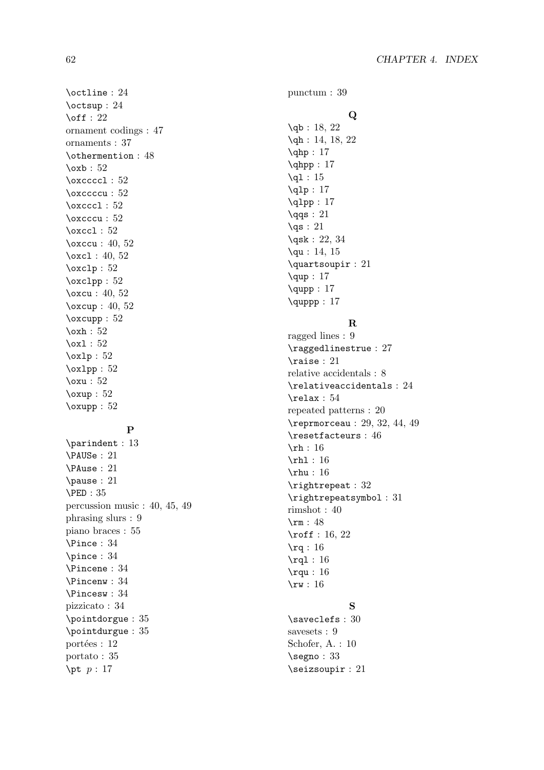\octline : 24 \octsup : 24  $\setminus$ off : 22 ornament codings : 47 ornaments : 37 \othermention : 48  $\sqrt{\text{oxb} : 52}$ \oxccccl : 52 \oxccccu : 52 \oxcccl : 52 \oxcccu : 52 \oxccl : 52 \oxccu : 40, 52 \oxcl: 40, 52 \oxclp : 52 \oxclpp : 52 \oxcu : 40, 52 \oxcup : 40, 52 \oxcupp : 52  $\sqrt{\alpha}$  : 52 \oxl : 52  $\delta$  : 52 \oxlpp : 52 \oxu : 52 \oxup : 52 \oxupp : 52 P \parindent : 13 \PAUSe : 21 \PAuse : 21 \pause : 21 \PED : 35 percussion music : 40, 45, 49 phrasing slurs : 9 piano braces : 55

\Pince : 34 \pince : 34 \Pincene : 34 \Pincenw : 34 \Pincesw : 34 pizzicato : 34 \pointdorgue : 35 \pointdurgue : 35

portées : 12 portato : 35 \pt  $p: 17$ 

punctum : 39

# Q

\qb: 18, 22 \qh: 14, 18, 22  $\qquad$ : 17 \qhpp : 17 \ql : 15 \qlp : 17  $\qquad$  : 17  $\qquadq$ s : 21  $\sqrt{qs}$  : 21 \qsk : 22, 34 \qu : 14, 15 \quartsoupir : 21  $\text{qup} : 17$ \qupp : 17 \quppp : 17

#### R

ragged lines : 9 \raggedlinestrue : 27 \raise : 21 relative accidentals : 8 \relativeaccidentals : 24 \relax : 54 repeated patterns : 20 \reprmorceau : 29, 32, 44, 49 \resetfacteurs : 46 \rh : 16 \rhl : 16 \rhu : 16 \rightrepeat : 32 \rightrepeatsymbol : 31 rimshot : 40 \rm : 48 \roff : 16, 22 \rq : 16 \rql : 16 \rqu : 16 \rw : 16

### S

\saveclefs : 30 savesets : 9 Schofer, A. : 10 \segno : 33 \seizsoupir : 21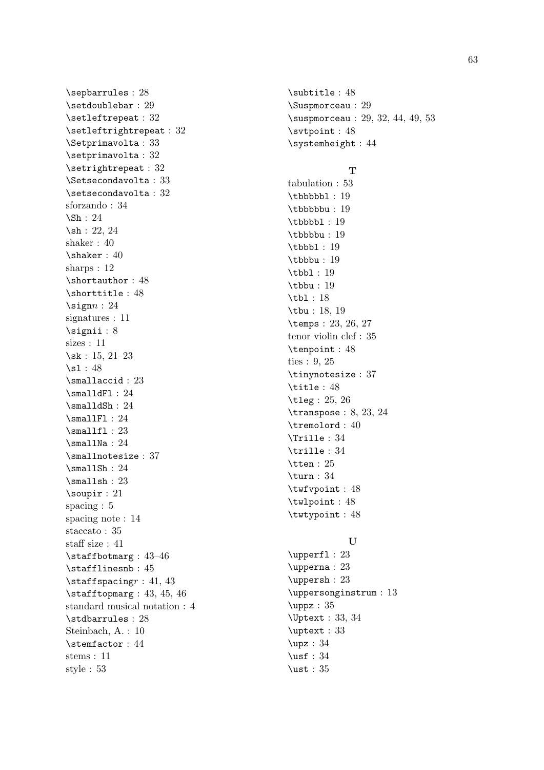\sepbarrules : 28 \setdoublebar : 29 \setleftrepeat : 32 \setleftrightrepeat : 32 \Setprimavolta : 33 \setprimavolta : 32 \setrightrepeat : 32 \Setsecondavolta : 33 \setsecondavolta : 32 sforzando : 34 \Sh : 24 \sh : 22, 24 shaker : 40  $\hbox{\scriptsize\textsf{shaker}}: 40$ sharps : 12 \shortauthor : 48 \shorttitle : 48  $\sigma : 24$ signatures : 11 \signii : 8 sizes : 11 \sk : 15, 21–23  $\sqrt{s}1 : 48$ \smallaccid : 23 \smalldFl : 24 \smalldSh : 24 \smallFl : 24  $\mathrm{smallf1}: 23$ \smallNa : 24 \smallnotesize : 37  $\mathrm{smallsh} : 24$ \smallsh : 23 \soupir : 21 spacing : 5 spacing note : 14 staccato : 35 staff size : 41 \staffbotmarg : 43–46 \stafflinesnb : 45  $\setminus$ staffspacing $r : 41, 43$ \stafftopmarg : 43, 45, 46 standard musical notation : 4 \stdbarrules : 28 Steinbach, A. : 10 \stemfactor : 44 stems : 11 style : 53

\subtitle : 48 \Suspmorceau : 29 \suspmorceau : 29, 32, 44, 49, 53 \svtpoint : 48 \systemheight : 44

#### T

tabulation : 53 \tbbbbbl : 19 \tbbbbbu : 19 \tbbbbl : 19 \tbbbbu : 19 \tbbbl : 19 \tbbbu : 19 \tbbl : 19 \tbbu : 19 \tbl : 18 \tbu : 18, 19 \temps : 23, 26, 27 tenor violin clef : 35 \tenpoint : 48 ties : 9, 25 \tinynotesize : 37 \title : 48 \tleg : 25, 26 \transpose : 8, 23, 24 \tremolord : 40 \Trille : 34 \trille : 34 \tten : 25 \turn : 34 \twfvpoint : 48 \twlpoint : 48 \twtypoint : 48

#### U

\upperfl : 23 \upperna : 23 \uppersh : 23 \uppersonginstrum : 13 \uppz : 35 \Uptext : 33, 34 \uptext : 33 \upz : 34  $\text{usf} : 34$ \ust : 35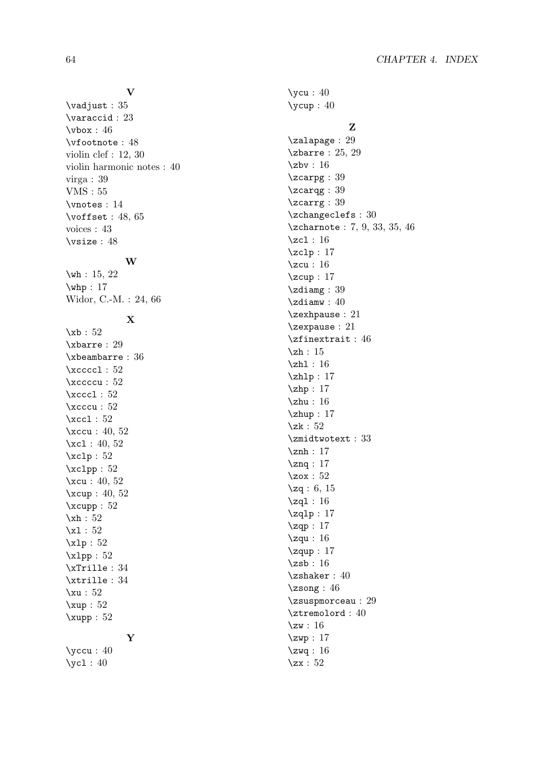# \vadjust : 35

V

\varaccid : 23 \vbox : 46 \vfootnote : 48 violin clef : 12, 30 violin harmonic notes : 40 virga : 39 VMS : 55 \vnotes : 14 \voffset : 48, 65 voices : 43 \vsize : 48

#### W

\wh : 15, 22  $\wedge$ whp : 17 Widor, C.-M. : 24, 66

# X

\xb : 52 \xbarre : 29 \xbeambarre : 36 \xccccl : 52 \xccccu : 52  $\xccc1 : 52$ \xcccu : 52 \xccl : 52 \xccu : 40, 52 \xcl: 40, 52  $\xclp : 52$ \xclpp : 52 \xcu : 40, 52 \xcup : 40, 52 \xcupp : 52 \xh: 52 \xl : 52 \xlp : 52 \xlpp : 52 \xTrille : 34 \xtrille : 34 \xu : 52 \xup : 52 \xupp : 52 Y

\yccu : 40 \ycl : 40

# \ycu : 40  $\sqrt{y}$ cup : 40 Z \zalapage : 29 \zbarre : 25, 29 \zbv : 16 \zcarpg : 39 \zcarqg : 39 \zcarrg : 39 \zchangeclefs : 30 \zcharnote : 7, 9, 33, 35, 46 \zcl : 16 \zclp : 17 \zcu : 16 \zcup : 17 \zdiamg : 39 \zdiamw : 40 \zexhpause : 21 \zexpause : 21 \zfinextrait : 46 \zh: 15 \zh1 : 16 \zhlp: 17 \zhp: 17 \zhu : 16 \zhup : 17 \zk : 52 \zmidtwotext : 33 \znh : 17 \znq : 17 \zox : 52 \zq : 6, 15 \zql : 16 \zqlp : 17 \zqp : 17 \zqu : 16  $\zeta$ zqup : 17 \zsb : 16 \zshaker : 40 \zsong : 46 \zsuspmorceau : 29 \ztremolord : 40  $\zeta$  : 16 \zwp : 17 \zwq : 16 \zx : 52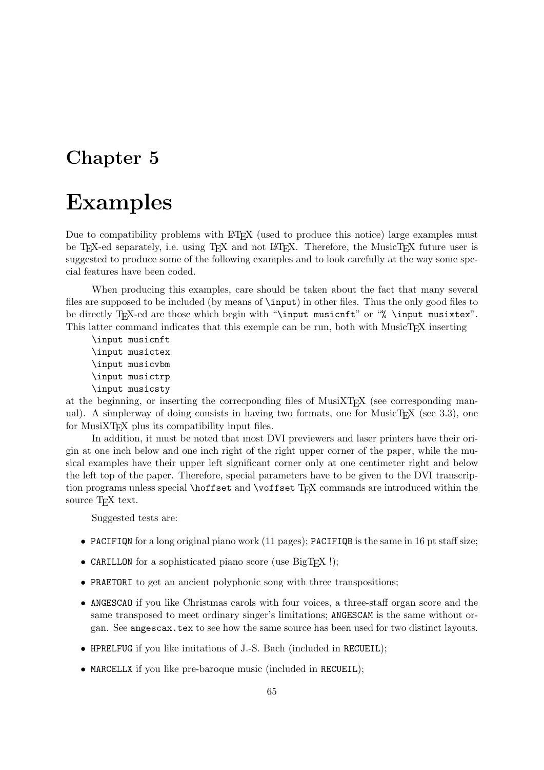# Chapter 5

# Examples

Due to compatibility problems with LAT<sub>EX</sub> (used to produce this notice) large examples must be T<sub>E</sub>X-ed separately, i.e. using T<sub>E</sub>X and not L<sup>AT</sup>EX. Therefore, the MusicTE<sub>X</sub> future user is suggested to produce some of the following examples and to look carefully at the way some special features have been coded.

When producing this examples, care should be taken about the fact that many several files are supposed to be included (by means of \input) in other files. Thus the only good files to be directly TEX-ed are those which begin with "\input musicnft" or "% \input musixtex". This latter command indicates that this exemple can be run, both with MusicTEX inserting

\input musicnft \input musictex \input musicvbm \input musictrp \input musicsty

at the beginning, or inserting the corresponding files of MusiXT<sub>EX</sub> (see corresponding manual). A simplerway of doing consists in having two formats, one for MusicT<sub>E</sub>X (see  $3.3$ ), one for MusiXT<sub>E</sub>X plus its compatibility input files.

In addition, it must be noted that most DVI previewers and laser printers have their origin at one inch below and one inch right of the right upper corner of the paper, while the musical examples have their upper left significant corner only at one centimeter right and below the left top of the paper. Therefore, special parameters have to be given to the DVI transcription programs unless special \hoffset and \voffset TEX commands are introduced within the source T<sub>EX</sub> text.

Suggested tests are:

- PACIFIQN for a long original piano work (11 pages); PACIFIQB is the same in 16 pt staff size;
- CARILLON for a sophisticated piano score (use BigT<sub>F</sub>X !);
- PRAETORI to get an ancient polyphonic song with three transpositions;
- ANGESCAO if you like Christmas carols with four voices, a three-staff organ score and the same transposed to meet ordinary singer's limitations; ANGESCAM is the same without organ. See angescax.tex to see how the same source has been used for two distinct layouts.
- HPRELFUG if you like imitations of J.-S. Bach (included in RECUEIL);
- MARCELLX if you like pre-baroque music (included in RECUEIL);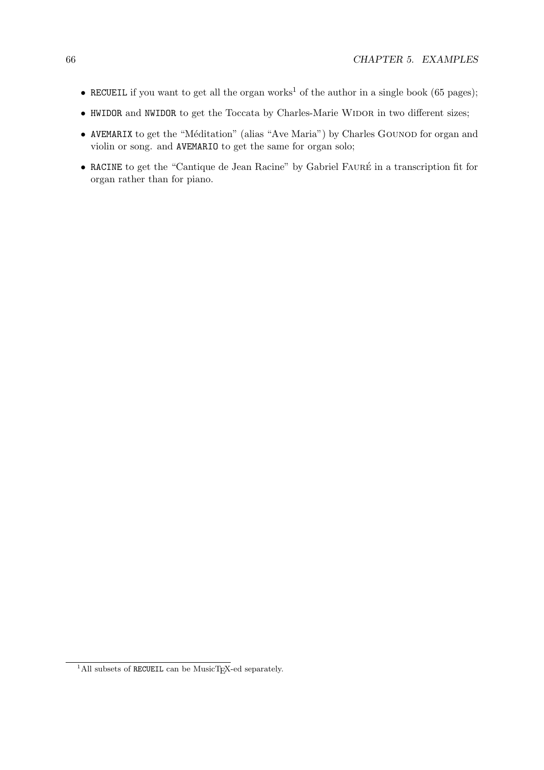- RECUEIL if you want to get all the organ works<sup>1</sup> of the author in a single book (65 pages);
- HWIDOR and NWIDOR to get the Toccata by Charles-Marie WIDOR in two different sizes;
- AVEMARIX to get the "Méditation" (alias "Ave Maria") by Charles GOUNOD for organ and violin or song. and AVEMARIO to get the same for organ solo;
- RACINE to get the "Cantique de Jean Racine" by Gabriel FAURÉ in a transcription fit for organ rather than for piano.

 $1$ All subsets of RECUEIL can be MusicTEX-ed separately.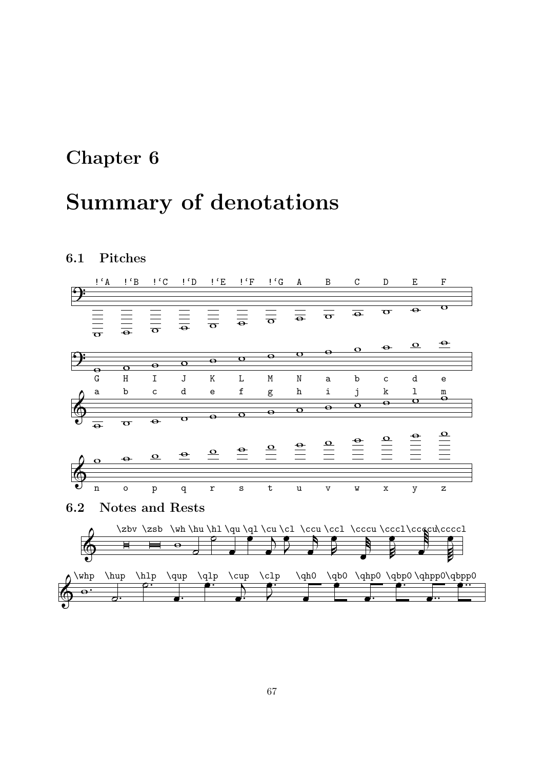# Chapter 6

# Summary of denotations

# 6.1 Pitches